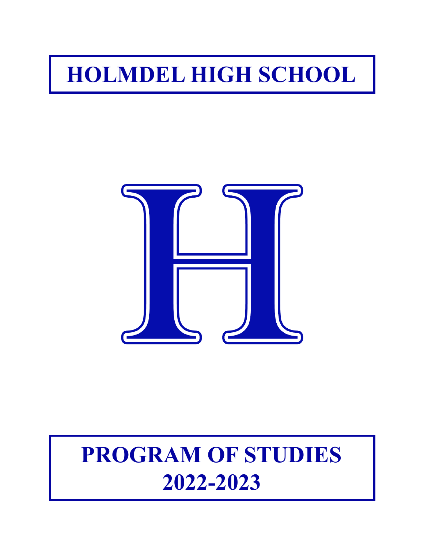# **HOLMDEL HIGH SCHOOL**



# **PROGRAM OF STUDIES 2022-2023**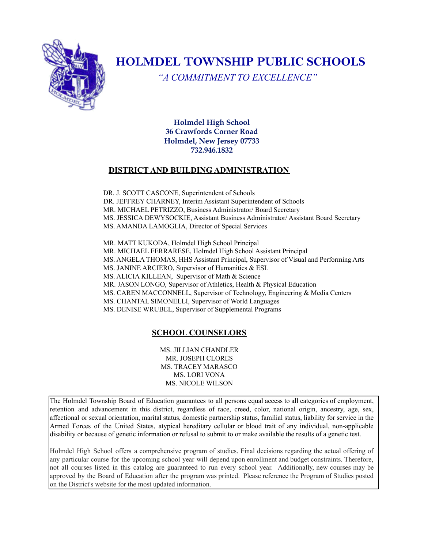

# **HOLMDEL TOWNSHIP PUBLIC SCHOOLS**

*"A COMMITMENT TO EXCELLENCE"*

**Holmdel High School 36 Crawfords Corner Road Holmdel, New Jersey 07733 732.946.1832**

#### **DISTRICT AND BUILDING ADMINISTRATION**

DR. J. SCOTT CASCONE, Superintendent of Schools DR. JEFFREY CHARNEY, Interim Assistant Superintendent of Schools MR. MICHAEL PETRIZZO, Business Administrator/ Board Secretary MS. JESSICA DEWYSOCKIE, Assistant Business Administrator/ Assistant Board Secretary MS. AMANDA LAMOGLIA, Director of Special Services

MR. MATT KUKODA, Holmdel High School Principal MR. MICHAEL FERRARESE, Holmdel High School Assistant Principal MS. ANGELA THOMAS, HHS Assistant Principal, Supervisor of Visual and Performing Arts MS. JANINE ARCIERO, Supervisor of Humanities & ESL MS. ALICIA KILLEAN, Supervisor of Math & Science MR. JASON LONGO, Supervisor of Athletics, Health & Physical Education MS. CAREN MACCONNELL, Supervisor of Technology, Engineering & Media Centers MS. CHANTAL SIMONELLI, Supervisor of World Languages MS. DENISE WRUBEL, Supervisor of Supplemental Programs

#### **SCHOOL COUNSELORS**

MS. JILLIAN CHANDLER MR. JOSEPH CLORES MS. TRACEY MARASCO MS. LORI VONA MS. NICOLE WILSON

The Holmdel Township Board of Education guarantees to all persons equal access to all categories of employment, retention and advancement in this district, regardless of race, creed, color, national origin, ancestry, age, sex, affectional or sexual orientation, marital status, domestic partnership status, familial status, liability for service in the Armed Forces of the United States, atypical hereditary cellular or blood trait of any individual, non-applicable disability or because of genetic information or refusal to submit to or make available the results of a genetic test.

Holmdel High School offers a comprehensive program of studies. Final decisions regarding the actual offering of any particular course for the upcoming school year will depend upon enrollment and budget constraints. Therefore, not all courses listed in this catalog are guaranteed to run every school year. Additionally, new courses may be approved by the Board of Education after the program was printed. Please reference the Program of Studies posted on the District's website for the most updated information.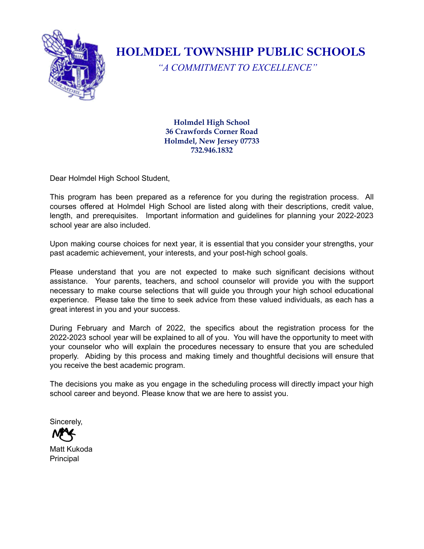

**HOLMDEL TOWNSHIP PUBLIC SCHOOLS**

*"A COMMITMENT TO EXCELLENCE"*

**Holmdel High School 36 Crawfords Corner Road Holmdel, New Jersey 07733 732.946.1832**

Dear Holmdel High School Student,

This program has been prepared as a reference for you during the registration process. All courses offered at Holmdel High School are listed along with their descriptions, credit value, length, and prerequisites. Important information and guidelines for planning your 2022-2023 school year are also included.

Upon making course choices for next year, it is essential that you consider your strengths, your past academic achievement, your interests, and your post-high school goals.

Please understand that you are not expected to make such significant decisions without assistance. Your parents, teachers, and school counselor will provide you with the support necessary to make course selections that will guide you through your high school educational experience. Please take the time to seek advice from these valued individuals, as each has a great interest in you and your success.

During February and March of 2022, the specifics about the registration process for the 2022-2023 school year will be explained to all of you. You will have the opportunity to meet with your counselor who will explain the procedures necessary to ensure that you are scheduled properly. Abiding by this process and making timely and thoughtful decisions will ensure that you receive the best academic program.

The decisions you make as you engage in the scheduling process will directly impact your high school career and beyond. Please know that we are here to assist you.

Sincerely,

Matt Kukoda **Principal**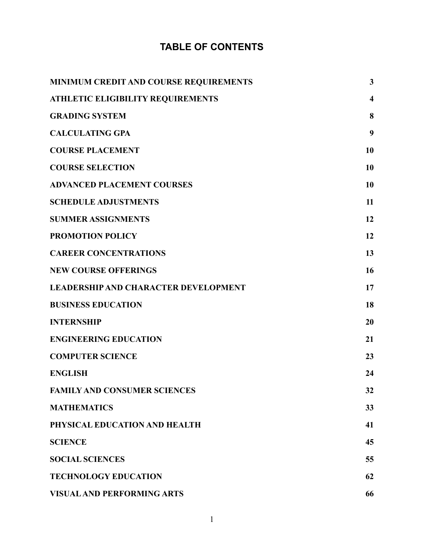# **TABLE OF CONTENTS**

| MINIMUM CREDIT AND COURSE REQUIREMENTS      | $\mathbf{3}$            |
|---------------------------------------------|-------------------------|
| <b>ATHLETIC ELIGIBILITY REQUIREMENTS</b>    | $\overline{\mathbf{4}}$ |
| <b>GRADING SYSTEM</b>                       | 8                       |
| <b>CALCULATING GPA</b>                      | 9                       |
| <b>COURSE PLACEMENT</b>                     | 10                      |
| <b>COURSE SELECTION</b>                     | 10                      |
| <b>ADVANCED PLACEMENT COURSES</b>           | 10                      |
| <b>SCHEDULE ADJUSTMENTS</b>                 | 11                      |
| <b>SUMMER ASSIGNMENTS</b>                   | 12                      |
| <b>PROMOTION POLICY</b>                     | 12                      |
| <b>CAREER CONCENTRATIONS</b>                | 13                      |
| <b>NEW COURSE OFFERINGS</b>                 | 16                      |
| <b>LEADERSHIP AND CHARACTER DEVELOPMENT</b> | 17                      |
| <b>BUSINESS EDUCATION</b>                   | 18                      |
| <b>INTERNSHIP</b>                           | 20                      |
| <b>ENGINEERING EDUCATION</b>                | 21                      |
| <b>COMPUTER SCIENCE</b>                     | 23                      |
| <b>ENGLISH</b>                              | 24                      |
| <b>FAMILY AND CONSUMER SCIENCES</b>         | 32                      |
| <b>MATHEMATICS</b>                          | 33                      |
| PHYSICAL EDUCATION AND HEALTH               | 41                      |
| <b>SCIENCE</b>                              | 45                      |
| <b>SOCIAL SCIENCES</b>                      | 55                      |
| <b>TECHNOLOGY EDUCATION</b>                 | 62                      |
| <b>VISUAL AND PERFORMING ARTS</b>           | 66                      |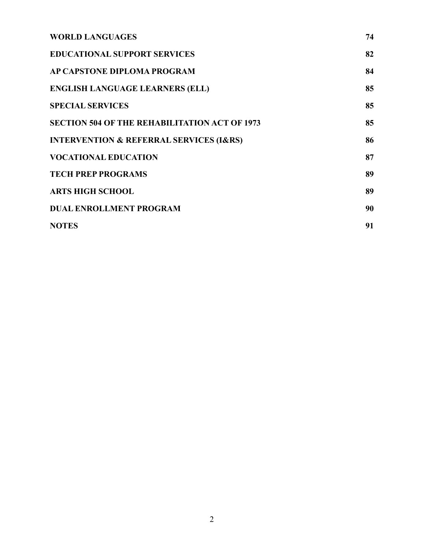| <b>WORLD LANGUAGES</b>                                 | 74 |
|--------------------------------------------------------|----|
| <b>EDUCATIONAL SUPPORT SERVICES</b>                    | 82 |
| AP CAPSTONE DIPLOMA PROGRAM                            | 84 |
| <b>ENGLISH LANGUAGE LEARNERS (ELL)</b>                 | 85 |
| <b>SPECIAL SERVICES</b>                                | 85 |
| <b>SECTION 504 OF THE REHABILITATION ACT OF 1973</b>   | 85 |
| <b>INTERVENTION &amp; REFERRAL SERVICES (I&amp;RS)</b> | 86 |
| <b>VOCATIONAL EDUCATION</b>                            | 87 |
| <b>TECH PREP PROGRAMS</b>                              | 89 |
| <b>ARTS HIGH SCHOOL</b>                                | 89 |
| <b>DUAL ENROLLMENT PROGRAM</b>                         | 90 |
| <b>NOTES</b>                                           | 91 |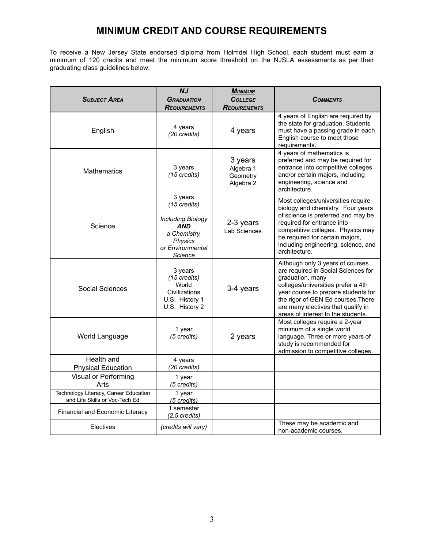#### **MINIMUM CREDIT AND COURSE REQUIREMENTS**

<span id="page-5-0"></span>To receive a New Jersey State endorsed diploma from Holmdel High School, each student must earn a minimum of 120 credits and meet the minimum score threshold on the NJSLA assessments as per their graduating class guidelines below:

| <b>SUBJECT AREA</b>                                                     | NJ<br><b>GRADUATION</b><br><b>REQUIREMENTS</b>                                                                              | <b>М</b> имим<br><b>COLLEGE</b><br><b>REQUIREMENTS</b> | <b>COMMENTS</b>                                                                                                                                                                                                                                                                            |
|-------------------------------------------------------------------------|-----------------------------------------------------------------------------------------------------------------------------|--------------------------------------------------------|--------------------------------------------------------------------------------------------------------------------------------------------------------------------------------------------------------------------------------------------------------------------------------------------|
| English                                                                 | 4 years<br>(20 credits)                                                                                                     | 4 years                                                | 4 years of English are required by<br>the state for graduation. Students<br>must have a passing grade in each<br>English course to meet those<br>requirements.                                                                                                                             |
| <b>Mathematics</b>                                                      | 3 years<br>(15 credits)                                                                                                     | 3 years<br>Algebra 1<br>Geometry<br>Algebra 2          | 4 years of mathematics is<br>preferred and may be required for<br>entrance into competitive colleges<br>and/or certain majors, including<br>engineering, science and<br>architecture.                                                                                                      |
| Science                                                                 | 3 years<br>(15 credits)<br><b>Including Biology</b><br><b>AND</b><br>a Chemistry,<br>Physics<br>or Environmental<br>Science | 2-3 years<br>Lab Sciences                              | Most colleges/universities require<br>biology and chemistry. Four years<br>of science is preferred and may be<br>required for entrance into<br>competitive colleges. Physics may<br>be required for certain majors,<br>including engineering, science, and<br>architecture.                |
| Social Sciences                                                         | 3 years<br>(15 credits)<br>World<br>Civilizations<br>U.S. History 1<br>U.S. History 2                                       | 3-4 years                                              | Although only 3 years of courses<br>are required in Social Sciences for<br>graduation, many<br>colleges/universities prefer a 4th<br>year course to prepare students for<br>the rigor of GEN Ed courses. There<br>are many electives that qualify in<br>areas of interest to the students. |
| World Language                                                          | 1 year<br>(5 credits)                                                                                                       | 2 years                                                | Most colleges require a 2-year<br>minimum of a single world<br>language. Three or more years of<br>study is recommended for<br>admission to competitive colleges.                                                                                                                          |
| Health and<br><b>Physical Education</b>                                 | 4 years<br>(20 credits)                                                                                                     |                                                        |                                                                                                                                                                                                                                                                                            |
| Visual or Performing<br>Arts                                            | 1 year<br>(5 credits)                                                                                                       |                                                        |                                                                                                                                                                                                                                                                                            |
| Technology Literacy, Career Education<br>and Life Skills or Voc-Tech Ed | 1 year<br>(5 credits)                                                                                                       |                                                        |                                                                                                                                                                                                                                                                                            |
| Financial and Economic Literacy                                         | 1 semester<br>$(2.5 \text{ credits})$                                                                                       |                                                        |                                                                                                                                                                                                                                                                                            |
| Electives                                                               | (credits will vary)                                                                                                         |                                                        | These may be academic and<br>non-academic courses.                                                                                                                                                                                                                                         |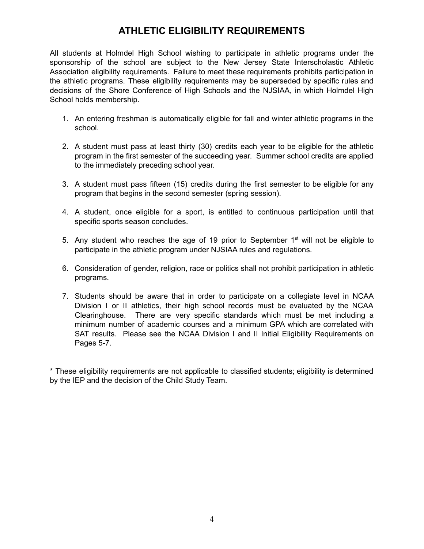# **ATHLETIC ELIGIBILITY REQUIREMENTS**

<span id="page-6-0"></span>All students at Holmdel High School wishing to participate in athletic programs under the sponsorship of the school are subject to the New Jersey State Interscholastic Athletic Association eligibility requirements. Failure to meet these requirements prohibits participation in the athletic programs. These eligibility requirements may be superseded by specific rules and decisions of the Shore Conference of High Schools and the NJSIAA, in which Holmdel High School holds membership.

- 1. An entering freshman is automatically eligible for fall and winter athletic programs in the school.
- 2. A student must pass at least thirty (30) credits each year to be eligible for the athletic program in the first semester of the succeeding year. Summer school credits are applied to the immediately preceding school year.
- 3. A student must pass fifteen (15) credits during the first semester to be eligible for any program that begins in the second semester (spring session).
- 4. A student, once eligible for a sport, is entitled to continuous participation until that specific sports season concludes.
- 5. Any student who reaches the age of 19 prior to September  $1<sup>st</sup>$  will not be eligible to participate in the athletic program under NJSIAA rules and regulations.
- 6. Consideration of gender, religion, race or politics shall not prohibit participation in athletic programs.
- 7. Students should be aware that in order to participate on a collegiate level in NCAA Division I or II athletics, their high school records must be evaluated by the NCAA Clearinghouse. There are very specific standards which must be met including a minimum number of academic courses and a minimum GPA which are correlated with SAT results. Please see the NCAA Division I and II Initial Eligibility Requirements on Pages 5-7.

\* These eligibility requirements are not applicable to classified students; eligibility is determined by the IEP and the decision of the Child Study Team.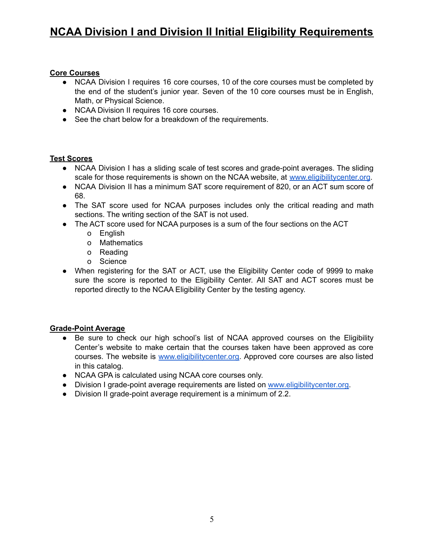# **NCAA Division I and Division II Initial Eligibility Requirements**

#### **Core Courses**

- NCAA Division I requires 16 core courses, 10 of the core courses must be completed by the end of the student's junior year. Seven of the 10 core courses must be in English, Math, or Physical Science.
- NCAA Division II requires 16 core courses.
- See the chart below for a breakdown of the requirements.

#### **Test Scores**

- NCAA Division I has a sliding scale of test scores and grade-point averages. The sliding scale for those requirements is shown on the NCAA website, at [www.eligibilitycenter.org](http://www.eligibilitycenter.org).
- NCAA Division II has a minimum SAT score requirement of 820, or an ACT sum score of 68.
- The SAT score used for NCAA purposes includes only the critical reading and math sections. The writing section of the SAT is not used.
- The ACT score used for NCAA purposes is a sum of the four sections on the ACT
	- o English
	- o Mathematics
	- o Reading
	- o Science
- When registering for the SAT or ACT, use the Eligibility Center code of 9999 to make sure the score is reported to the Eligibility Center. All SAT and ACT scores must be reported directly to the NCAA Eligibility Center by the testing agency.

#### **Grade-Point Average**

- Be sure to check our high school's list of NCAA approved courses on the Eligibility Center's website to make certain that the courses taken have been approved as core courses. The website is [www.eligibilitycenter.org.](http://www.eligibilitycenter.org) Approved core courses are also listed in this catalog.
- NCAA GPA is calculated using NCAA core courses only.
- Division I grade-point average requirements are listed on [www.eligibilitycenter.org.](http://www.eligibilitycenter.org)
- Division II grade-point average requirement is a minimum of 2.2.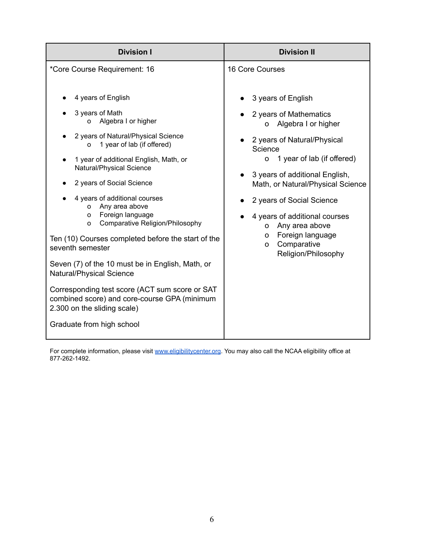| <b>Division I</b>                                                                                                             | <b>Division II</b>                                                                 |
|-------------------------------------------------------------------------------------------------------------------------------|------------------------------------------------------------------------------------|
| *Core Course Requirement: 16                                                                                                  | 16 Core Courses                                                                    |
| 4 years of English                                                                                                            | 3 years of English                                                                 |
| 3 years of Math<br>Algebra I or higher<br>$\circ$                                                                             | 2 years of Mathematics<br>Algebra I or higher<br>O                                 |
| 2 years of Natural/Physical Science<br>1 year of lab (if offered)<br>$\Omega$                                                 | 2 years of Natural/Physical<br>Science                                             |
| 1 year of additional English, Math, or<br>Natural/Physical Science                                                            | 1 year of lab (if offered)<br>O                                                    |
| 2 years of Social Science                                                                                                     | 3 years of additional English,<br>Math, or Natural/Physical Science                |
| 4 years of additional courses<br>Any area above<br>O                                                                          | 2 years of Social Science                                                          |
| Foreign language<br>O<br>Comparative Religion/Philosophy<br>$\circ$                                                           | 4 years of additional courses<br>Any area above<br>O                               |
| Ten (10) Courses completed before the start of the<br>seventh semester                                                        | Foreign language<br>$\mathsf{O}$<br>Comparative<br>$\Omega$<br>Religion/Philosophy |
| Seven (7) of the 10 must be in English, Math, or<br>Natural/Physical Science                                                  |                                                                                    |
| Corresponding test score (ACT sum score or SAT<br>combined score) and core-course GPA (minimum<br>2.300 on the sliding scale) |                                                                                    |
| Graduate from high school                                                                                                     |                                                                                    |

For complete information, please visit [www.eligibilitycenter.org](http://www.eligibilitycenter.org). You may also call the NCAA eligibility office at 877-262-1492.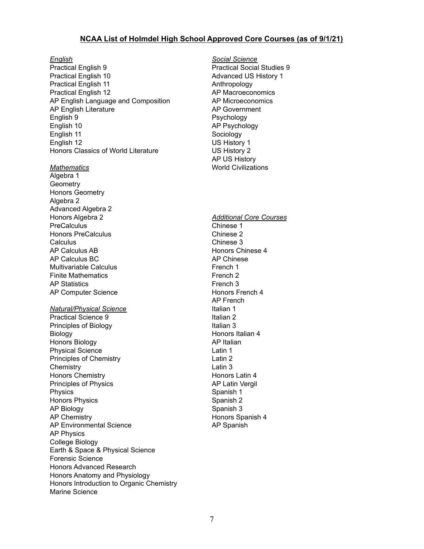#### **NCAA List of Holmdel High School Approved Core Courses (as of 9/1/21)**

Practical English 9 Practical English 10 Practical English 11 Practical English 12 AP English Language and Composition AP English Literature English 9 English 10 English 11 English 12 Honors Classics of World Literature

*Mathematics*

Algebra 1 **Geometry** Honors Geometry Algebra 2 Advanced Algebra 2 Honors Algebra 2 **PreCalculus** Honors PreCalculus Calculus AP Calculus AB AP Calculus BC Multivariable Calculus Finite Mathematics AP Statistics AP Computer Science

#### *Natural/Physical Science*

Practical Science 9 Principles of Biology Biology Honors Biology Physical Science Principles of Chemistry **Chemistry** Honors Chemistry Principles of Physics Physics Honors Physics AP Biology AP Chemistry AP Environmental Science AP Physics College Biology Earth & Space & Physical Science Forensic Science Honors Advanced Research Honors Anatomy and Physiology Honors Introduction to Organic Chemistry Marine Science

*English Social Science* Practical Social Studies 9 Advanced US History 1 Anthropology AP Macroeconomics AP Microeconomics AP Government Psychology AP Psychology Sociology US History 1 US History 2 AP US History World Civilizations

#### *Additional Core Courses* Chinese 1 Chinese 2 Chinese 3 Honors Chinese 4 AP Chinese French 1 French 2 French 3 Honors French 4 AP French Italian 1 Italian 2 Italian 3 Honors Italian 4 AP Italian Latin 1 Latin 2 Latin 3 Honors Latin 4

AP Spanish

AP Latin Vergil Spanish 1 Spanish 2 Spanish 3

Honors Spanish 4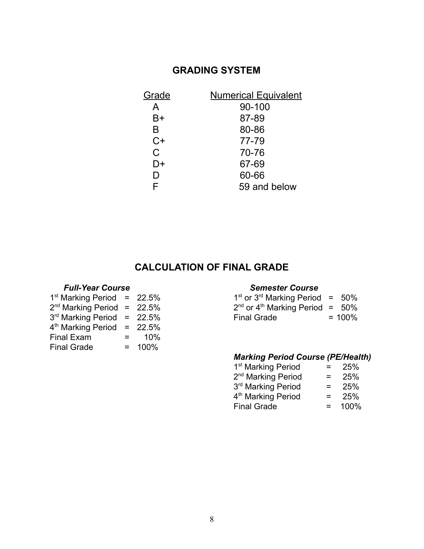# **GRADING SYSTEM**

<span id="page-10-0"></span>

| Grade | <b>Numerical Equivalent</b> |
|-------|-----------------------------|
| A     | 90-100                      |
| B+    | 87-89                       |
| B     | 80-86                       |
| $C+$  | 77-79                       |
| C     | 70-76                       |
| D+    | 67-69                       |
| D     | 60-66                       |
| F     | 59 and below                |

# **CALCULATION OF FINAL GRADE**

#### *Full-Year Course Semester Course*

| $1st$ Marking Period = 22.5% |                   |           | 1۹    |
|------------------------------|-------------------|-----------|-------|
| $2nd$ Marking Period = 22.5% |                   |           | $2^r$ |
| $3rd$ Marking Period = 22.5% |                   |           | Fi    |
| $4th$ Marking Period = 22.5% |                   |           |       |
| Final Exam                   | $\equiv$ $\equiv$ | 10%       |       |
| <b>Final Grade</b>           |                   | $= 100\%$ |       |

| <sup>st</sup> Marking Period = 22.5% |  | $1st$ or 3 <sup>rd</sup> Marking Period = 50% |           |
|--------------------------------------|--|-----------------------------------------------|-----------|
| <sup>nd</sup> Marking Period = 22.5% |  | $2nd$ or 4 <sup>th</sup> Marking Period = 50% |           |
| <sup>rd</sup> Marking Period = 22.5% |  | <b>Final Grade</b>                            | $= 100\%$ |

#### *Marking Period Course (PE/Health)*

| 1 <sup>st</sup> Marking Period | =   | 25%  |
|--------------------------------|-----|------|
| 2 <sup>nd</sup> Marking Period | =   | 25%  |
| 3rd Marking Period             | =   | 25%  |
| 4 <sup>th</sup> Marking Period | =   | 25%  |
| <b>Final Grade</b>             | $=$ | 100% |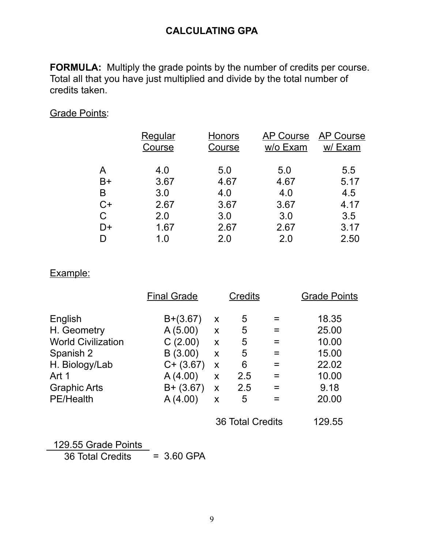# **CALCULATING GPA**

<span id="page-11-0"></span>**FORMULA:** Multiply the grade points by the number of credits per course. Total all that you have just multiplied and divide by the total number of credits taken.

#### Grade Points:

|      | <b>Regular</b><br>Course | Honors<br>Course | <b>AP Course</b><br>w/o Exam | <b>AP Course</b><br>w/Exam |
|------|--------------------------|------------------|------------------------------|----------------------------|
| A    | 4.0                      | 5.0              | 5.0                          | 5.5                        |
| $B+$ | 3.67                     | 4.67             | 4.67                         | 5.17                       |
| B    | 3.0                      | 4.0              | 4.0                          | 4.5                        |
| $C+$ | 2.67                     | 3.67             | 3.67                         | 4.17                       |
| C    | 2.0                      | 3.0              | 3.0                          | 3.5                        |
| D+   | 1.67                     | 2.67             | 2.67                         | 3.17                       |
| D    | 1.0                      | 2.0              | 2.0                          | 2.50                       |
|      |                          |                  |                              |                            |

#### Example:

|                           | <b>Final Grade</b> |   | Credits          |     | <b>Grade Points</b> |
|---------------------------|--------------------|---|------------------|-----|---------------------|
| English                   | $B+(3.67)$         | X | 5                |     | 18.35               |
| H. Geometry               | A(5.00)            | X | 5                | =   | 25.00               |
| <b>World Civilization</b> | C(2.00)            | X | 5                |     | 10.00               |
| Spanish 2                 | B(3.00)            | X | 5                |     | 15.00               |
| H. Biology/Lab            | $C+ (3.67)$        | X | 6                |     | 22.02               |
| Art 1                     | A(4.00)            | X | 2.5              |     | 10.00               |
| <b>Graphic Arts</b>       | $B + (3.67)$       | X | 2.5              | $=$ | 9.18                |
| <b>PE/Health</b>          | A(4.00)            | X | 5                |     | 20.00               |
|                           |                    |   | 36 Total Credits |     | 129.55              |

129.55 Grade Points 36 Total Credits = 3.60 GPA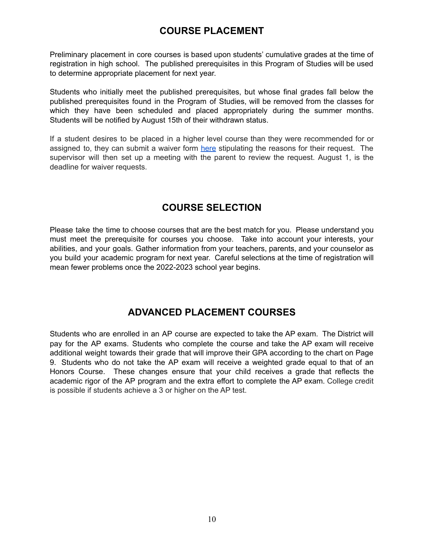# **COURSE PLACEMENT**

<span id="page-12-0"></span>Preliminary placement in core courses is based upon students' cumulative grades at the time of registration in high school. The published prerequisites in this Program of Studies will be used to determine appropriate placement for next year.

Students who initially meet the published prerequisites, but whose final grades fall below the published prerequisites found in the Program of Studies, will be removed from the classes for which they have been scheduled and placed appropriately during the summer months. Students will be notified by August 15th of their withdrawn status.

If a student desires to be placed in a higher level course than they were recommended for or assigned to, they can submit a waiver form [here](https://docs.google.com/document/d/1sfz4PZ4aVfg6931zt4_LF-jHWUUv93cZCkUSBFTfJA8/edit?usp=sharing) stipulating the reasons for their request. The supervisor will then set up a meeting with the parent to review the request. August 1, is the deadline for waiver requests.

# **COURSE SELECTION**

<span id="page-12-1"></span>Please take the time to choose courses that are the best match for you. Please understand you must meet the prerequisite for courses you choose. Take into account your interests, your abilities, and your goals. Gather information from your teachers, parents, and your counselor as you build your academic program for next year. Careful selections at the time of registration will mean fewer problems once the 2022-2023 school year begins.

# **ADVANCED PLACEMENT COURSES**

<span id="page-12-2"></span>Students who are enrolled in an AP course are expected to take the AP exam. The District will pay for the AP exams. Students who complete the course and take the AP exam will receive additional weight towards their grade that will improve their GPA according to the chart on Page 9. Students who do not take the AP exam will receive a weighted grade equal to that of an Honors Course. These changes ensure that your child receives a grade that reflects the academic rigor of the AP program and the extra effort to complete the AP exam. College credit is possible if students achieve a 3 or higher on the AP test.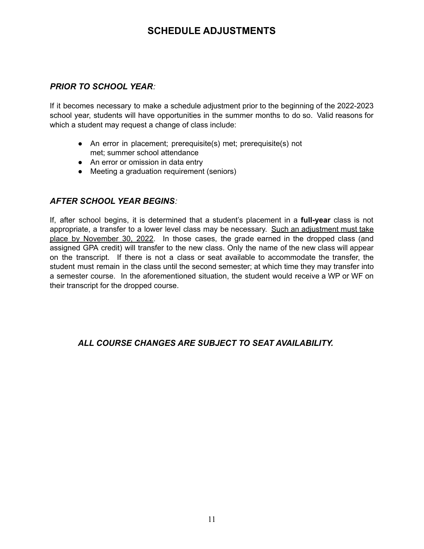#### **SCHEDULE ADJUSTMENTS**

#### <span id="page-13-0"></span>*PRIOR TO SCHOOL YEAR:*

If it becomes necessary to make a schedule adjustment prior to the beginning of the 2022-2023 school year, students will have opportunities in the summer months to do so. Valid reasons for which a student may request a change of class include:

- An error in placement; prerequisite(s) met; prerequisite(s) not met; summer school attendance
- An error or omission in data entry
- Meeting a graduation requirement (seniors)

#### *AFTER SCHOOL YEAR BEGINS:*

If, after school begins, it is determined that a student's placement in a **full-year** class is not appropriate, a transfer to a lower level class may be necessary. Such an adjustment must take place by November 30, 2022. In those cases, the grade earned in the dropped class (and assigned GPA credit) will transfer to the new class. Only the name of the new class will appear on the transcript. If there is not a class or seat available to accommodate the transfer, the student must remain in the class until the second semester; at which time they may transfer into a semester course. In the aforementioned situation, the student would receive a WP or WF on their transcript for the dropped course.

#### *ALL COURSE CHANGES ARE SUBJECT TO SEAT AVAILABILITY.*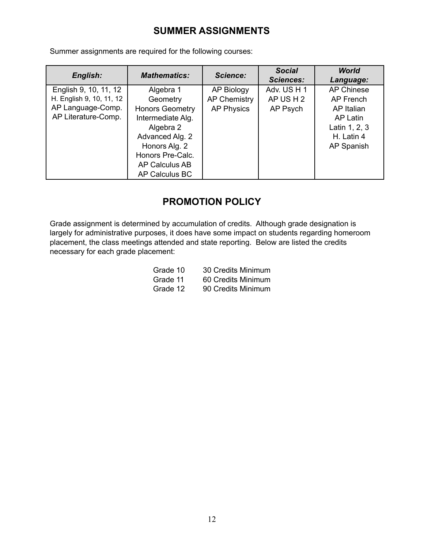# **SUMMER ASSIGNMENTS**

<span id="page-14-0"></span>Summer assignments are required for the following courses:

| English:                 | <b>Mathematics:</b>    | Science:            | <b>Social</b><br><b>Sciences:</b> | <b>World</b><br>Language: |
|--------------------------|------------------------|---------------------|-----------------------------------|---------------------------|
| English 9, 10, 11, 12    | Algebra 1              | AP Biology          | Adv. US H 1                       | <b>AP Chinese</b>         |
| H. English 9, 10, 11, 12 | Geometry               | <b>AP Chemistry</b> | AP US H 2                         | AP French                 |
| AP Language-Comp.        | <b>Honors Geometry</b> | <b>AP Physics</b>   | AP Psych                          | AP Italian                |
| AP Literature-Comp.      | Intermediate Alg.      |                     |                                   | AP Latin                  |
|                          | Algebra 2              |                     |                                   | Latin 1, 2, 3             |
|                          | Advanced Alg. 2        |                     |                                   | H. Latin 4                |
|                          | Honors Alg. 2          |                     |                                   | AP Spanish                |
|                          | Honors Pre-Calc.       |                     |                                   |                           |
|                          | AP Calculus AB         |                     |                                   |                           |
|                          | AP Calculus BC         |                     |                                   |                           |

#### **PROMOTION POLICY**

<span id="page-14-1"></span>Grade assignment is determined by accumulation of credits. Although grade designation is largely for administrative purposes, it does have some impact on students regarding homeroom placement, the class meetings attended and state reporting. Below are listed the credits necessary for each grade placement:

| Grade 10 | 30 Credits Minimum |
|----------|--------------------|
| Grade 11 | 60 Credits Minimum |
| Grade 12 | 90 Credits Minimum |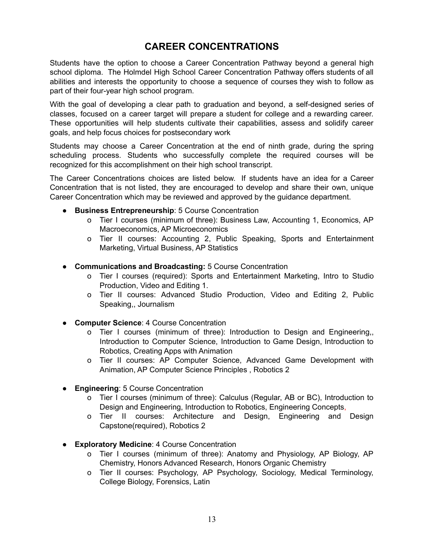# **CAREER CONCENTRATIONS**

<span id="page-15-0"></span>Students have the option to choose a Career Concentration Pathway beyond a general high school diploma. The Holmdel High School Career Concentration Pathway offers students of all abilities and interests the opportunity to choose a sequence of courses they wish to follow as part of their four-year high school program.

With the goal of developing a clear path to graduation and beyond, a self-designed series of classes, focused on a career target will prepare a student for college and a rewarding career. These opportunities will help students cultivate their capabilities, assess and solidify career goals, and help focus choices for postsecondary work

Students may choose a Career Concentration at the end of ninth grade, during the spring scheduling process. Students who successfully complete the required courses will be recognized for this accomplishment on their high school transcript.

The Career Concentrations choices are listed below. If students have an idea for a Career Concentration that is not listed, they are encouraged to develop and share their own, unique Career Concentration which may be reviewed and approved by the guidance department.

- **Business Entrepreneurship**: 5 Course Concentration
	- o Tier I courses (minimum of three): Business Law, Accounting 1, Economics, AP Macroeconomics, AP Microeconomics
	- o Tier II courses: Accounting 2, Public Speaking, Sports and Entertainment Marketing, Virtual Business, AP Statistics
- **Communications and Broadcasting:** 5 Course Concentration
	- o Tier I courses (required): Sports and Entertainment Marketing, Intro to Studio Production, Video and Editing 1.
	- o Tier II courses: Advanced Studio Production, Video and Editing 2, Public Speaking,, Journalism
- **Computer Science**: 4 Course Concentration
	- o Tier I courses (minimum of three): Introduction to Design and Engineering,, Introduction to Computer Science, Introduction to Game Design, Introduction to Robotics, Creating Apps with Animation
	- o Tier II courses: AP Computer Science, Advanced Game Development with Animation, AP Computer Science Principles , Robotics 2
- **Engineering**: 5 Course Concentration
	- o Tier I courses (minimum of three): Calculus (Regular, AB or BC), Introduction to Design and Engineering, Introduction to Robotics, Engineering Concepts,
	- o Tier II courses: Architecture and Design, Engineering and Design Capstone(required), Robotics 2
- **Exploratory Medicine**: 4 Course Concentration
	- o Tier I courses (minimum of three): Anatomy and Physiology, AP Biology, AP Chemistry, Honors Advanced Research, Honors Organic Chemistry
	- o Tier II courses: Psychology, AP Psychology, Sociology, Medical Terminology, College Biology, Forensics, Latin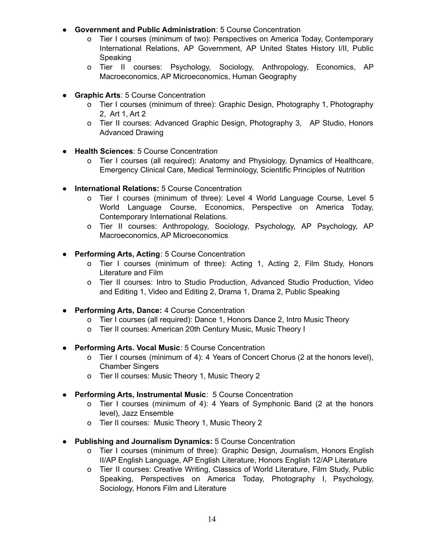- **Government and Public Administration**: 5 Course Concentration
	- o Tier I courses (minimum of two): Perspectives on America Today, Contemporary International Relations, AP Government, AP United States History I/II, Public Speaking
	- o Tier II courses: Psychology, Sociology, Anthropology, Economics, AP Macroeconomics, AP Microeconomics, Human Geography
- **Graphic Arts**: 5 Course Concentration
	- o Tier I courses (minimum of three): Graphic Design, Photography 1, Photography 2, Art 1, Art 2
	- o Tier II courses: Advanced Graphic Design, Photography 3, AP Studio, Honors Advanced Drawing
- **Health Sciences**: 5 Course Concentration
	- o Tier I courses (all required): Anatomy and Physiology, Dynamics of Healthcare, Emergency Clinical Care, Medical Terminology, Scientific Principles of Nutrition
- **International Relations:** 5 Course Concentration
	- o Tier I courses (minimum of three): Level 4 World Language Course, Level 5 World Language Course, Economics, Perspective on America Today, Contemporary International Relations.
	- o Tier II courses: Anthropology, Sociology, Psychology, AP Psychology, AP Macroeconomics, AP Microeconomics
- **Performing Arts, Acting**: 5 Course Concentration
	- o Tier I courses (minimum of three): Acting 1, Acting 2, Film Study, Honors Literature and Film
	- o Tier II courses: Intro to Studio Production, Advanced Studio Production, Video and Editing 1, Video and Editing 2, Drama 1, Drama 2, Public Speaking
- **Performing Arts, Dance:** 4 Course Concentration
	- o Tier I courses (all required): Dance 1, Honors Dance 2, Intro Music Theory
	- o Tier II courses: American 20th Century Music, Music Theory I
- **Performing Arts. Vocal Music**: 5 Course Concentration
	- o Tier I courses (minimum of 4): 4 Years of Concert Chorus (2 at the honors level), Chamber Singers
	- o Tier II courses: Music Theory 1, Music Theory 2
- **Performing Arts, Instrumental Music**: 5 Course Concentration
	- o Tier I courses (minimum of 4): 4 Years of Symphonic Band (2 at the honors level), Jazz Ensemble
	- o Tier II courses: Music Theory 1, Music Theory 2
- **Publishing and Journalism Dynamics:** 5 Course Concentration
	- o Tier I courses (minimum of three): Graphic Design, Journalism, Honors English II/AP English Language, AP English Literature, Honors English 12/AP Literature
	- o Tier II courses: Creative Writing, Classics of World Literature, Film Study, Public Speaking, Perspectives on America Today, Photography I, Psychology, Sociology, Honors Film and Literature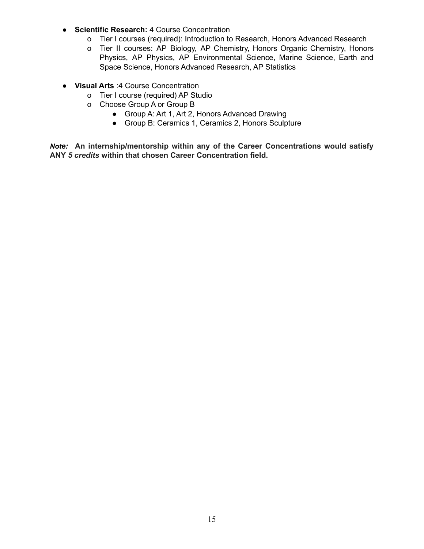- **Scientific Research:** 4 Course Concentration
	- o Tier I courses (required): Introduction to Research, Honors Advanced Research
	- o Tier II courses: AP Biology, AP Chemistry, Honors Organic Chemistry, Honors Physics, AP Physics, AP Environmental Science, Marine Science, Earth and Space Science, Honors Advanced Research, AP Statistics
- **Visual Arts** :4 Course Concentration
	- o Tier I course (required) AP Studio
	- o Choose Group A or Group B
		- Group A: Art 1, Art 2, Honors Advanced Drawing
		- Group B: Ceramics 1, Ceramics 2, Honors Sculpture

*Note:* **An internship/mentorship within any of the Career Concentrations would satisfy ANY** *5 credits* **within that chosen Career Concentration field.**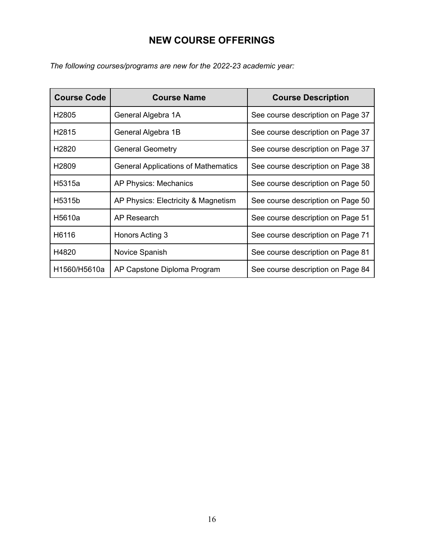# **NEW COURSE OFFERINGS**

<span id="page-18-0"></span>*The following courses/programs are new for the 2022-23 academic year:*

| <b>Course Code</b> | <b>Course Name</b>                         | <b>Course Description</b>         |
|--------------------|--------------------------------------------|-----------------------------------|
| H <sub>2805</sub>  | General Algebra 1A                         | See course description on Page 37 |
| H <sub>2</sub> 815 | General Algebra 1B                         | See course description on Page 37 |
| H <sub>2820</sub>  | <b>General Geometry</b>                    | See course description on Page 37 |
| H <sub>2809</sub>  | <b>General Applications of Mathematics</b> | See course description on Page 38 |
| H5315a             | <b>AP Physics: Mechanics</b>               | See course description on Page 50 |
| H5315b             | AP Physics: Electricity & Magnetism        | See course description on Page 50 |
| H <sub>5610a</sub> | AP Research                                | See course description on Page 51 |
| H6116              | Honors Acting 3                            | See course description on Page 71 |
| H4820              | Novice Spanish                             | See course description on Page 81 |
| H1560/H5610a       | AP Capstone Diploma Program                | See course description on Page 84 |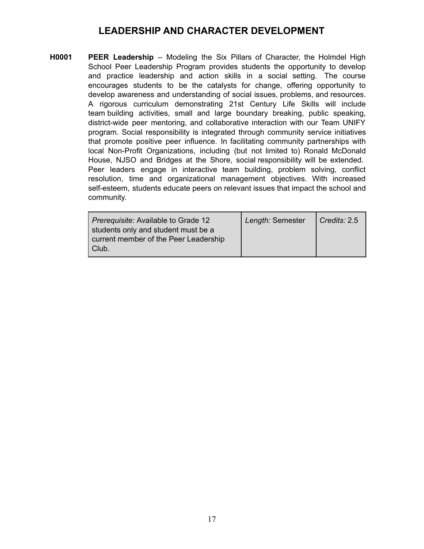#### **LEADERSHIP AND CHARACTER DEVELOPMENT**

<span id="page-19-0"></span>**H0001 PEER Leadership** – Modeling the Six Pillars of Character, the Holmdel High School Peer Leadership Program provides students the opportunity to develop and practice leadership and action skills in a social setting. The course encourages students to be the catalysts for change, offering opportunity to develop awareness and understanding of social issues, problems, and resources. A rigorous curriculum demonstrating 21st Century Life Skills will include team building activities, small and large boundary breaking, public speaking, district-wide peer mentoring, and collaborative interaction with our Team UNIFY program. Social responsibility is integrated through community service initiatives that promote positive peer influence. In facilitating community partnerships with local Non-Profit Organizations, including (but not limited to) Ronald McDonald House, NJSO and Bridges at the Shore, social responsibility will be extended. Peer leaders engage in interactive team building, problem solving, conflict resolution, time and organizational management objectives. With increased self-esteem, students educate peers on relevant issues that impact the school and community.

| Prerequisite: Available to Grade 12   | Length: Semester | $\mid$ Credits: 2.5 |
|---------------------------------------|------------------|---------------------|
| students only and student must be a   |                  |                     |
| current member of the Peer Leadership |                  |                     |
| Club.                                 |                  |                     |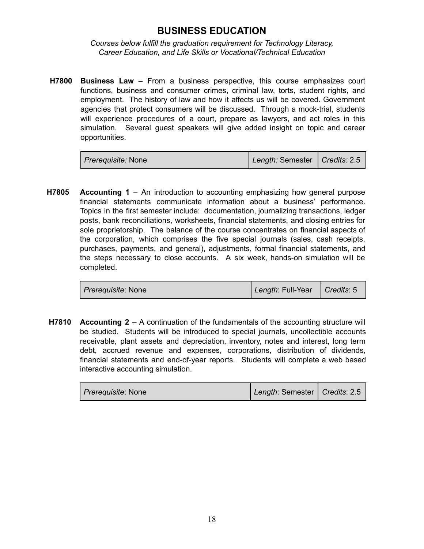#### **BUSINESS EDUCATION**

<span id="page-20-0"></span>*Courses below fulfill the graduation requirement for Technology Literacy, Career Education, and Life Skills or Vocational/Technical Education*

**H7800 Business Law** – From a business perspective, this course emphasizes court functions, business and consumer crimes, criminal law, torts, student rights, and employment. The history of law and how it affects us will be covered. Government agencies that protect consumers will be discussed. Through a mock-trial, students will experience procedures of a court, prepare as lawyers, and act roles in this simulation. Several guest speakers will give added insight on topic and career opportunities.

| <i>Prerequisite:</i> None | Length: Semester   Credits: 2.5 |  |
|---------------------------|---------------------------------|--|
|---------------------------|---------------------------------|--|

**H7805 Accounting 1** – An introduction to accounting emphasizing how general purpose financial statements communicate information about a business' performance. Topics in the first semester include: documentation, journalizing transactions, ledger posts, bank reconciliations, worksheets, financial statements, and closing entries for sole proprietorship. The balance of the course concentrates on financial aspects of the corporation, which comprises the five special journals (sales, cash receipts, purchases, payments, and general), adjustments, formal financial statements, and the steps necessary to close accounts. A six week, hands-on simulation will be completed.

| <i>Prerequisite: None</i> | Length: Full-Year   Credits: 5 |  |
|---------------------------|--------------------------------|--|
|                           |                                |  |

**H7810 Accounting 2** – A continuation of the fundamentals of the accounting structure will be studied. Students will be introduced to special journals, uncollectible accounts receivable, plant assets and depreciation, inventory, notes and interest, long term debt, accrued revenue and expenses, corporations, distribution of dividends, financial statements and end-of-year reports. Students will complete a web based interactive accounting simulation.

| <i>Prerequisite: None</i> | Length: Semester   Credits: 2.5 |  |
|---------------------------|---------------------------------|--|
|---------------------------|---------------------------------|--|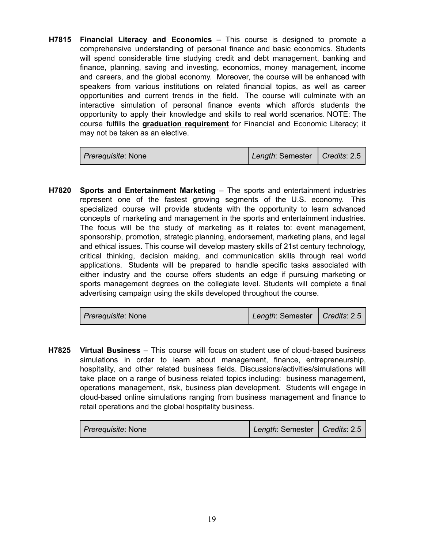**H7815 Financial Literacy and Economics** – This course is designed to promote a comprehensive understanding of personal finance and basic economics. Students will spend considerable time studying credit and debt management, banking and finance, planning, saving and investing, economics, money management, income and careers, and the global economy. Moreover, the course will be enhanced with speakers from various institutions on related financial topics, as well as career opportunities and current trends in the field. The course will culminate with an interactive simulation of personal finance events which affords students the opportunity to apply their knowledge and skills to real world scenarios. NOTE: The course fulfills the **graduation requirement** for Financial and Economic Literacy; it may not be taken as an elective.

| <i>Prerequisite: None</i> | Length: Semester   Credits: 2.5 |  |
|---------------------------|---------------------------------|--|
|---------------------------|---------------------------------|--|

**H7820 Sports and Entertainment Marketing** – The sports and entertainment industries represent one of the fastest growing segments of the U.S. economy. This specialized course will provide students with the opportunity to learn advanced concepts of marketing and management in the sports and entertainment industries. The focus will be the study of marketing as it relates to: event management, sponsorship, promotion, strategic planning, endorsement, marketing plans, and legal and ethical issues. This course will develop mastery skills of 21st century technology, critical thinking, decision making, and communication skills through real world applications. Students will be prepared to handle specific tasks associated with either industry and the course offers students an edge if pursuing marketing or sports management degrees on the collegiate level. Students will complete a final advertising campaign using the skills developed throughout the course.

| <i>Prerequisite:</i> None | Length: Semester   Credits: 2.5 |  |
|---------------------------|---------------------------------|--|
|---------------------------|---------------------------------|--|

**H7825 Virtual Business** – This course will focus on student use of cloud-based business simulations in order to learn about management, finance, entrepreneurship, hospitality, and other related business fields. Discussions/activities/simulations will take place on a range of business related topics including: business management, operations management, risk, business plan development. Students will engage in cloud-based online simulations ranging from business management and finance to retail operations and the global hospitality business.

| <i>Prerequisite: None</i> | Length: Semester   Credits: 2.5 |  |
|---------------------------|---------------------------------|--|
|---------------------------|---------------------------------|--|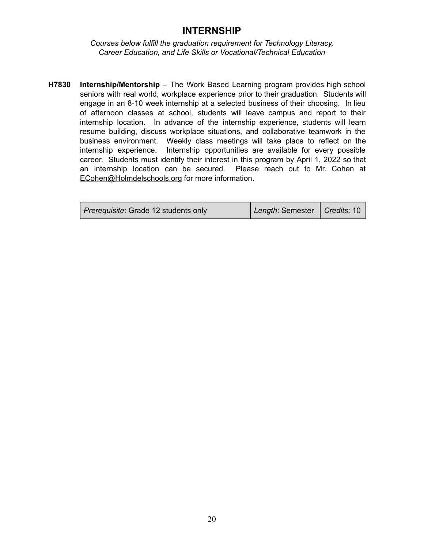#### **INTERNSHIP**

<span id="page-22-0"></span>*Courses below fulfill the graduation requirement for Technology Literacy, Career Education, and Life Skills or Vocational/Technical Education*

**H7830 Internship/Mentorship** – The Work Based Learning program provides high school seniors with real world, workplace experience prior to their graduation. Students will engage in an 8-10 week internship at a selected business of their choosing. In lieu of afternoon classes at school, students will leave campus and report to their internship location. In advance of the internship experience, students will learn resume building, discuss workplace situations, and collaborative teamwork in the business environment. Weekly class meetings will take place to reflect on the internship experience. Internship opportunities are available for every possible career. Students must identify their interest in this program by April 1, 2022 so that an internship location can be secured. Please reach out to Mr. Cohen at [ECohen@Holmdelschools.org](mailto:ECohen@Holmdelschools.org) for more information.

| <i>Prerequisite: Grade 12 students only</i> | Length: Semester   Credits: 10 |  |
|---------------------------------------------|--------------------------------|--|
|                                             |                                |  |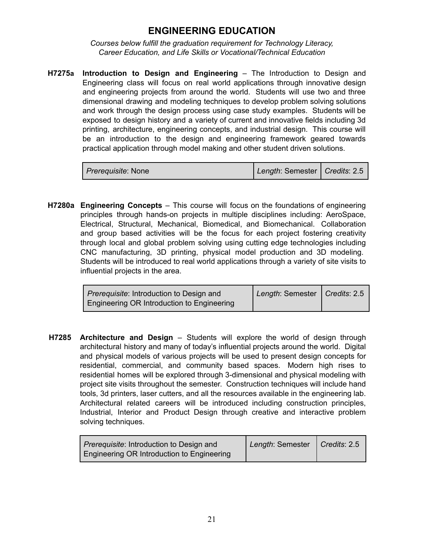#### **ENGINEERING EDUCATION**

<span id="page-23-0"></span>*Courses below fulfill the graduation requirement for Technology Literacy, Career Education, and Life Skills or Vocational/Technical Education*

**H7275a Introduction to Design and Engineering** – The Introduction to Design and Engineering class will focus on real world applications through innovative design and engineering projects from around the world. Students will use two and three dimensional drawing and modeling techniques to develop problem solving solutions and work through the design process using case study examples. Students will be exposed to design history and a variety of current and innovative fields including 3d printing, architecture, engineering concepts, and industrial design. This course will be an introduction to the design and engineering framework geared towards practical application through model making and other student driven solutions.

| <i>Prerequisite: None</i> | Length: Semester   Credits: 2.5 |  |
|---------------------------|---------------------------------|--|
|---------------------------|---------------------------------|--|

**H7280a Engineering Concepts** – This course will focus on the foundations of engineering principles through hands-on projects in multiple disciplines including: AeroSpace, Electrical, Structural, Mechanical, Biomedical, and Biomechanical. Collaboration and group based activities will be the focus for each project fostering creativity through local and global problem solving using cutting edge technologies including CNC manufacturing, 3D printing, physical model production and 3D modeling. Students will be introduced to real world applications through a variety of site visits to influential projects in the area.

| <i>Prerequisite:</i> Introduction to Design and | Length: Semester   Credits: 2.5 |  |
|-------------------------------------------------|---------------------------------|--|
| Engineering OR Introduction to Engineering      |                                 |  |

**H7285 Architecture and Design** – Students will explore the world of design through architectural history and many of today's influential projects around the world. Digital and physical models of various projects will be used to present design concepts for residential, commercial, and community based spaces. Modern high rises to residential homes will be explored through 3-dimensional and physical modeling with project site visits throughout the semester. Construction techniques will include hand tools, 3d printers, laser cutters, and all the resources available in the engineering lab. Architectural related careers will be introduced including construction principles, Industrial, Interior and Product Design through creative and interactive problem solving techniques.

| <i>Prerequisite:</i> Introduction to Design and | Length: Semester   Credits: 2.5 |  |
|-------------------------------------------------|---------------------------------|--|
| Engineering OR Introduction to Engineering      |                                 |  |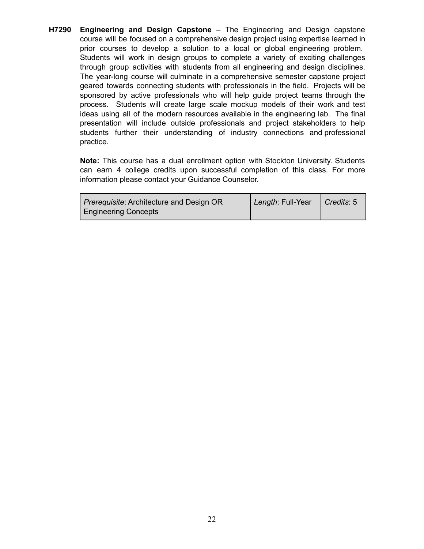**H7290 Engineering and Design Capstone** – The Engineering and Design capstone course will be focused on a comprehensive design project using expertise learned in prior courses to develop a solution to a local or global engineering problem. Students will work in design groups to complete a variety of exciting challenges through group activities with students from all engineering and design disciplines. The year-long course will culminate in a comprehensive semester capstone project geared towards connecting students with professionals in the field. Projects will be sponsored by active professionals who will help guide project teams through the process. Students will create large scale mockup models of their work and test ideas using all of the modern resources available in the engineering lab. The final presentation will include outside professionals and project stakeholders to help students further their understanding of industry connections and professional practice.

**Note:** This course has a dual enrollment option with Stockton University. Students can earn 4 college credits upon successful completion of this class. For more information please contact your Guidance Counselor.

| <i>Prerequisite:</i> Architecture and Design OR | Length: Full-Year | $\bigcap$ Credits: 5 |
|-------------------------------------------------|-------------------|----------------------|
| <b>Engineering Concepts</b>                     |                   |                      |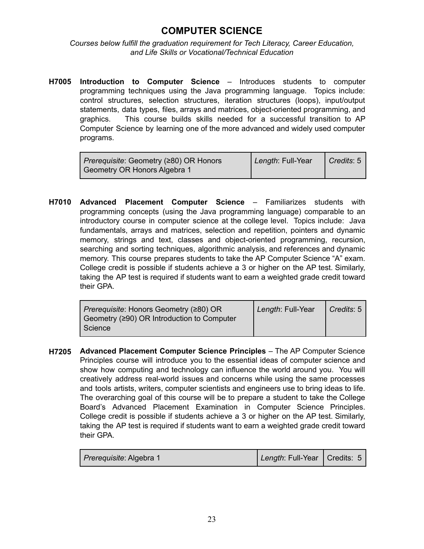# **COMPUTER SCIENCE**

<span id="page-25-0"></span>*Courses below fulfill the graduation requirement for Tech Literacy, Career Education, and Life Skills or Vocational/Technical Education*

**H7005 Introduction to Computer Science** – Introduces students to computer programming techniques using the Java programming language. Topics include: control structures, selection structures, iteration structures (loops), input/output statements, data types, files, arrays and matrices, object-oriented programming, and graphics. This course builds skills needed for a successful transition to AP Computer Science by learning one of the more advanced and widely used computer programs.

| Prerequisite: Geometry (≥80) OR Honors | Length: Full-Year | $\vert$ Credits: 5 |
|----------------------------------------|-------------------|--------------------|
| Geometry OR Honors Algebra 1           |                   |                    |

**H7010 Advanced Placement Computer Science** – Familiarizes students with programming concepts (using the Java programming language) comparable to an introductory course in computer science at the college level. Topics include: Java fundamentals, arrays and matrices, selection and repetition, pointers and dynamic memory, strings and text, classes and object-oriented programming, recursion, searching and sorting techniques, algorithmic analysis, and references and dynamic memory. This course prepares students to take the AP Computer Science "A" exam. College credit is possible if students achieve a 3 or higher on the AP test. Similarly, taking the AP test is required if students want to earn a weighted grade credit toward their GPA.

| <i>Prerequisite:</i> Honors Geometry (≥80) OR<br>Geometry $(290)$ OR Introduction to Computer<br>Science | Length: Full-Year | Credits: 5 |
|----------------------------------------------------------------------------------------------------------|-------------------|------------|
|                                                                                                          |                   |            |

**H7205 Advanced Placement Computer Science Principles** – The AP Computer Science Principles course will introduce you to the essential ideas of computer science and show how computing and technology can influence the world around you. You will creatively address real-world issues and concerns while using the same processes and tools artists, writers, computer scientists and engineers use to bring ideas to life. The overarching goal of this course will be to prepare a student to take the College Board's Advanced Placement Examination in Computer Science Principles. College credit is possible if students achieve a 3 or higher on the AP test. Similarly, taking the AP test is required if students want to earn a weighted grade credit toward their GPA.

| <i>Prerequisite: Algebra 1</i> | Length: Full-Year   Credits: 5 |  |
|--------------------------------|--------------------------------|--|
|--------------------------------|--------------------------------|--|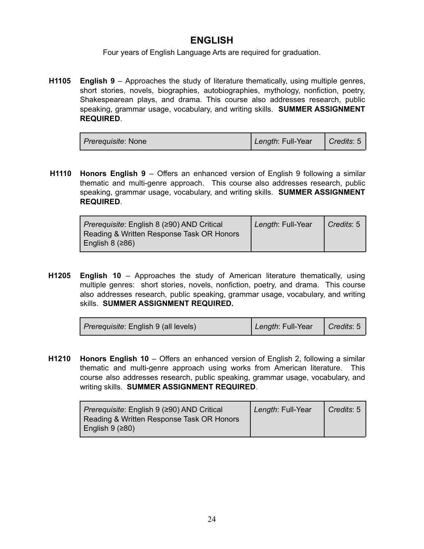#### **ENGLISH**

Four years of English Language Arts are required for graduation.

<span id="page-26-0"></span>**H1105 English 9** – Approaches the study of literature thematically, using multiple genres, short stories, novels, biographies, autobiographies, mythology, nonfiction, poetry, Shakespearean plays, and drama. This course also addresses research, public speaking, grammar usage, vocabulary, and writing skills. **SUMMER ASSIGNMENT REQUIRED**.

| <i>Prerequisite:</i> None | Length: Full-Year | $\vert$ Credits: 5 |
|---------------------------|-------------------|--------------------|
|---------------------------|-------------------|--------------------|

**H1110 Honors English 9** – Offers an enhanced version of English 9 following a similar thematic and multi-genre approach. This course also addresses research, public speaking, grammar usage, vocabulary, and writing skills. **SUMMER ASSIGNMENT REQUIRED**.

| <i>Prerequisite:</i> English 8 (≥90) AND Critical<br>Reading & Written Response Task OR Honors | Length: Full-Year | $\vert$ Credits: 5 |
|------------------------------------------------------------------------------------------------|-------------------|--------------------|
| English 8 $(286)$                                                                              |                   |                    |

**H1205 English 10** – Approaches the study of American literature thematically, using multiple genres: short stories, novels, nonfiction, poetry, and drama. This course also addresses research, public speaking, grammar usage, vocabulary, and writing skills. **SUMMER ASSIGNMENT REQUIRED.**

| <i>Prerequisite</i> : English 9 (all levels) | Length: Full-Year | $\Box$ Credits: 5 |
|----------------------------------------------|-------------------|-------------------|
|----------------------------------------------|-------------------|-------------------|

**H1210 Honors English 10** – Offers an enhanced version of English 2, following a similar thematic and multi-genre approach using works from American literature. This course also addresses research, public speaking, grammar usage, vocabulary, and writing skills. **SUMMER ASSIGNMENT REQUIRED**.

| <i>Prerequisite</i> : English 9 (≥90) AND Critical<br>Reading & Written Response Task OR Honors | Length: Full-Year | $\mid$ Credits: 5 |
|-------------------------------------------------------------------------------------------------|-------------------|-------------------|
| English $9$ ( $\geq 80$ )                                                                       |                   |                   |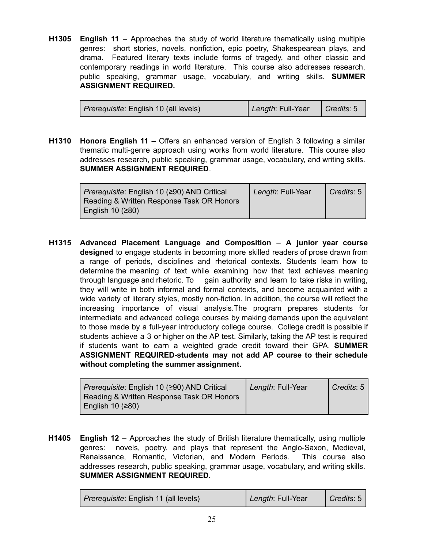**H1305 English 11** – Approaches the study of world literature thematically using multiple genres: short stories, novels, nonfiction, epic poetry, Shakespearean plays, and drama. Featured literary texts include forms of tragedy, and other classic and contemporary readings in world literature. This course also addresses research, public speaking, grammar usage, vocabulary, and writing skills. **SUMMER ASSIGNMENT REQUIRED.**

| Length: Full-Year<br><i>Prerequisite</i> : English 10 (all levels) |
|--------------------------------------------------------------------|
|--------------------------------------------------------------------|

**H1310 Honors English 11** – Offers an enhanced version of English 3 following a similar thematic multi-genre approach using works from world literature. This course also addresses research, public speaking, grammar usage, vocabulary, and writing skills. **SUMMER ASSIGNMENT REQUIRED**.

| <i>Prerequisite:</i> English 10 (≥90) AND Critical<br>Reading & Written Response Task OR Honors | Length: Full-Year | Credits: 5 |
|-------------------------------------------------------------------------------------------------|-------------------|------------|
| English 10 $(≥80)$                                                                              |                   |            |

**H1315 Advanced Placement Language and Composition** – **A junior year course designed** to engage students in becoming more skilled readers of prose drawn from a range of periods, disciplines and rhetorical contexts. Students learn how to determine the meaning of text while examining how that text achieves meaning through language and rhetoric. To gain authority and learn to take risks in writing, they will write in both informal and formal contexts, and become acquainted with a wide variety of literary styles, mostly non-fiction. In addition, the course will reflect the increasing importance of visual analysis.The program prepares students for intermediate and advanced college courses by making demands upon the equivalent to those made by a full-year introductory college course. College credit is possible if students achieve a 3 or higher on the AP test. Similarly, taking the AP test is required if students want to earn a weighted grade credit toward their GPA. **SUMMER ASSIGNMENT REQUIRED-students may not add AP course to their schedule without completing the summer assignment.**

| Prerequisite: English 10 (≥90) AND Critical | Length: Full-Year | Credits: 5 |
|---------------------------------------------|-------------------|------------|
| Reading & Written Response Task OR Honors   |                   |            |
| English 10 (≥80)                            |                   |            |

**H1405 English 12** – Approaches the study of British literature thematically, using multiple genres: novels, poetry, and plays that represent the Anglo-Saxon, Medieval, Renaissance, Romantic, Victorian, and Modern Periods. This course also addresses research, public speaking, grammar usage, vocabulary, and writing skills. **SUMMER ASSIGNMENT REQUIRED.**

| Prerequisite: English 11 (all levels) | Length: Full-Year | $\bigcap$ Credits: 5 |
|---------------------------------------|-------------------|----------------------|
|---------------------------------------|-------------------|----------------------|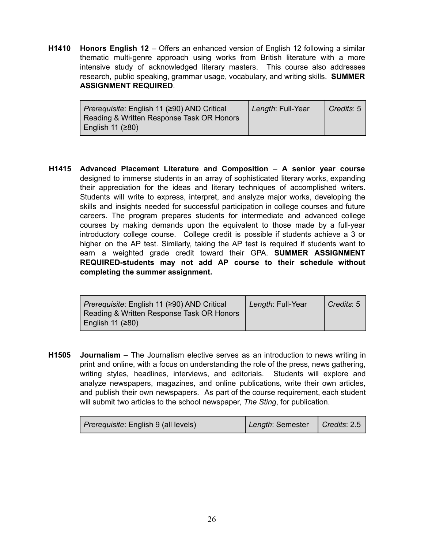**H1410 Honors English 12** – Offers an enhanced version of English 12 following a similar thematic multi-genre approach using works from British literature with a more intensive study of acknowledged literary masters. This course also addresses research, public speaking, grammar usage, vocabulary, and writing skills. **SUMMER ASSIGNMENT REQUIRED**.

| <i>Prerequisite:</i> English 11 (≥90) AND Critical<br>Reading & Written Response Task OR Honors | Length: Full-Year | Credits: 5 |
|-------------------------------------------------------------------------------------------------|-------------------|------------|
| English 11 $(280)$                                                                              |                   |            |

**H1415 Advanced Placement Literature and Composition** – **A senior year course** designed to immerse students in an array of sophisticated literary works, expanding their appreciation for the ideas and literary techniques of accomplished writers. Students will write to express, interpret, and analyze major works, developing the skills and insights needed for successful participation in college courses and future careers. The program prepares students for intermediate and advanced college courses by making demands upon the equivalent to those made by a full-year introductory college course. College credit is possible if students achieve a 3 or higher on the AP test. Similarly, taking the AP test is required if students want to earn a weighted grade credit toward their GPA. **SUMMER ASSIGNMENT REQUIRED-students may not add AP course to their schedule without completing the summer assignment.**

| Prerequisite: English 11 (≥90) AND Critical | Length: Full-Year | $\vert$ Credits: 5 |
|---------------------------------------------|-------------------|--------------------|
| Reading & Written Response Task OR Honors   |                   |                    |
| English 11 $(≥80)$                          |                   |                    |

**H1505 Journalism** – The Journalism elective serves as an introduction to news writing in print and online, with a focus on understanding the role of the press, news gathering, writing styles, headlines, interviews, and editorials. Students will explore and analyze newspapers, magazines, and online publications, write their own articles, and publish their own newspapers. As part of the course requirement, each student will submit two articles to the school newspaper, *The Sting*, for publication.

| <i>Prerequisite</i> : English 9 (all levels) | Length: Semester | Credits: 2.5 |
|----------------------------------------------|------------------|--------------|
|----------------------------------------------|------------------|--------------|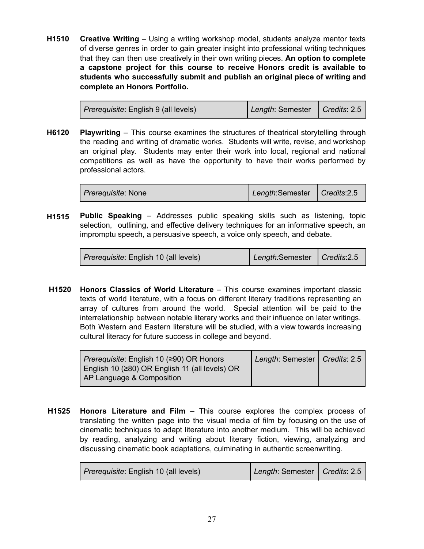**H1510 Creative Writing** – Using a writing workshop model, students analyze mentor texts of diverse genres in order to gain greater insight into professional writing techniques that they can then use creatively in their own writing pieces. **An option to complete a capstone project for this course to receive Honors credit is available to students who successfully submit and publish an original piece of writing and complete an Honors Portfolio.**

| <i>Prerequisite</i> : English 9 (all levels) | Length: Semester   Credits: 2.5 |  |
|----------------------------------------------|---------------------------------|--|
|----------------------------------------------|---------------------------------|--|

**H6120 Playwriting** – This course examines the structures of theatrical storytelling through the reading and writing of dramatic works. Students will write, revise, and workshop an original play. Students may enter their work into local, regional and national competitions as well as have the opportunity to have their works performed by professional actors.

| <i>Prerequisite: None</i> | Length:Semester   Credits:2.5 |  |
|---------------------------|-------------------------------|--|
|---------------------------|-------------------------------|--|

**H1515 Public Speaking** – Addresses public speaking skills such as listening, topic selection, outlining, and effective delivery techniques for an informative speech, an impromptu speech, a persuasive speech, a voice only speech, and debate.

| <i>Prerequisite</i> : English 10 (all levels) | Length:Semester   Credits:2.5 |  |
|-----------------------------------------------|-------------------------------|--|
|-----------------------------------------------|-------------------------------|--|

**H1520 Honors Classics of World Literature** – This course examines important classic texts of world literature, with a focus on different literary traditions representing an array of cultures from around the world. Special attention will be paid to the interrelationship between notable literary works and their influence on later writings. Both Western and Eastern literature will be studied, with a view towards increasing cultural literacy for future success in college and beyond.

| Prerequisite: English 10 (≥90) OR Honors       | Length: Semester   Credits: 2.5 |  |
|------------------------------------------------|---------------------------------|--|
| English 10 (≥80) OR English 11 (all levels) OR |                                 |  |
| AP Language & Composition                      |                                 |  |

**H1525 Honors Literature and Film** – This course explores the complex process of translating the written page into the visual media of film by focusing on the use of cinematic techniques to adapt literature into another medium. This will be achieved by reading, analyzing and writing about literary fiction, viewing, analyzing and discussing cinematic book adaptations, culminating in authentic screenwriting.

| <i>Prerequisite</i> : English 10 (all levels) | Length: Semester   Credits: 2.5 |  |
|-----------------------------------------------|---------------------------------|--|
|-----------------------------------------------|---------------------------------|--|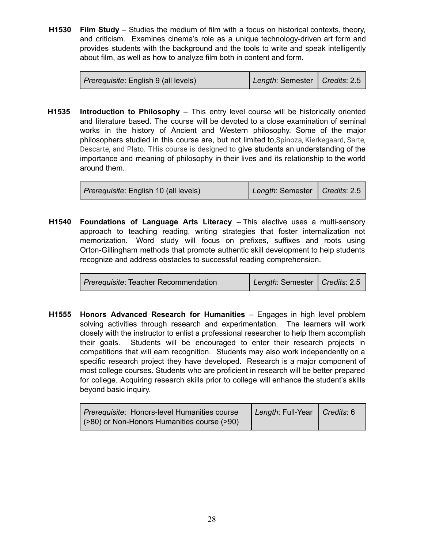**H1530 Film Study** – Studies the medium of film with a focus on historical contexts, theory, and criticism. Examines cinema's role as a unique technology-driven art form and provides students with the background and the tools to write and speak intelligently about film, as well as how to analyze film both in content and form.

| <i>Prerequisite</i> : English 9 (all levels) | Length: Semester   Credits: 2.5 |  |
|----------------------------------------------|---------------------------------|--|
|----------------------------------------------|---------------------------------|--|

**H1535 Introduction to Philosophy** – This entry level course will be historically oriented and literature based. The course will be devoted to a close examination of seminal works in the history of Ancient and Western philosophy. Some of the major philosophers studied in this course are, but not limited to,Spinoza, Kierkegaard, Sarte, Descarte, and Plato. THis course is designed to give students an understanding of the importance and meaning of philosophy in their lives and its relationship to the world around them.

| <i>Prerequisite</i> : English 10 (all levels) | Length: Semester   Credits: 2.5 |  |
|-----------------------------------------------|---------------------------------|--|
|                                               |                                 |  |

**H1540 Foundations of Language Arts Literacy** – This elective uses a multi-sensory approach to teaching reading, writing strategies that foster internalization not memorization. Word study will focus on prefixes, suffixes and roots using Orton-Gillingham methods that promote authentic skill development to help students recognize and address obstacles to successful reading comprehension.

| <i>Prerequisite:</i> Teacher Recommendation | Length: Semester   Credits: 2.5 |  |
|---------------------------------------------|---------------------------------|--|
|---------------------------------------------|---------------------------------|--|

**H1555 Honors Advanced Research for Humanities** – Engages in high level problem solving activities through research and experimentation. The learners will work closely with the instructor to enlist a professional researcher to help them accomplish their goals. Students will be encouraged to enter their research projects in competitions that will earn recognition. Students may also work independently on a specific research project they have developed. Research is a major component of most college courses. Students who are proficient in research will be better prepared for college. Acquiring research skills prior to college will enhance the student's skills beyond basic inquiry.

| Prerequisite: Honors-level Humanities course | Length: Full-Year   Credits: 6 |  |
|----------------------------------------------|--------------------------------|--|
| (>80) or Non-Honors Humanities course (>90)  |                                |  |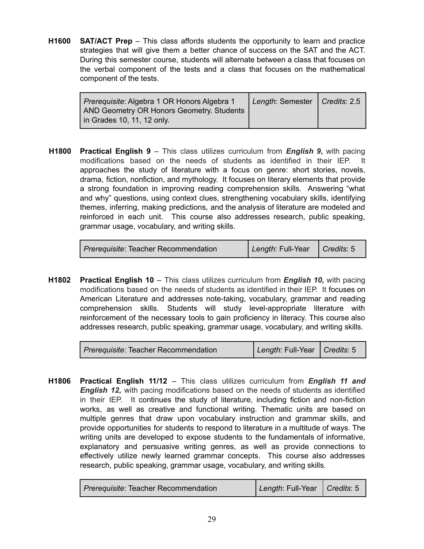**H1600 SAT/ACT Prep** – This class affords students the opportunity to learn and practice strategies that will give them a better chance of success on the SAT and the ACT. During this semester course, students will alternate between a class that focuses on the verbal component of the tests and a class that focuses on the mathematical component of the tests.

| <i>Prerequisite: Algebra 1 OR Honors Algebra 1</i><br>AND Geometry OR Honors Geometry. Students | Length: Semester   Credits: 2.5 |  |
|-------------------------------------------------------------------------------------------------|---------------------------------|--|
| in Grades 10, 11, 12 only.                                                                      |                                 |  |

**H1800 Practical English 9** – This class utilizes curriculum from *English 9***,** with pacing modifications based on the needs of students as identified in their IEP. It approaches the study of literature with a focus on genre: short stories, novels, drama, fiction, nonfiction, and mythology. It focuses on literary elements that provide a strong foundation in improving reading comprehension skills. Answering "what and why" questions, using context clues, strengthening vocabulary skills, identifying themes, inferring, making predictions, and the analysis of literature are modeled and reinforced in each unit. This course also addresses research, public speaking, grammar usage, vocabulary, and writing skills.

| Prerequisite: Teacher Recommendation | Length: Full-Year   Credits: 5 |  |
|--------------------------------------|--------------------------------|--|
|--------------------------------------|--------------------------------|--|

**H1802 Practical English 10** – This class utilizes curriculum from *English 10***,** with pacing modifications based on the needs of students as identified in their IEP. It focuses on American Literature and addresses note-taking, vocabulary, grammar and reading comprehension skills. Students will study level-appropriate literature with reinforcement of the necessary tools to gain proficiency in literacy. This course also addresses research, public speaking, grammar usage, vocabulary, and writing skills.

*Prerequisite*: Teacher Recommendation *Length*: Full-Year *Credits*: 5

**H1806 Practical English 11/12** – This class utilizes curriculum from *English 11 and English 12***,** with pacing modifications based on the needs of students as identified in their IEP. It continues the study of literature, including fiction and non-fiction works, as well as creative and functional writing. Thematic units are based on multiple genres that draw upon vocabulary instruction and grammar skills, and provide opportunities for students to respond to literature in a multitude of ways. The writing units are developed to expose students to the fundamentals of informative, explanatory and persuasive writing genres, as well as provide connections to effectively utilize newly learned grammar concepts. This course also addresses research, public speaking, grammar usage, vocabulary, and writing skills.

| Prerequisite: Teacher Recommendation | Length: Full-Year   Credits: 5 |  |
|--------------------------------------|--------------------------------|--|
|--------------------------------------|--------------------------------|--|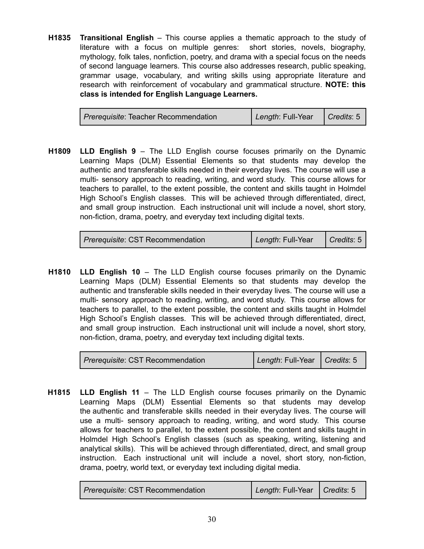**H1835 Transitional English** – This course applies a thematic approach to the study of literature with a focus on multiple genres: short stories, novels, biography, mythology, folk tales, nonfiction, poetry, and drama with a special focus on the needs of second language learners. This course also addresses research, public speaking, grammar usage, vocabulary, and writing skills using appropriate literature and research with reinforcement of vocabulary and grammatical structure. **NOTE: this class is intended for English Language Learners.**

| <i>Prerequisite: Teacher Recommendation</i> | Length: Full-Year   Credits: 5 |  |
|---------------------------------------------|--------------------------------|--|
|                                             |                                |  |

**H1809 LLD English 9** – The LLD English course focuses primarily on the Dynamic Learning Maps (DLM) Essential Elements so that students may develop the authentic and transferable skills needed in their everyday lives. The course will use a multi- sensory approach to reading, writing, and word study. This course allows for teachers to parallel, to the extent possible, the content and skills taught in Holmdel High School's English classes. This will be achieved through differentiated, direct, and small group instruction. Each instructional unit will include a novel, short story, non-fiction, drama, poetry, and everyday text including digital texts.

| <i>Prerequisite: CST Recommendation</i> | Length: Full-Year | $\vert$ Credits: 5 |
|-----------------------------------------|-------------------|--------------------|
|-----------------------------------------|-------------------|--------------------|

**H1810 LLD English 10** – The LLD English course focuses primarily on the Dynamic Learning Maps (DLM) Essential Elements so that students may develop the authentic and transferable skills needed in their everyday lives. The course will use a multi- sensory approach to reading, writing, and word study. This course allows for teachers to parallel, to the extent possible, the content and skills taught in Holmdel High School's English classes. This will be achieved through differentiated, direct, and small group instruction. Each instructional unit will include a novel, short story, non-fiction, drama, poetry, and everyday text including digital texts.

**H1815 LLD English 11** – The LLD English course focuses primarily on the Dynamic Learning Maps (DLM) Essential Elements so that students may develop the authentic and transferable skills needed in their everyday lives. The course will use a multi- sensory approach to reading, writing, and word study. This course allows for teachers to parallel, to the extent possible, the content and skills taught in Holmdel High School's English classes (such as speaking, writing, listening and analytical skills). This will be achieved through differentiated, direct, and small group instruction. Each instructional unit will include a novel, short story, non-fiction, drama, poetry, world text, or everyday text including digital media.

| Prerequisite: CST Recommendation | Length: Full-Year   Credits: 5 |  |
|----------------------------------|--------------------------------|--|
|                                  |                                |  |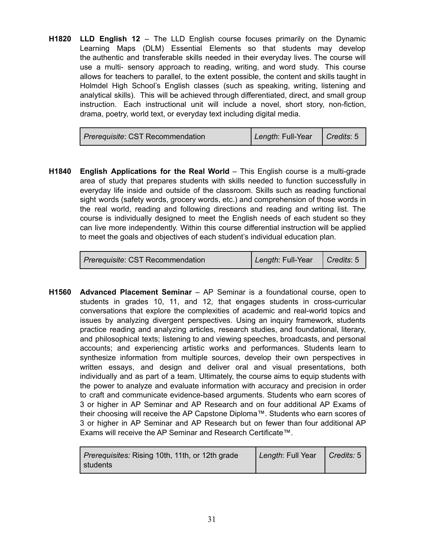**H1820 LLD English 12** – The LLD English course focuses primarily on the Dynamic Learning Maps (DLM) Essential Elements so that students may develop the authentic and transferable skills needed in their everyday lives. The course will use a multi- sensory approach to reading, writing, and word study. This course allows for teachers to parallel, to the extent possible, the content and skills taught in Holmdel High School's English classes (such as speaking, writing, listening and analytical skills). This will be achieved through differentiated, direct, and small group instruction. Each instructional unit will include a novel, short story, non-fiction, drama, poetry, world text, or everyday text including digital media.

| <i>Prerequisite: CST Recommendation</i> | Length: Full-Year | $\vert$ Credits: 5 |
|-----------------------------------------|-------------------|--------------------|
|-----------------------------------------|-------------------|--------------------|

**H1840 English Applications for the Real World** – This English course is a multi-grade area of study that prepares students with skills needed to function successfully in everyday life inside and outside of the classroom. Skills such as reading functional sight words (safety words, grocery words, etc.) and comprehension of those words in the real world, reading and following directions and reading and writing list. The course is individually designed to meet the English needs of each student so they can live more independently. Within this course differential instruction will be applied to meet the goals and objectives of each student's individual education plan.

**H1560 Advanced Placement Seminar** – AP Seminar is a foundational course, open to students in grades 10, 11, and 12, that engages students in cross-curricular conversations that explore the complexities of academic and real-world topics and issues by analyzing divergent perspectives. Using an inquiry framework, students practice reading and analyzing articles, research studies, and foundational, literary, and philosophical texts; listening to and viewing speeches, broadcasts, and personal accounts; and experiencing artistic works and performances. Students learn to synthesize information from multiple sources, develop their own perspectives in written essays, and design and deliver oral and visual presentations, both individually and as part of a team. Ultimately, the course aims to equip students with the power to analyze and evaluate information with accuracy and precision in order to craft and communicate evidence-based arguments. Students who earn scores of 3 or higher in AP Seminar and AP Research and on four additional AP Exams of their choosing will receive the AP Capstone Diploma™. Students who earn scores of 3 or higher in AP Seminar and AP Research but on fewer than four additional AP Exams will receive the AP Seminar and Research Certificate™.

| <i>Prerequisites:</i> Rising 10th, 11th, or 12th grade<br>I students | Length: Full Year | $\vert$ Credits: 5 |
|----------------------------------------------------------------------|-------------------|--------------------|
|----------------------------------------------------------------------|-------------------|--------------------|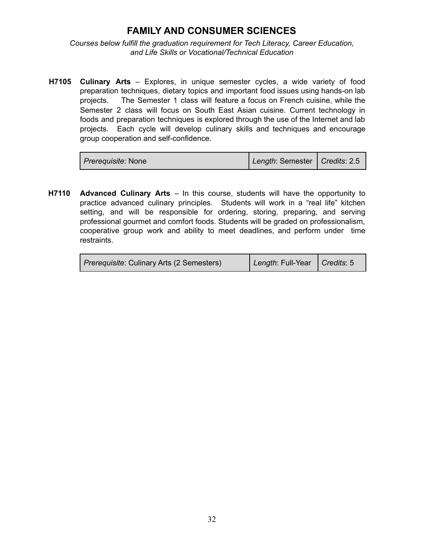#### **FAMILY AND CONSUMER SCIENCES**

<span id="page-34-0"></span>*Courses below fulfill the graduation requirement for Tech Literacy, Career Education, and Life Skills or Vocational/Technical Education*

**H7105 Culinary Arts** – Explores, in unique semester cycles, a wide variety of food preparation techniques, dietary topics and important food issues using hands-on lab projects. The Semester 1 class will feature a focus on French cuisine, while the Semester 2 class will focus on South East Asian cuisine. Current technology in foods and preparation techniques is explored through the use of the Internet and lab projects. Each cycle will develop culinary skills and techniques and encourage group cooperation and self-confidence.

| <i>Prerequisite: None</i> | Length: Semester   Credits: 2.5 |  |
|---------------------------|---------------------------------|--|
|---------------------------|---------------------------------|--|

**H7110 Advanced Culinary Arts** – In this course, students will have the opportunity to practice advanced culinary principles. Students will work in a "real life" kitchen setting, and will be responsible for ordering, storing, preparing, and serving professional gourmet and comfort foods. Students will be graded on professionalism, cooperative group work and ability to meet deadlines, and perform under time restraints.

| <i>Prerequisite: Culinary Arts (2 Semesters)</i> | Length: Full-Year   Credits: 5 |  |
|--------------------------------------------------|--------------------------------|--|
|--------------------------------------------------|--------------------------------|--|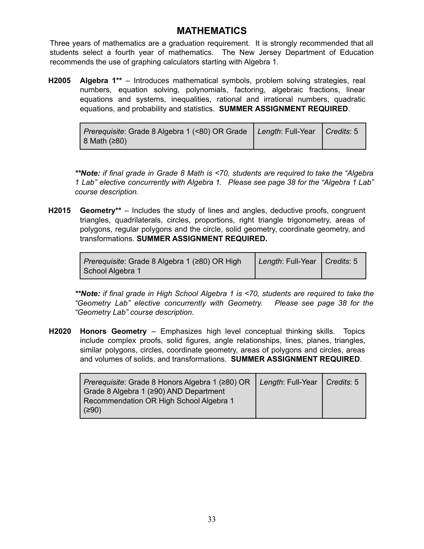#### **MATHEMATICS**

<span id="page-35-0"></span>Three years of mathematics are a graduation requirement. It is strongly recommended that all students select a fourth year of mathematics. The New Jersey Department of Education recommends the use of graphing calculators starting with Algebra 1.

**H2005 Algebra 1\*\*** – Introduces mathematical symbols, problem solving strategies, real numbers, equation solving, polynomials, factoring, algebraic fractions, linear equations and systems, inequalities, rational and irrational numbers, quadratic equations, and probability and statistics. **SUMMER ASSIGNMENT REQUIRED**.

| Prerequisite: Grade 8 Algebra 1 (<80) OR Grade   Length: Full-Year   Credits: 5 |  |
|---------------------------------------------------------------------------------|--|
| $ 8 \text{ Math} (280)$                                                         |  |

*\*\*Note: if final grade in Grade 8 Math is <70, students are required to take the "Algebra 1 Lab" elective concurrently with Algebra 1. Please see page 38 for the "Algebra 1 Lab" course description.*

**H2015 Geometry\*\*** – Includes the study of lines and angles, deductive proofs, congruent triangles, quadrilaterals, circles, proportions, right triangle trigonometry, areas of polygons, regular polygons and the circle, solid geometry, coordinate geometry, and transformations. **SUMMER ASSIGNMENT REQUIRED.**

| Prerequisite: Grade 8 Algebra 1 (≥80) OR High | Length: Full-Year   Credits: 5 |  |
|-----------------------------------------------|--------------------------------|--|
| School Algebra 1                              |                                |  |

*\*\*Note: if final grade in High School Algebra 1 is <70, students are required to take the "Geometry Lab" elective concurrently with Geometry. Please see page 38 for the "Geometry Lab" course description.*

**H2020 Honors Geometry** – Emphasizes high level conceptual thinking skills. Topics include complex proofs, solid figures, angle relationships, lines, planes, triangles, similar polygons, circles, coordinate geometry, areas of polygons and circles, areas and volumes of solids, and transformations. **SUMMER ASSIGNMENT REQUIRED**.

| <i>Prerequisite:</i> Grade 8 Honors Algebra 1 (≥80) OR | Length: Full-Year   Credits: 5 |  |
|--------------------------------------------------------|--------------------------------|--|
| Grade 8 Algebra 1 (≥90) AND Department                 |                                |  |
| Recommendation OR High School Algebra 1                |                                |  |
| (≥90)                                                  |                                |  |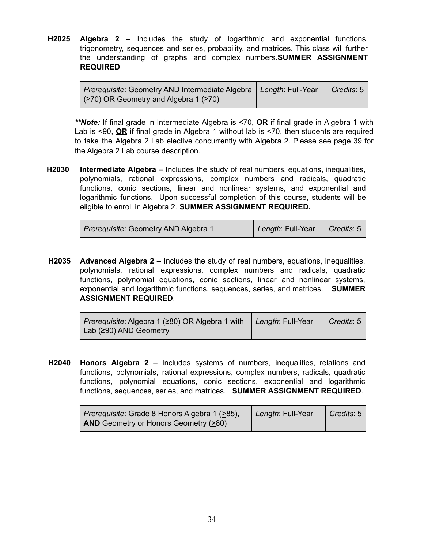**H2025 Algebra 2** – Includes the study of logarithmic and exponential functions, trigonometry, sequences and series, probability, and matrices. This class will further the understanding of graphs and complex numbers.**SUMMER ASSIGNMENT REQUIRED**

| Prerequisite: Geometry AND Intermediate Algebra   Length: Full-Year | $\mid$ Credits: 5 $\mid$ |
|---------------------------------------------------------------------|--------------------------|
| $(x270)$ OR Geometry and Algebra 1 ( $\geq 70$ )                    |                          |

*\*\*Note:* If final grade in Intermediate Algebra is <70, **OR** if final grade in Algebra 1 with Lab is <90, **OR** if final grade in Algebra 1 without lab is <70, then students are required to take the Algebra 2 Lab elective concurrently with Algebra 2. Please see page 39 for the Algebra 2 Lab course description.

**H2030 Intermediate Algebra** – Includes the study of real numbers, equations, inequalities, polynomials, rational expressions, complex numbers and radicals, quadratic functions, conic sections, linear and nonlinear systems, and exponential and logarithmic functions. Upon successful completion of this course, students will be eligible to enroll in Algebra 2. **SUMMER ASSIGNMENT REQUIRED.**

| Prerequisite: Geometry AND Algebra 1 | Length: Full-Year   Credits: 5 |  |
|--------------------------------------|--------------------------------|--|
|--------------------------------------|--------------------------------|--|

**H2035 Advanced Algebra 2** – Includes the study of real numbers, equations, inequalities, polynomials, rational expressions, complex numbers and radicals, quadratic functions, polynomial equations, conic sections, linear and nonlinear systems, exponential and logarithmic functions, sequences, series, and matrices. **SUMMER ASSIGNMENT REQUIRED**.

| Prerequisite: Algebra 1 (≥80) OR Algebra 1 with | Length: Full-Year | $\vert$ Credits: 5 |
|-------------------------------------------------|-------------------|--------------------|
| $\vert$ Lab ( $\geq$ 90) AND Geometry           |                   |                    |

**H2040 Honors Algebra 2** – Includes systems of numbers, inequalities, relations and functions, polynomials, rational expressions, complex numbers, radicals, quadratic functions, polynomial equations, conic sections, exponential and logarithmic functions, sequences, series, and matrices. **SUMMER ASSIGNMENT REQUIRED**.

| Prerequisite: Grade 8 Honors Algebra 1 (>85), | Length: Full-Year | $\vert$ Credits: 5 |
|-----------------------------------------------|-------------------|--------------------|
| <b>AND</b> Geometry or Honors Geometry (>80)  |                   |                    |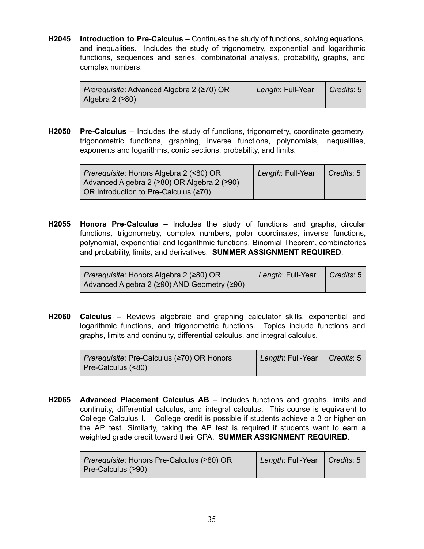**H2045 Introduction to Pre-Calculus** – Continues the study of functions, solving equations, and inequalities. Includes the study of trigonometry, exponential and logarithmic functions, sequences and series, combinatorial analysis, probability, graphs, and complex numbers.

| Prerequisite: Advanced Algebra 2 (≥70) OR | Length: Full-Year | $\bigcap$ Credits: 5 |
|-------------------------------------------|-------------------|----------------------|
| Algebra 2 (≥80)                           |                   |                      |

**H2050 Pre-Calculus** – Includes the study of functions, trigonometry, coordinate geometry, trigonometric functions, graphing, inverse functions, polynomials, inequalities, exponents and logarithms, conic sections, probability, and limits.

| Prerequisite: Honors Algebra 2 (<80) OR<br>Advanced Algebra 2 (≥80) OR Algebra 2 (≥90) | Length: Full-Year | Credits: 5 |
|----------------------------------------------------------------------------------------|-------------------|------------|
| OR Introduction to Pre-Calculus $(270)$                                                |                   |            |

**H2055 Honors Pre-Calculus** – Includes the study of functions and graphs, circular functions, trigonometry, complex numbers, polar coordinates, inverse functions, polynomial, exponential and logarithmic functions, Binomial Theorem, combinatorics and probability, limits, and derivatives. **SUMMER ASSIGNMENT REQUIRED**.

| Prerequisite: Honors Algebra 2 (≥80) OR     | Length: Full-Year | $\bigcap$ Credits: 5 |
|---------------------------------------------|-------------------|----------------------|
| Advanced Algebra 2 (≥90) AND Geometry (≥90) |                   |                      |

**H2060 Calculus** – Reviews algebraic and graphing calculator skills, exponential and logarithmic functions, and trigonometric functions. Topics include functions and graphs, limits and continuity, differential calculus, and integral calculus.

| <i>Prerequisite:</i> Pre-Calculus (≥70) OR Honors | Length: Full-Year   Credits: 5 |  |
|---------------------------------------------------|--------------------------------|--|
| Pre-Calculus (<80)                                |                                |  |

**H2065 Advanced Placement Calculus AB** – Includes functions and graphs, limits and continuity, differential calculus, and integral calculus. This course is equivalent to College Calculus I. College credit is possible if students achieve a 3 or higher on the AP test. Similarly, taking the AP test is required if students want to earn a weighted grade credit toward their GPA. **SUMMER ASSIGNMENT REQUIRED**.

| <i>Prerequisite:</i> Honors Pre-Calculus (≥80) OR | Length: Full-Year   Credits: 5 |  |
|---------------------------------------------------|--------------------------------|--|
| Pre-Calculus $(290)$                              |                                |  |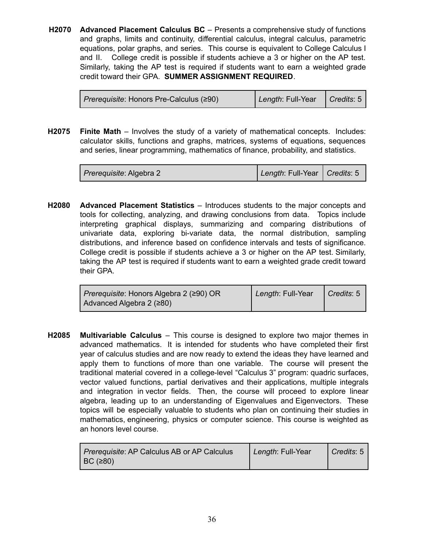**H2070 Advanced Placement Calculus BC** – Presents a comprehensive study of functions and graphs, limits and continuity, differential calculus, integral calculus, parametric equations, polar graphs, and series. This course is equivalent to College Calculus I and II. College credit is possible if students achieve a 3 or higher on the AP test. Similarly, taking the AP test is required if students want to earn a weighted grade credit toward their GPA. **SUMMER ASSIGNMENT REQUIRED**.

| Prerequisite: Honors Pre-Calculus (≥90) | Length: Full-Year | Credits: 5 |
|-----------------------------------------|-------------------|------------|
|-----------------------------------------|-------------------|------------|

**H2075 Finite Math** – Involves the study of a variety of mathematical concepts. Includes: calculator skills, functions and graphs, matrices, systems of equations, sequences and series, linear programming, mathematics of finance, probability, and statistics.

| <i>Prerequisite: Algebra 2</i> | Length: Full-Year   Credits: 5 |
|--------------------------------|--------------------------------|
|--------------------------------|--------------------------------|

**H2080 Advanced Placement Statistics** – Introduces students to the major concepts and tools for collecting, analyzing, and drawing conclusions from data. Topics include interpreting graphical displays, summarizing and comparing distributions of univariate data, exploring bi-variate data, the normal distribution, sampling distributions, and inference based on confidence intervals and tests of significance. College credit is possible if students achieve a 3 or higher on the AP test. Similarly, taking the AP test is required if students want to earn a weighted grade credit toward their GPA.

| Prerequisite: Honors Algebra 2 (≥90) OR | Length: Full-Year | $\vert$ Credits: 5 |
|-----------------------------------------|-------------------|--------------------|
| Advanced Algebra 2 $(≥80)$              |                   |                    |

**H2085 Multivariable Calculus** – This course is designed to explore two major themes in advanced mathematics. It is intended for students who have completed their first year of calculus studies and are now ready to extend the ideas they have learned and apply them to functions of more than one variable. The course will present the traditional material covered in a college-level "Calculus 3" program: quadric surfaces, vector valued functions, partial derivatives and their applications, multiple integrals and integration in vector fields. Then, the course will proceed to explore linear algebra, leading up to an understanding of Eigenvalues and Eigenvectors. These topics will be especially valuable to students who plan on continuing their studies in mathematics, engineering, physics or computer science. This course is weighted as an honors level course.

| <i>Prerequisite: AP Calculus AB or AP Calculus</i> | Length: Full-Year | Credits: 5 |
|----------------------------------------------------|-------------------|------------|
| $\vert$ BC ( $\geq$ 80)                            |                   |            |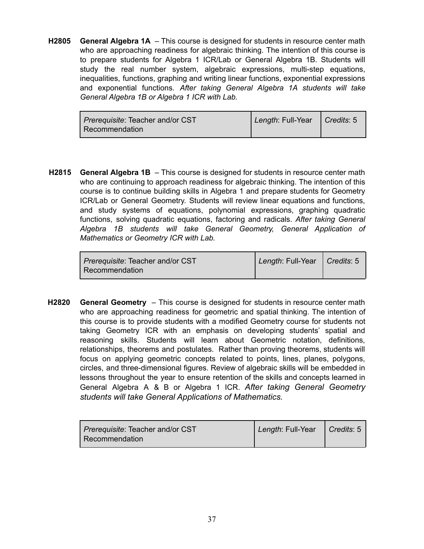**H2805 General Algebra 1A** – This course is designed for students in resource center math who are approaching readiness for algebraic thinking. The intention of this course is to prepare students for Algebra 1 ICR/Lab or General Algebra 1B. Students will study the real number system, algebraic expressions, multi-step equations, inequalities, functions, graphing and writing linear functions, exponential expressions and exponential functions. *After taking General Algebra 1A students will take General Algebra 1B or Algebra 1 ICR with Lab.*

| <i>Prerequisite:</i> Teacher and/or CST | Length: Full-Year   Credits: 5 |  |
|-----------------------------------------|--------------------------------|--|
| Recommendation                          |                                |  |

**H2815 General Algebra 1B** – This course is designed for students in resource center math who are continuing to approach readiness for algebraic thinking. The intention of this course is to continue building skills in Algebra 1 and prepare students for Geometry ICR/Lab or General Geometry. Students will review linear equations and functions, and study systems of equations, polynomial expressions, graphing quadratic functions, solving quadratic equations, factoring and radicals. *After taking General Algebra 1B students will take General Geometry, General Application of Mathematics or Geometry ICR with Lab.*

| <i>Prerequisite:</i> Teacher and/or CST | Length: Full-Year   Credits: 5 |  |
|-----------------------------------------|--------------------------------|--|
| Recommendation                          |                                |  |

**H2820 General Geometry** – This course is designed for students in resource center math who are approaching readiness for geometric and spatial thinking. The intention of this course is to provide students with a modified Geometry course for students not taking Geometry ICR with an emphasis on developing students' spatial and reasoning skills. Students will learn about Geometric notation, definitions, relationships, theorems and postulates. Rather than proving theorems, students will focus on applying geometric concepts related to points, lines, planes, polygons, circles, and three-dimensional figures. Review of algebraic skills will be embedded in lessons throughout the year to ensure retention of the skills and concepts learned in General Algebra A & B or Algebra 1 ICR. *After taking General Geometry students will take General Applications of Mathematics.*

| <i>Prerequisite: Teacher and/or CST</i> | Length: Full-Year   Credits: 5 |  |
|-----------------------------------------|--------------------------------|--|
| Recommendation                          |                                |  |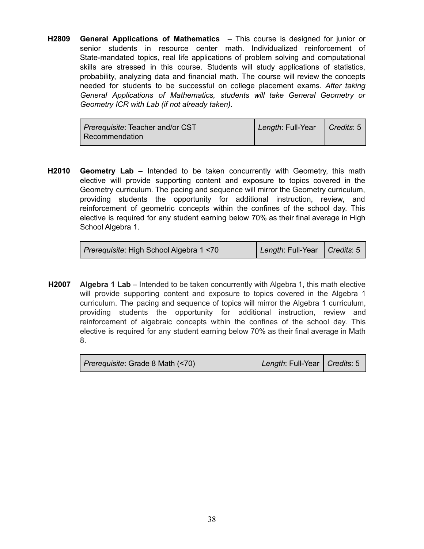**H2809 General Applications of Mathematics** – This course is designed for junior or senior students in resource center math. Individualized reinforcement of State-mandated topics, real life applications of problem solving and computational skills are stressed in this course. Students will study applications of statistics, probability, analyzing data and financial math. The course will review the concepts needed for students to be successful on college placement exams. *After taking General Applications of Mathematics, students will take General Geometry or Geometry ICR with Lab (if not already taken).*

| <i>Prerequisite:</i> Teacher and/or CST | Length: Full-Year | $\bigcup$ Credits: 5 |
|-----------------------------------------|-------------------|----------------------|
| Recommendation                          |                   |                      |

**H2010 Geometry Lab** – Intended to be taken concurrently with Geometry, this math elective will provide supporting content and exposure to topics covered in the Geometry curriculum. The pacing and sequence will mirror the Geometry curriculum, providing students the opportunity for additional instruction, review, and reinforcement of geometric concepts within the confines of the school day. This elective is required for any student earning below 70% as their final average in High School Algebra 1.

| Prerequisite: High School Algebra 1 <70 | Length: Full-Year   Credits: 5 |  |
|-----------------------------------------|--------------------------------|--|
|-----------------------------------------|--------------------------------|--|

**H2007 Algebra 1 Lab** – Intended to be taken concurrently with Algebra 1, this math elective will provide supporting content and exposure to topics covered in the Algebra 1 curriculum. The pacing and sequence of topics will mirror the Algebra 1 curriculum, providing students the opportunity for additional instruction, review and reinforcement of algebraic concepts within the confines of the school day. This elective is required for any student earning below 70% as their final average in Math 8.

| Prerequisite: Grade 8 Math (<70) | Length: Full-Year   Credits: 5 |  |
|----------------------------------|--------------------------------|--|
|----------------------------------|--------------------------------|--|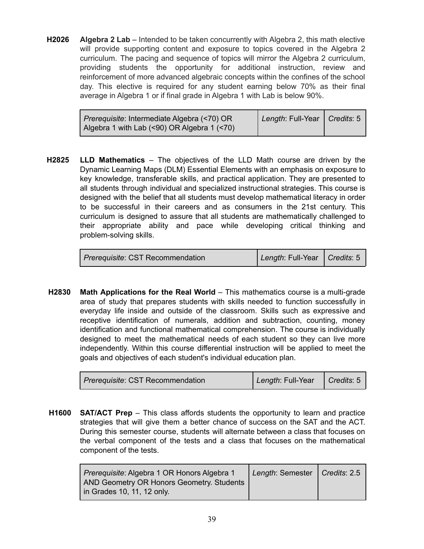**H2026 Algebra 2 Lab** – Intended to be taken concurrently with Algebra 2, this math elective will provide supporting content and exposure to topics covered in the Algebra 2 curriculum. The pacing and sequence of topics will mirror the Algebra 2 curriculum, providing students the opportunity for additional instruction, review and reinforcement of more advanced algebraic concepts within the confines of the school day. This elective is required for any student earning below 70% as their final average in Algebra 1 or if final grade in Algebra 1 with Lab is below 90%.

| <i>Prerequisite:</i> Intermediate Algebra (<70) OR | Length: Full-Year   Credits: 5 |  |
|----------------------------------------------------|--------------------------------|--|
| Algebra 1 with Lab (<90) OR Algebra 1 (<70)        |                                |  |

**H2825 LLD Mathematics** – The objectives of the LLD Math course are driven by the Dynamic Learning Maps (DLM) Essential Elements with an emphasis on exposure to key knowledge, transferable skills, and practical application. They are presented to all students through individual and specialized instructional strategies. This course is designed with the belief that all students must develop mathematical literacy in order to be successful in their careers and as consumers in the 21st century. This curriculum is designed to assure that all students are mathematically challenged to their appropriate ability and pace while developing critical thinking and problem-solving skills.

**H2830 Math Applications for the Real World** – This mathematics course is a multi-grade area of study that prepares students with skills needed to function successfully in everyday life inside and outside of the classroom. Skills such as expressive and receptive identification of numerals, addition and subtraction, counting, money identification and functional mathematical comprehension. The course is individually designed to meet the mathematical needs of each student so they can live more independently. Within this course differential instruction will be applied to meet the goals and objectives of each student's individual education plan.

| <i>Prerequisite: CST Recommendation</i> | Length: Full-Year | $\Box$ Credits: 5 |
|-----------------------------------------|-------------------|-------------------|
|-----------------------------------------|-------------------|-------------------|

**H1600 SAT/ACT Prep** – This class affords students the opportunity to learn and practice strategies that will give them a better chance of success on the SAT and the ACT. During this semester course, students will alternate between a class that focuses on the verbal component of the tests and a class that focuses on the mathematical component of the tests.

| Prerequisite: Algebra 1 OR Honors Algebra 1 | Length: Semester   Credits: 2.5 |  |
|---------------------------------------------|---------------------------------|--|
| AND Geometry OR Honors Geometry. Students   |                                 |  |
| in Grades 10, 11, 12 only.                  |                                 |  |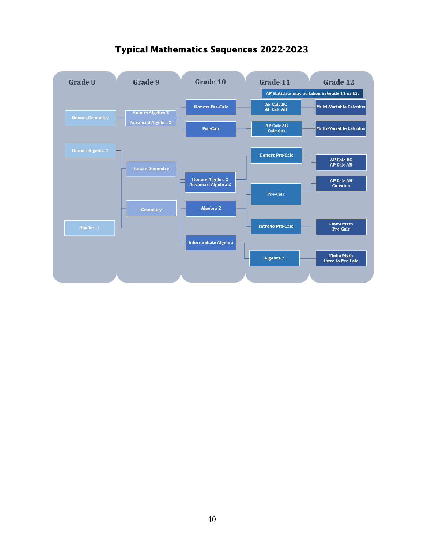

### Typical Mathematics Sequences 2022-2023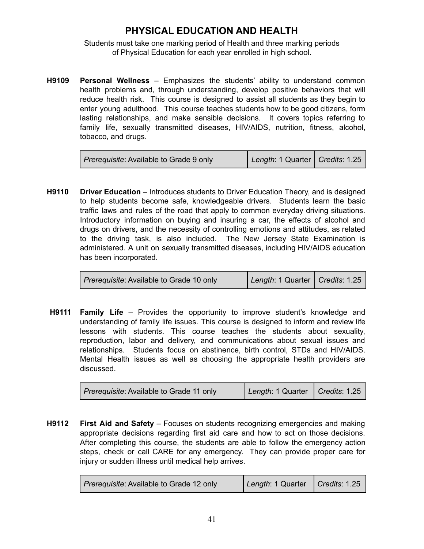# **PHYSICAL EDUCATION AND HEALTH**

Students must take one marking period of Health and three marking periods of Physical Education for each year enrolled in high school.

**H9109 Personal Wellness** – Emphasizes the students' ability to understand common health problems and, through understanding, develop positive behaviors that will reduce health risk. This course is designed to assist all students as they begin to enter young adulthood. This course teaches students how to be good citizens, form lasting relationships, and make sensible decisions. It covers topics referring to family life, sexually transmitted diseases, HIV/AIDS, nutrition, fitness, alcohol, tobacco, and drugs.

| <i>Prerequisite:</i> Available to Grade 9 only | Length: 1 Quarter   Credits: 1.25 |  |
|------------------------------------------------|-----------------------------------|--|
|------------------------------------------------|-----------------------------------|--|

**H9110 Driver Education** – Introduces students to Driver Education Theory, and is designed to help students become safe, knowledgeable drivers. Students learn the basic traffic laws and rules of the road that apply to common everyday driving situations. Introductory information on buying and insuring a car, the effects of alcohol and drugs on drivers, and the necessity of controlling emotions and attitudes, as related to the driving task, is also included. The New Jersey State Examination is administered. A unit on sexually transmitted diseases, including HIV/AIDS education has been incorporated.

| <i>Prerequisite:</i> Available to Grade 10 only | Length: 1 Quarter   Credits: 1.25 |  |
|-------------------------------------------------|-----------------------------------|--|
|-------------------------------------------------|-----------------------------------|--|

**H9111 Family Life** – Provides the opportunity to improve student's knowledge and understanding of family life issues. This course is designed to inform and review life lessons with students. This course teaches the students about sexuality, reproduction, labor and delivery, and communications about sexual issues and relationships. Students focus on abstinence, birth control, STDs and HIV/AIDS. Mental Health issues as well as choosing the appropriate health providers are discussed.

| <i>Prerequisite:</i> Available to Grade 11 only | Length: 1 Quarter   Credits: 1.25 |  |
|-------------------------------------------------|-----------------------------------|--|
|-------------------------------------------------|-----------------------------------|--|

**H9112 First Aid and Safety** – Focuses on students recognizing emergencies and making appropriate decisions regarding first aid care and how to act on those decisions. After completing this course, the students are able to follow the emergency action steps, check or call CARE for any emergency. They can provide proper care for injury or sudden illness until medical help arrives.

| Prerequisite: Available to Grade 12 only | Length: 1 Quarter   Credits: 1.25 |  |
|------------------------------------------|-----------------------------------|--|
|                                          |                                   |  |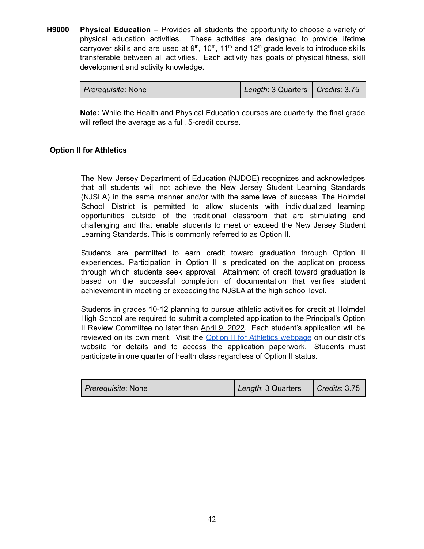**H9000 Physical Education** – Provides all students the opportunity to choose a variety of physical education activities. These activities are designed to provide lifetime carryover skills and are used at  $9<sup>th</sup>$ , 10<sup>th</sup>, 11<sup>th</sup> and 12<sup>th</sup> grade levels to introduce skills transferable between all activities. Each activity has goals of physical fitness, skill development and activity knowledge.

| <i>Prerequisite:</i> None | Length: 3 Quarters   Credits: 3.75 |  |
|---------------------------|------------------------------------|--|
|---------------------------|------------------------------------|--|

**Note:** While the Health and Physical Education courses are quarterly, the final grade will reflect the average as a full, 5-credit course.

#### **Option II for Athletics**

The New Jersey Department of Education (NJDOE) recognizes and acknowledges that all students will not achieve the New Jersey Student Learning Standards (NJSLA) in the same manner and/or with the same level of success. The Holmdel School District is permitted to allow students with individualized learning opportunities outside of the traditional classroom that are stimulating and challenging and that enable students to meet or exceed the New Jersey Student Learning Standards. This is commonly referred to as Option II.

Students are permitted to earn credit toward graduation through Option II experiences. Participation in Option II is predicated on the application process through which students seek approval. Attainment of credit toward graduation is based on the successful completion of documentation that verifies student achievement in meeting or exceeding the NJSLA at the high school level.

Students in grades 10-12 planning to pursue athletic activities for credit at Holmdel High School are required to submit a completed application to the Principal's Option II Review Committee no later than April 9, 2022. Each student's application will be reviewed on its own merit. Visit the Option II for Athletics [webpage](https://sites.google.com/a/holmdelschools.org/hhs-option-two/) on our district's website for details and to access the application paperwork. Students must participate in one quarter of health class regardless of Option II status.

| <i>Prerequisite: None</i> | Length: 3 Quarters | $\vert$ Credits: 3.75 |
|---------------------------|--------------------|-----------------------|
|---------------------------|--------------------|-----------------------|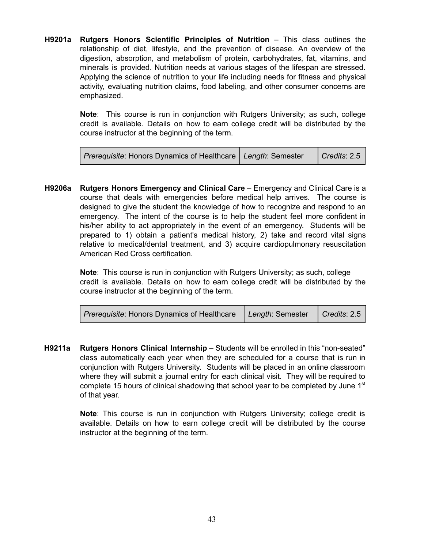**H9201a Rutgers Honors Scientific Principles of Nutrition** – This class outlines the relationship of diet, lifestyle, and the prevention of disease. An overview of the digestion, absorption, and metabolism of protein, carbohydrates, fat, vitamins, and minerals is provided. Nutrition needs at various stages of the lifespan are stressed. Applying the science of nutrition to your life including needs for fitness and physical activity, evaluating nutrition claims, food labeling, and other consumer concerns are emphasized.

> **Note**: This course is run in conjunction with Rutgers University; as such, college credit is available. Details on how to earn college credit will be distributed by the course instructor at the beginning of the term.

| Prerequisite: Honors Dynamics of Healthcare   Length: Semester |  | $\vert$ Credits: 2.5 |
|----------------------------------------------------------------|--|----------------------|
|----------------------------------------------------------------|--|----------------------|

**H9206a Rutgers Honors Emergency and Clinical Care** – Emergency and Clinical Care is a course that deals with emergencies before medical help arrives. The course is designed to give the student the knowledge of how to recognize and respond to an emergency. The intent of the course is to help the student feel more confident in his/her ability to act appropriately in the event of an emergency. Students will be prepared to 1) obtain a patient's medical history, 2) take and record vital signs relative to medical/dental treatment, and 3) acquire cardiopulmonary resuscitation American Red Cross certification.

> **Note**: This course is run in conjunction with Rutgers University; as such, college credit is available. Details on how to earn college credit will be distributed by the course instructor at the beginning of the term.

| Prerequisite: Honors Dynamics of Healthcare   Length: Semester |  | $\vert$ Credits: 2.5 |
|----------------------------------------------------------------|--|----------------------|
|----------------------------------------------------------------|--|----------------------|

**H9211a Rutgers Honors Clinical Internship** – Students will be enrolled in this "non-seated" class automatically each year when they are scheduled for a course that is run in conjunction with Rutgers University. Students will be placed in an online classroom where they will submit a journal entry for each clinical visit. They will be required to complete 15 hours of clinical shadowing that school year to be completed by June  $1<sup>st</sup>$ of that year.

> **Note**: This course is run in conjunction with Rutgers University; college credit is available. Details on how to earn college credit will be distributed by the course instructor at the beginning of the term.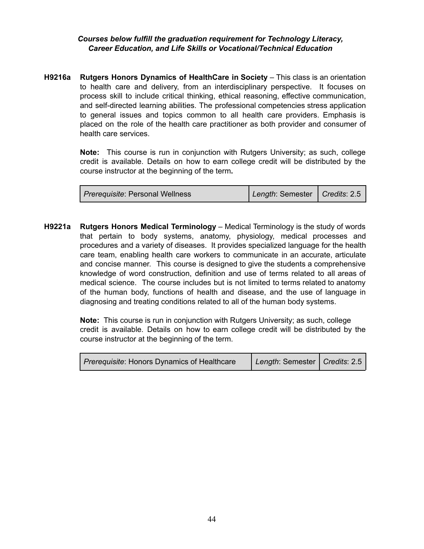#### *Courses below fulfill the graduation requirement for Technology Literacy, Career Education, and Life Skills or Vocational/Technical Education*

**H9216a Rutgers Honors Dynamics of HealthCare in Society** – This class is an orientation to health care and delivery, from an interdisciplinary perspective. It focuses on process skill to include critical thinking, ethical reasoning, effective communication, and self-directed learning abilities. The professional competencies stress application to general issues and topics common to all health care providers. Emphasis is placed on the role of the health care practitioner as both provider and consumer of health care services.

> **Note:** This course is run in conjunction with Rutgers University; as such, college credit is available. Details on how to earn college credit will be distributed by the course instructor at the beginning of the term**.**

| <i>Prerequisite</i> : Personal Wellness | Length: Semester   Credits: 2.5 |  |
|-----------------------------------------|---------------------------------|--|
|-----------------------------------------|---------------------------------|--|

**H9221a Rutgers Honors Medical Terminology** – Medical Terminology is the study of words that pertain to body systems, anatomy, physiology, medical processes and procedures and a variety of diseases. It provides specialized language for the health care team, enabling health care workers to communicate in an accurate, articulate and concise manner. This course is designed to give the students a comprehensive knowledge of word construction, definition and use of terms related to all areas of medical science. The course includes but is not limited to terms related to anatomy of the human body, functions of health and disease, and the use of language in diagnosing and treating conditions related to all of the human body systems.

> **Note:** This course is run in conjunction with Rutgers University; as such, college credit is available. Details on how to earn college credit will be distributed by the course instructor at the beginning of the term.

| <i>Prerequisite:</i> Honors Dynamics of Healthcare | Length: Semester   Credits: 2.5 |  |
|----------------------------------------------------|---------------------------------|--|
|----------------------------------------------------|---------------------------------|--|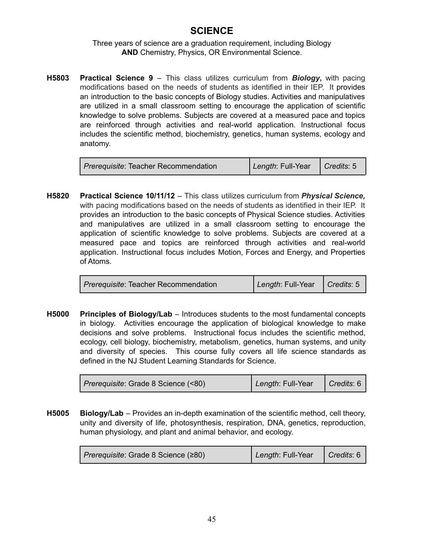## **SCIENCE**

#### Three years of science are a graduation requirement, including Biology **AND** Chemistry, Physics, OR Environmental Science.

**H5803 Practical Science 9** – This class utilizes curriculum from *Biology***,** with pacing modifications based on the needs of students as identified in their IEP. It provides an introduction to the basic concepts of Biology studies. Activities and manipulatives are utilized in a small classroom setting to encourage the application of scientific knowledge to solve problems. Subjects are covered at a measured pace and topics are reinforced through activities and real-world application. Instructional focus includes the scientific method, biochemistry, genetics, human systems, ecology and anatomy.

| <i>Prerequisite:</i> Teacher Recommendation | Length: Full-Year | $\bigcap$ Credits: 5 |
|---------------------------------------------|-------------------|----------------------|
|                                             |                   |                      |

**H5820 Practical Science 10/11/12** – This class utilizes curriculum from *Physical Science,* with pacing modifications based on the needs of students as identified in their IEP. It provides an introduction to the basic concepts of Physical Science studies. Activities and manipulatives are utilized in a small classroom setting to encourage the application of scientific knowledge to solve problems. Subjects are covered at a measured pace and topics are reinforced through activities and real-world application. Instructional focus includes Motion, Forces and Energy, and Properties of Atoms.

| <i>Prerequisite:</i> Teacher Recommendation | Length: Full-Year   Credits: 5 |  |
|---------------------------------------------|--------------------------------|--|
|---------------------------------------------|--------------------------------|--|

**H5000 Principles of Biology/Lab** – Introduces students to the most fundamental concepts in biology. Activities encourage the application of biological knowledge to make decisions and solve problems. Instructional focus includes the scientific method, ecology, cell biology, biochemistry, metabolism, genetics, human systems, and unity and diversity of species. This course fully covers all life science standards as defined in the NJ Student Learning Standards for Science.

| Prerequisite: Grade 8 Science (<80) | Length: Full-Year   Credits: 6 |  |
|-------------------------------------|--------------------------------|--|
|-------------------------------------|--------------------------------|--|

**H5005 Biology/Lab** – Provides an in-depth examination of the scientific method, cell theory, unity and diversity of life, photosynthesis, respiration, DNA, genetics, reproduction, human physiology, and plant and animal behavior, and ecology.

| Prerequisite: Grade 8 Science (≥80) | Length: Full-Year | $\bigcap$ Credits: 6 |
|-------------------------------------|-------------------|----------------------|
|-------------------------------------|-------------------|----------------------|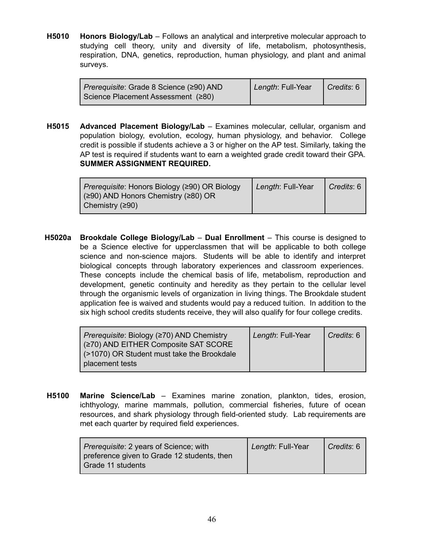**H5010 Honors Biology/Lab** – Follows an analytical and interpretive molecular approach to studying cell theory, unity and diversity of life, metabolism, photosynthesis, respiration, DNA, genetics, reproduction, human physiology, and plant and animal surveys.

| <i>Prerequisite:</i> Grade 8 Science (≥90) AND | Length: Full-Year | $\bigcap$ Credits: 6 |
|------------------------------------------------|-------------------|----------------------|
| Science Placement Assessment (≥80)             |                   |                      |

**H5015 Advanced Placement Biology/Lab** – Examines molecular, cellular, organism and population biology, evolution, ecology, human physiology, and behavior. College credit is possible if students achieve a 3 or higher on the AP test. Similarly, taking the AP test is required if students want to earn a weighted grade credit toward their GPA. **SUMMER ASSIGNMENT REQUIRED.**

| <i>Prerequisite:</i> Honors Biology (≥90) OR Biology<br>$(290)$ AND Honors Chemistry (280) OR | Length: Full-Year | $\vert$ Credits: 6 |
|-----------------------------------------------------------------------------------------------|-------------------|--------------------|
| Chemistry $(290)$                                                                             |                   |                    |

**H5020a Brookdale College Biology/Lab** – **Dual Enrollment** – This course is designed to be a Science elective for upperclassmen that will be applicable to both college science and non-science majors. Students will be able to identify and interpret biological concepts through laboratory experiences and classroom experiences. These concepts include the chemical basis of life, metabolism, reproduction and development, genetic continuity and heredity as they pertain to the cellular level through the organismic levels of organization in living things. The Brookdale student application fee is waived and students would pay a reduced tuition. In addition to the six high school credits students receive, they will also qualify for four college credits.

| Prerequisite: Biology (≥70) AND Chemistry  | Length: Full-Year | l <i>Credits</i> : 6 |
|--------------------------------------------|-------------------|----------------------|
| (≥70) AND EITHER Composite SAT SCORE       |                   |                      |
| (>1070) OR Student must take the Brookdale |                   |                      |
| placement tests                            |                   |                      |

**H5100 Marine Science/Lab** – Examines marine zonation, plankton, tides, erosion, ichthyology, marine mammals, pollution, commercial fisheries, future of ocean resources, and shark physiology through field-oriented study. Lab requirements are met each quarter by required field experiences.

| <i>Prerequisite: 2 years of Science; with</i><br>preference given to Grade 12 students, then<br>Grade 11 students | Length: Full-Year | Credits: 6 |
|-------------------------------------------------------------------------------------------------------------------|-------------------|------------|
|-------------------------------------------------------------------------------------------------------------------|-------------------|------------|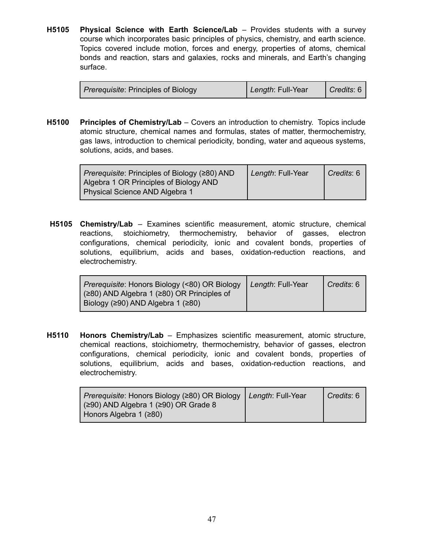**H5105 Physical Science with Earth Science/Lab** – Provides students with a survey course which incorporates basic principles of physics, chemistry, and earth science. Topics covered include motion, forces and energy, properties of atoms, chemical bonds and reaction, stars and galaxies, rocks and minerals, and Earth's changing surface.

| <i>Prerequisite:</i> Principles of Biology | Length: Full-Year | $\vert$ Credits: 6 $\vert$ |
|--------------------------------------------|-------------------|----------------------------|
|--------------------------------------------|-------------------|----------------------------|

**H5100 Principles of Chemistry/Lab** – Covers an introduction to chemistry. Topics include atomic structure, chemical names and formulas, states of matter, thermochemistry, gas laws, introduction to chemical periodicity, bonding, water and aqueous systems, solutions, acids, and bases.

| $ $ Prerequisite: Principles of Biology ( $\geq$ 80) AND | Length: Full-Year | Credits: 6 |
|----------------------------------------------------------|-------------------|------------|
| Algebra 1 OR Principles of Biology AND                   |                   |            |
| Physical Science AND Algebra 1                           |                   |            |

**H5105 Chemistry/Lab** – Examines scientific measurement, atomic structure, chemical reactions, stoichiometry, thermochemistry, behavior of gasses, electron configurations, chemical periodicity, ionic and covalent bonds, properties of solutions, equilibrium, acids and bases, oxidation-reduction reactions, and electrochemistry.

| <i>Prerequisite:</i> Honors Biology (<80) OR Biology | Length: Full-Year | Credits: 6 |
|------------------------------------------------------|-------------------|------------|
| (≥80) AND Algebra 1 (≥80) OR Principles of           |                   |            |
| Biology (≥90) AND Algebra 1 (≥80)                    |                   |            |

**H5110 Honors Chemistry/Lab** – Emphasizes scientific measurement, atomic structure, chemical reactions, stoichiometry, thermochemistry, behavior of gasses, electron configurations, chemical periodicity, ionic and covalent bonds, properties of solutions, equilibrium, acids and bases, oxidation-reduction reactions, and electrochemistry.

| Prerequisite: Honors Biology (≥80) OR Biology | Length: Full-Year | Credits: 6 |
|-----------------------------------------------|-------------------|------------|
| $(≥90)$ AND Algebra 1 (≥90) OR Grade 8        |                   |            |
| Honors Algebra 1 $(≥80)$                      |                   |            |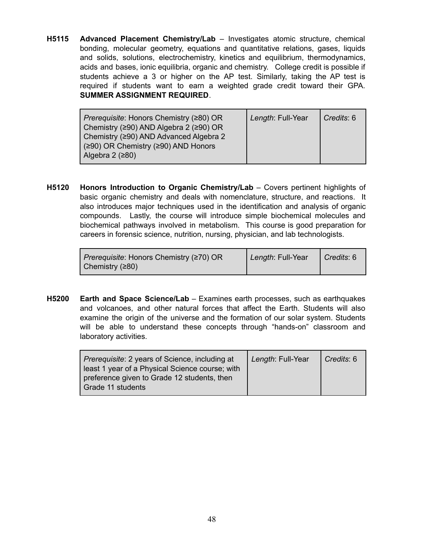**H5115 Advanced Placement Chemistry/Lab** – Investigates atomic structure, chemical bonding, molecular geometry, equations and quantitative relations, gases, liquids and solids, solutions, electrochemistry, kinetics and equilibrium, thermodynamics, acids and bases, ionic equilibria, organic and chemistry. College credit is possible if students achieve a 3 or higher on the AP test. Similarly, taking the AP test is required if students want to earn a weighted grade credit toward their GPA. **SUMMER ASSIGNMENT REQUIRED**.

| <i>Prerequisite:</i> Honors Chemistry (≥80) OR<br>Chemistry (≥90) AND Algebra 2 (≥90) OR<br>Chemistry (≥90) AND Advanced Algebra 2<br>(≥90) OR Chemistry (≥90) AND Honors | Length: Full-Year | Credits: 6 |
|---------------------------------------------------------------------------------------------------------------------------------------------------------------------------|-------------------|------------|
| Algebra 2 $(280)$                                                                                                                                                         |                   |            |

**H5120 Honors Introduction to Organic Chemistry/Lab** – Covers pertinent highlights of basic organic chemistry and deals with nomenclature, structure, and reactions. It also introduces major techniques used in the identification and analysis of organic compounds. Lastly, the course will introduce simple biochemical molecules and biochemical pathways involved in metabolism. This course is good preparation for careers in forensic science, nutrition, nursing, physician, and lab technologists.

| Prerequisite: Honors Chemistry (≥70) OR | Length: Full-Year | $\bigcap$ Credits: 6 |
|-----------------------------------------|-------------------|----------------------|
| $\vert$ Chemistry (≥80)                 |                   |                      |

**H5200 Earth and Space Science/Lab** – Examines earth processes, such as earthquakes and volcanoes, and other natural forces that affect the Earth. Students will also examine the origin of the universe and the formation of our solar system. Students will be able to understand these concepts through "hands-on" classroom and laboratory activities.

| <i>Prerequisite:</i> 2 years of Science, including at | Length: Full-Year | Credits: 6 |
|-------------------------------------------------------|-------------------|------------|
| least 1 year of a Physical Science course; with       |                   |            |
| preference given to Grade 12 students, then           |                   |            |
| Grade 11 students                                     |                   |            |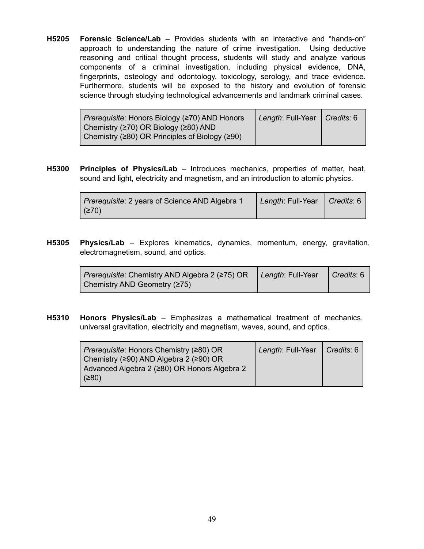**H5205 Forensic Science/Lab** – Provides students with an interactive and "hands-on" approach to understanding the nature of crime investigation. Using deductive reasoning and critical thought process, students will study and analyze various components of a criminal investigation, including physical evidence, DNA, fingerprints, osteology and odontology, toxicology, serology, and trace evidence. Furthermore, students will be exposed to the history and evolution of forensic science through studying technological advancements and landmark criminal cases.

| <i>Prerequisite:</i> Honors Biology (≥70) AND Honors         | Length: Full-Year   Credits: 6 |  |
|--------------------------------------------------------------|--------------------------------|--|
| Chemistry ( $\geq$ 70) OR Biology ( $\geq$ 80) AND           |                                |  |
| Chemistry ( $\geq$ 80) OR Principles of Biology ( $\geq$ 90) |                                |  |

**H5300 Principles of Physics/Lab** – Introduces mechanics, properties of matter, heat, sound and light, electricity and magnetism, and an introduction to atomic physics.

| Prerequisite: 2 years of Science AND Algebra 1 | Length: Full-Year   Credits: 6 |  |
|------------------------------------------------|--------------------------------|--|
| (≥70)                                          |                                |  |

**H5305 Physics/Lab** – Explores kinematics, dynamics, momentum, energy, gravitation, electromagnetism, sound, and optics.

| <i>Prerequisite:</i> Chemistry AND Algebra 2 (≥75) OR   Length: Full-Year   Credits: 6 |  |
|----------------------------------------------------------------------------------------|--|
| Chemistry AND Geometry (≥75)                                                           |  |

**H5310 Honors Physics/Lab** – Emphasizes a mathematical treatment of mechanics, universal gravitation, electricity and magnetism, waves, sound, and optics.

| <i>Prerequisite:</i> Honors Chemistry (≥80) OR       | Length: Full-Year | $\vert$ Credits: 6 |
|------------------------------------------------------|-------------------|--------------------|
| Chemistry ( $\geq$ 90) AND Algebra 2 ( $\geq$ 90) OR |                   |                    |
| Advanced Algebra 2 (≥80) OR Honors Algebra 2         |                   |                    |
| (≥80)                                                |                   |                    |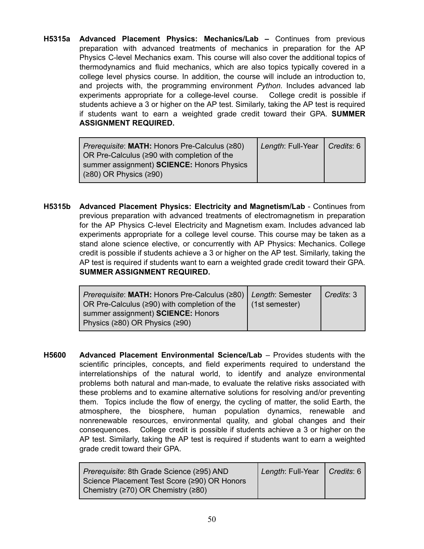**H5315a Advanced Placement Physics: Mechanics/Lab –** Continues from previous preparation with advanced treatments of mechanics in preparation for the AP Physics C-level Mechanics exam. This course will also cover the additional topics of thermodynamics and fluid mechanics, which are also topics typically covered in a college level physics course. In addition, the course will include an introduction to, and projects with, the programming environment *Python.* Includes advanced lab experiments appropriate for a college-level course. College credit is possible if students achieve a 3 or higher on the AP test. Similarly, taking the AP test is required if students want to earn a weighted grade credit toward their GPA. **SUMMER ASSIGNMENT REQUIRED.**

| <i>Prerequisite:</i> MATH: Honors Pre-Calculus (280) | Length: Full-Year   Credits: 6 |  |
|------------------------------------------------------|--------------------------------|--|
| OR Pre-Calculus ( $\geq$ 90 with completion of the   |                                |  |
| summer assignment) <b>SCIENCE:</b> Honors Physics    |                                |  |
| $(280)$ OR Physics $(290)$                           |                                |  |

**H5315b Advanced Placement Physics: Electricity and Magnetism/Lab** - Continues from previous preparation with advanced treatments of electromagnetism in preparation for the AP Physics C-level Electricity and Magnetism exam. Includes advanced lab experiments appropriate for a college level course. This course may be taken as a stand alone science elective, or concurrently with AP Physics: Mechanics. College credit is possible if students achieve a 3 or higher on the AP test. Similarly, taking the AP test is required if students want to earn a weighted grade credit toward their GPA. **SUMMER ASSIGNMENT REQUIRED.**

| Prerequisite: MATH: Honors Pre-Calculus (280)   Length: Semester<br>OR Pre-Calculus (≥90) with completion of the | (1st semester) | Credits: 3 |
|------------------------------------------------------------------------------------------------------------------|----------------|------------|
| summer assignment) <b>SCIENCE</b> : Honors                                                                       |                |            |
| Physics ( $\geq$ 80) OR Physics ( $\geq$ 90)                                                                     |                |            |

**H5600 Advanced Placement Environmental Science/Lab** – Provides students with the scientific principles, concepts, and field experiments required to understand the interrelationships of the natural world, to identify and analyze environmental problems both natural and man-made, to evaluate the relative risks associated with these problems and to examine alternative solutions for resolving and/or preventing them. Topics include the flow of energy, the cycling of matter, the solid Earth, the atmosphere, the biosphere, human population dynamics, renewable and nonrenewable resources, environmental quality, and global changes and their consequences. College credit is possible if students achieve a 3 or higher on the AP test. Similarly, taking the AP test is required if students want to earn a weighted grade credit toward their GPA.

| Length: Full-Year   Credits: 6 |  |
|--------------------------------|--|
|                                |  |
|                                |  |
|                                |  |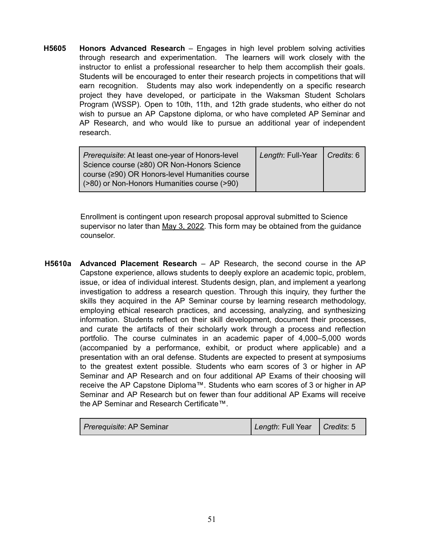**H5605 Honors Advanced Research** – Engages in high level problem solving activities through research and experimentation. The learners will work closely with the instructor to enlist a professional researcher to help them accomplish their goals. Students will be encouraged to enter their research projects in competitions that will earn recognition. Students may also work independently on a specific research project they have developed, or participate in the Waksman Student Scholars Program (WSSP). Open to 10th, 11th, and 12th grade students, who either do not wish to pursue an AP Capstone diploma, or who have completed AP Seminar and AP Research, and who would like to pursue an additional year of independent research.

| Prerequisite: At least one-year of Honors-level | Length: Full-Year   Credits: 6 |  |
|-------------------------------------------------|--------------------------------|--|
| Science course (≥80) OR Non-Honors Science      |                                |  |
| course (≥90) OR Honors-level Humanities course  |                                |  |
| (>80) or Non-Honors Humanities course (>90)     |                                |  |

Enrollment is contingent upon research proposal approval submitted to Science supervisor no later than May 3, 2022. This form may be obtained from the guidance counselor.

**H5610a Advanced Placement Research** – AP Research, the second course in the AP Capstone experience, allows students to deeply explore an academic topic, problem, issue, or idea of individual interest. Students design, plan, and implement a yearlong investigation to address a research question. Through this inquiry, they further the skills they acquired in the AP Seminar course by learning research methodology, employing ethical research practices, and accessing, analyzing, and synthesizing information. Students reflect on their skill development, document their processes, and curate the artifacts of their scholarly work through a process and reflection portfolio. The course culminates in an academic paper of 4,000–5,000 words (accompanied by a performance, exhibit, or product where applicable) and a presentation with an oral defense. Students are expected to present at symposiums to the greatest extent possible. Students who earn scores of 3 or higher in AP Seminar and AP Research and on four additional AP Exams of their choosing will receive the AP Capstone Diploma™. Students who earn scores of 3 or higher in AP Seminar and AP Research but on fewer than four additional AP Exams will receive the AP Seminar and Research Certificate™.

| <i>Prerequisite: AP Seminar</i> | Length: Full Year   Credits: 5 |  |
|---------------------------------|--------------------------------|--|
|---------------------------------|--------------------------------|--|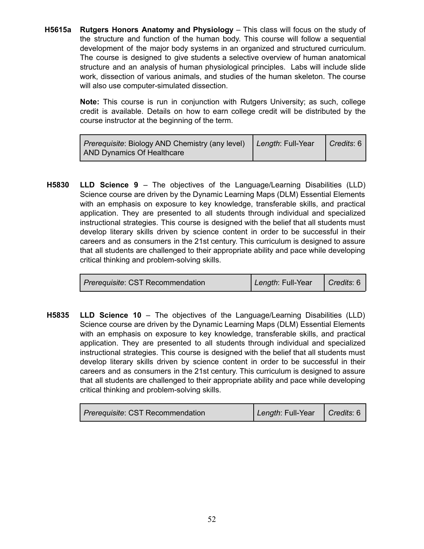**H5615a Rutgers Honors Anatomy and Physiology** – This class will focus on the study of the structure and function of the human body. This course will follow a sequential development of the major body systems in an organized and structured curriculum. The course is designed to give students a selective overview of human anatomical structure and an analysis of human physiological principles. Labs will include slide work, dissection of various animals, and studies of the human skeleton. The course will also use computer-simulated dissection.

> **Note:** This course is run in conjunction with Rutgers University; as such, college credit is available. Details on how to earn college credit will be distributed by the course instructor at the beginning of the term.

| Prerequisite: Biology AND Chemistry (any level)   Length: Full-Year | $\bigcap$ Credits: 6 |
|---------------------------------------------------------------------|----------------------|
| AND Dynamics Of Healthcare                                          |                      |

**H5830 LLD Science 9** – The objectives of the Language/Learning Disabilities (LLD) Science course are driven by the Dynamic Learning Maps (DLM) Essential Elements with an emphasis on exposure to key knowledge, transferable skills, and practical application. They are presented to all students through individual and specialized instructional strategies. This course is designed with the belief that all students must develop literary skills driven by science content in order to be successful in their careers and as consumers in the 21st century. This curriculum is designed to assure that all students are challenged to their appropriate ability and pace while developing critical thinking and problem-solving skills.

**H5835 LLD Science 10** – The objectives of the Language/Learning Disabilities (LLD) Science course are driven by the Dynamic Learning Maps (DLM) Essential Elements with an emphasis on exposure to key knowledge, transferable skills, and practical application. They are presented to all students through individual and specialized instructional strategies. This course is designed with the belief that all students must develop literary skills driven by science content in order to be successful in their careers and as consumers in the 21st century. This curriculum is designed to assure that all students are challenged to their appropriate ability and pace while developing critical thinking and problem-solving skills.

| <i>Prerequisite: CST Recommendation</i> | Length: Full-Year | $\vert$ Credits: 6 |
|-----------------------------------------|-------------------|--------------------|
|-----------------------------------------|-------------------|--------------------|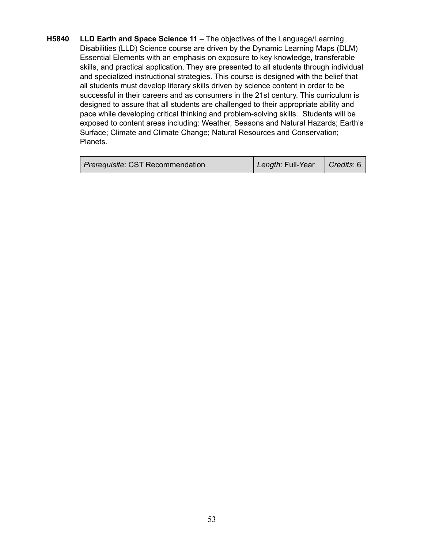**H5840 LLD Earth and Space Science 11** – The objectives of the Language/Learning Disabilities (LLD) Science course are driven by the Dynamic Learning Maps (DLM) Essential Elements with an emphasis on exposure to key knowledge, transferable skills, and practical application. They are presented to all students through individual and specialized instructional strategies. This course is designed with the belief that all students must develop literary skills driven by science content in order to be successful in their careers and as consumers in the 21st century. This curriculum is designed to assure that all students are challenged to their appropriate ability and pace while developing critical thinking and problem-solving skills. Students will be exposed to content areas including: Weather, Seasons and Natural Hazards; Earth's Surface; Climate and Climate Change; Natural Resources and Conservation; Planets.

| Prerequisite: CST Recommendation | Length: Full-Year   Credits: 6 |  |
|----------------------------------|--------------------------------|--|
|----------------------------------|--------------------------------|--|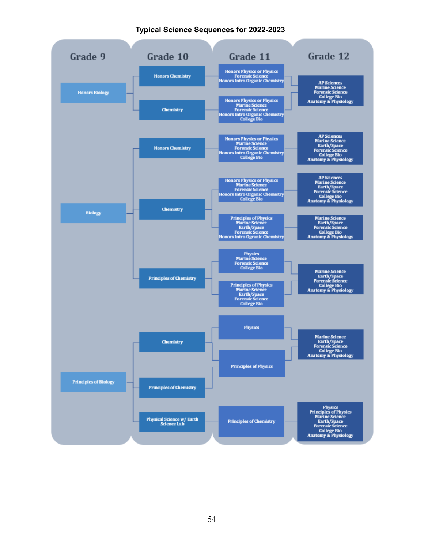#### **Typical Science Sequences for 2022-2023**

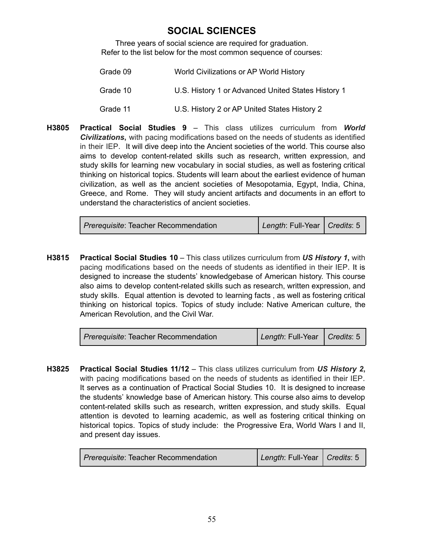### **SOCIAL SCIENCES**

Three years of social science are required for graduation. Refer to the list below for the most common sequence of courses:

| Grade 09 | World Civilizations or AP World History            |
|----------|----------------------------------------------------|
| Grade 10 | U.S. History 1 or Advanced United States History 1 |
| Grade 11 | U.S. History 2 or AP United States History 2       |

**H3805 Practical Social Studies 9** – This class utilizes curriculum from *World Civilizations***,** with pacing modifications based on the needs of students as identified in their IEP. It will dive deep into the Ancient societies of the world. This course also aims to develop content-related skills such as research, written expression, and study skills for learning new vocabulary in social studies, as well as fostering critical thinking on historical topics. Students will learn about the earliest evidence of human civilization, as well as the ancient societies of Mesopotamia, Egypt, India, China, Greece, and Rome. They will study ancient artifacts and documents in an effort to understand the characteristics of ancient societies.

| Prerequisite: Teacher Recommendation | Length: Full-Year   Credits: 5 |  |
|--------------------------------------|--------------------------------|--|
|--------------------------------------|--------------------------------|--|

**H3815 Practical Social Studies 10** – This class utilizes curriculum from *US History 1***,** with pacing modifications based on the needs of students as identified in their IEP. It is designed to increase the students' knowledgebase of American history. This course also aims to develop content-related skills such as research, written expression, and study skills. Equal attention is devoted to learning facts , as well as fostering critical thinking on historical topics. Topics of study include: Native American culture, the American Revolution, and the Civil War.

| Prerequisite: Teacher Recommendation | Length: Full-Year   Credits: 5 |
|--------------------------------------|--------------------------------|
|--------------------------------------|--------------------------------|

**H3825 Practical Social Studies 11/12** – This class utilizes curriculum from *US History 2***,** with pacing modifications based on the needs of students as identified in their IEP. It serves as a continuation of Practical Social Studies 10. It is designed to increase the students' knowledge base of American history. This course also aims to develop content-related skills such as research, written expression, and study skills. Equal attention is devoted to learning academic, as well as fostering critical thinking on historical topics. Topics of study include: the Progressive Era, World Wars I and II, and present day issues.

| <i>Prerequisite:</i> Teacher Recommendation | Length: Full-Year   Credits: 5 |  |
|---------------------------------------------|--------------------------------|--|
|---------------------------------------------|--------------------------------|--|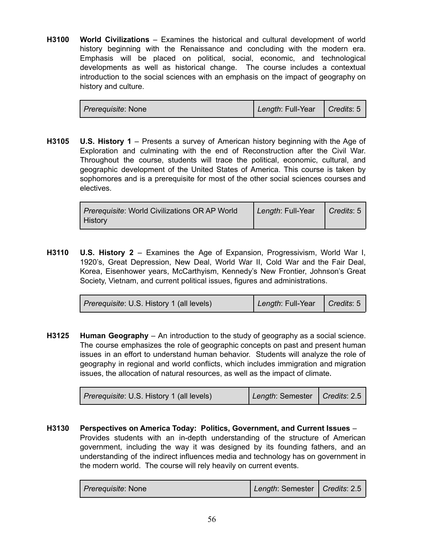**H3100 World Civilizations** – Examines the historical and cultural development of world history beginning with the Renaissance and concluding with the modern era. Emphasis will be placed on political, social, economic, and technological developments as well as historical change. The course includes a contextual introduction to the social sciences with an emphasis on the impact of geography on history and culture.

| <i>Prerequisite: None</i> | Length: Full-Year   Credits: 5 |  |
|---------------------------|--------------------------------|--|
|                           |                                |  |

**H3105 U.S. History 1** – Presents a survey of American history beginning with the Age of Exploration and culminating with the end of Reconstruction after the Civil War. Throughout the course, students will trace the political, economic, cultural, and geographic development of the United States of America. This course is taken by sophomores and is a prerequisite for most of the other social sciences courses and electives.

| Prerequisite: World Civilizations OR AP World | Length: Full-Year   Credits: 5 |  |
|-----------------------------------------------|--------------------------------|--|
| <b>History</b>                                |                                |  |

**H3110 U.S. History 2** – Examines the Age of Expansion, Progressivism, World War I, 1920's, Great Depression, New Deal, World War II, Cold War and the Fair Deal, Korea, Eisenhower years, McCarthyism, Kennedy's New Frontier, Johnson's Great Society, Vietnam, and current political issues, figures and administrations.

| <i>Prerequisite: U.S. History 1 (all levels)</i> | Length: Full-Year | Credits: 5 |
|--------------------------------------------------|-------------------|------------|
|--------------------------------------------------|-------------------|------------|

**H3125 Human Geography** – An introduction to the study of geography as a social science. The course emphasizes the role of geographic concepts on past and present human issues in an effort to understand human behavior. Students will analyze the role of geography in regional and world conflicts, which includes immigration and migration issues, the allocation of natural resources, as well as the impact of climate.

| Prerequisite: U.S. History 1 (all levels) | Length: Semester   Credits: 2.5 |  |
|-------------------------------------------|---------------------------------|--|
|-------------------------------------------|---------------------------------|--|

**H3130 Perspectives on America Today: Politics, Government, and Current Issues** – Provides students with an in-depth understanding of the structure of American government, including the way it was designed by its founding fathers, and an understanding of the indirect influences media and technology has on government in the modern world. The course will rely heavily on current events.

| <i>Prerequisite: None</i> | Length: Semester   Credits: 2.5 |  |
|---------------------------|---------------------------------|--|
|---------------------------|---------------------------------|--|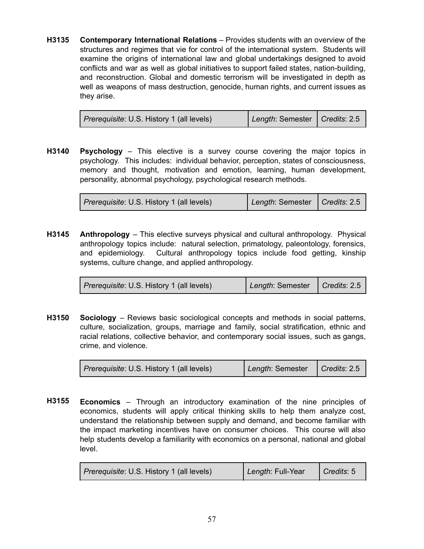**H3135 Contemporary International Relations** – Provides students with an overview of the structures and regimes that vie for control of the international system. Students will examine the origins of international law and global undertakings designed to avoid conflicts and war as well as global initiatives to support failed states, nation-building, and reconstruction. Global and domestic terrorism will be investigated in depth as well as weapons of mass destruction, genocide, human rights, and current issues as they arise.

| <i>Prerequisite:</i> U.S. History 1 (all levels) | Length: Semester   Credits: 2.5 |  |
|--------------------------------------------------|---------------------------------|--|
|--------------------------------------------------|---------------------------------|--|

**H3140 Psychology** – This elective is a survey course covering the major topics in psychology. This includes: individual behavior, perception, states of consciousness, memory and thought, motivation and emotion, learning, human development, personality, abnormal psychology, psychological research methods.

| <i>Prerequisite:</i> U.S. History 1 (all levels) | Length: Semester   Credits: 2.5 |  |
|--------------------------------------------------|---------------------------------|--|
|--------------------------------------------------|---------------------------------|--|

**H3145 Anthropology** – This elective surveys physical and cultural anthropology. Physical anthropology topics include: natural selection, primatology, paleontology, forensics, and epidemiology. Cultural anthropology topics include food getting, kinship systems, culture change, and applied anthropology.

| <i>Prerequisite: U.S. History 1 (all levels)</i> | Length: Semester   Credits: 2.5 |  |
|--------------------------------------------------|---------------------------------|--|
|--------------------------------------------------|---------------------------------|--|

**H3150 Sociology** – Reviews basic sociological concepts and methods in social patterns, culture, socialization, groups, marriage and family, social stratification, ethnic and racial relations, collective behavior, and contemporary social issues, such as gangs, crime, and violence.

| <i>Prerequisite: U.S. History 1 (all levels)</i> | Length: Semester | $\bigcap$ Credits: 2.5 |
|--------------------------------------------------|------------------|------------------------|
|--------------------------------------------------|------------------|------------------------|

**H3155 Economics** – Through an introductory examination of the nine principles of economics, students will apply critical thinking skills to help them analyze cost, understand the relationship between supply and demand, and become familiar with the impact marketing incentives have on consumer choices. This course will also help students develop a familiarity with economics on a personal, national and global level.

| Prerequisite: U.S. History 1 (all levels) | Length: Full-Year | $\bigcap$ Credits: 5 |
|-------------------------------------------|-------------------|----------------------|
|-------------------------------------------|-------------------|----------------------|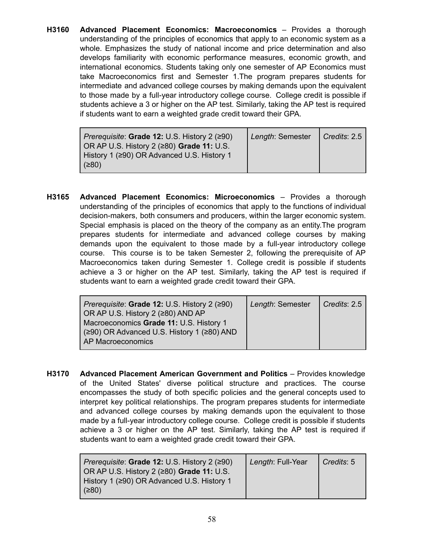**H3160 Advanced Placement Economics: Macroeconomics** – Provides a thorough understanding of the principles of economics that apply to an economic system as a whole. Emphasizes the study of national income and price determination and also develops familiarity with economic performance measures, economic growth, and international economics. Students taking only one semester of AP Economics must take Macroeconomics first and Semester 1.The program prepares students for intermediate and advanced college courses by making demands upon the equivalent to those made by a full-year introductory college course. College credit is possible if students achieve a 3 or higher on the AP test. Similarly, taking the AP test is required if students want to earn a weighted grade credit toward their GPA.

| $\vert$ Prerequisite: Grade 12: U.S. History 2 ( $\geq$ 90) | Length: Semester   Credits: 2.5 |  |
|-------------------------------------------------------------|---------------------------------|--|
| OR AP U.S. History $2$ ( $\geq 80$ ) Grade 11: U.S.         |                                 |  |
| History 1 (≥90) OR Advanced U.S. History 1                  |                                 |  |
| (≥80)                                                       |                                 |  |

**H3165 Advanced Placement Economics: Microeconomics** – Provides a thorough understanding of the principles of economics that apply to the functions of individual decision-makers, both consumers and producers, within the larger economic system. Special emphasis is placed on the theory of the company as an entity.The program prepares students for intermediate and advanced college courses by making demands upon the equivalent to those made by a full-year introductory college course. This course is to be taken Semester 2, following the prerequisite of AP Macroeconomics taken during Semester 1. College credit is possible if students achieve a 3 or higher on the AP test. Similarly, taking the AP test is required if students want to earn a weighted grade credit toward their GPA.

| <i>Prerequisite:</i> Grade 12: U.S. History 2 (≥90)<br>OR AP U.S. History 2 (≥80) AND AP<br>Macroeconomics Grade 11: U.S. History 1<br>(≥90) OR Advanced U.S. History 1 (≥80) AND | Length: Semester | Credits: 2.5 |
|-----------------------------------------------------------------------------------------------------------------------------------------------------------------------------------|------------------|--------------|
| AP Macroeconomics                                                                                                                                                                 |                  |              |

**H3170 Advanced Placement American Government and Politics** – Provides knowledge of the United States' diverse political structure and practices. The course encompasses the study of both specific policies and the general concepts used to interpret key political relationships. The program prepares students for intermediate and advanced college courses by making demands upon the equivalent to those made by a full-year introductory college course. College credit is possible if students achieve a 3 or higher on the AP test. Similarly, taking the AP test is required if students want to earn a weighted grade credit toward their GPA.

| Prerequisite: Grade 12: U.S. History 2 (≥90)<br>OR AP U.S. History $2$ ( $\geq 80$ ) Grade 11: U.S. | Length: Full-Year | $\mid$ Credits: 5 |
|-----------------------------------------------------------------------------------------------------|-------------------|-------------------|
| History 1 (≥90) OR Advanced U.S. History 1<br>(≥80)                                                 |                   |                   |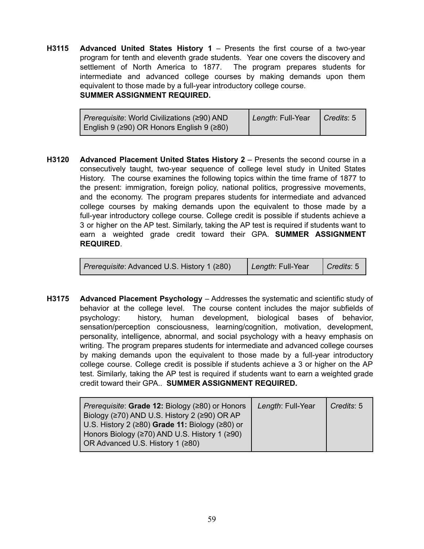**H3115 Advanced United States History 1** – Presents the first course of a two-year program for tenth and eleventh grade students. Year one covers the discovery and settlement of North America to 1877. The program prepares students for intermediate and advanced college courses by making demands upon them equivalent to those made by a full-year introductory college course. **SUMMER ASSIGNMENT REQUIRED.**

| <i>Prerequisite:</i> World Civilizations (290) AND      | Length: Full-Year | $\vert$ Credits: 5 |
|---------------------------------------------------------|-------------------|--------------------|
| English 9 ( $\geq$ 90) OR Honors English 9 ( $\geq$ 80) |                   |                    |

**H3120 Advanced Placement United States History 2** – Presents the second course in a consecutively taught, two-year sequence of college level study in United States History. The course examines the following topics within the time frame of 1877 to the present: immigration, foreign policy, national politics, progressive movements, and the economy. The program prepares students for intermediate and advanced college courses by making demands upon the equivalent to those made by a full-year introductory college course. College credit is possible if students achieve a 3 or higher on the AP test. Similarly, taking the AP test is required if students want to earn a weighted grade credit toward their GPA. **SUMMER ASSIGNMENT REQUIRED**.

|  | <i>Prerequisite</i> : Advanced U.S. History 1 (≥80) | Length: Full-Year | $\vert$ Credits: 5 |
|--|-----------------------------------------------------|-------------------|--------------------|
|--|-----------------------------------------------------|-------------------|--------------------|

**H3175 Advanced Placement Psychology** – Addresses the systematic and scientific study of behavior at the college level. The course content includes the major subfields of psychology: history, human development, biological bases of behavior, sensation/perception consciousness, learning/cognition, motivation, development, personality, intelligence, abnormal, and social psychology with a heavy emphasis on writing. The program prepares students for intermediate and advanced college courses by making demands upon the equivalent to those made by a full-year introductory college course. College credit is possible if students achieve a 3 or higher on the AP test. Similarly, taking the AP test is required if students want to earn a weighted grade credit toward their GPA.. **SUMMER ASSIGNMENT REQUIRED.**

| <i>Prerequisite:</i> Grade 12: Biology (≥80) or Honors<br>Biology (≥70) AND U.S. History 2 (≥90) OR AP | Length: Full-Year | Credits: 5 |
|--------------------------------------------------------------------------------------------------------|-------------------|------------|
| U.S. History 2 (≥80) Grade 11: Biology (≥80) or                                                        |                   |            |
| Honors Biology (≥70) AND U.S. History 1 (≥90)                                                          |                   |            |
| OR Advanced U.S. History 1 (≥80)                                                                       |                   |            |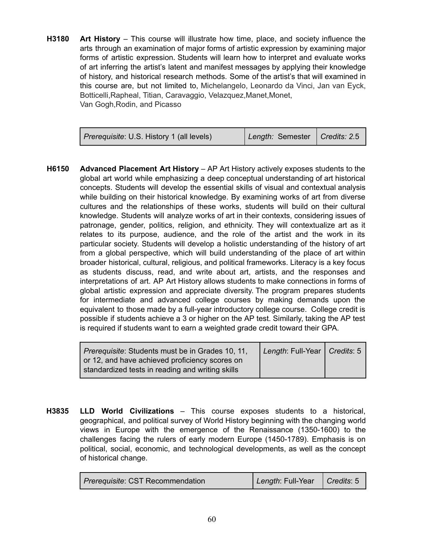**H3180 Art History** – This course will illustrate how time, place, and society influence the arts through an examination of major forms of artistic expression by examining major forms of artistic expression. Students will learn how to interpret and evaluate works of art inferring the artist's latent and manifest messages by applying their knowledge of history, and historical research methods. Some of the artist's that will examined in this course are, but not limited to, Michelangelo, Leonardo da Vinci, Jan van Eyck, Botticelli, Rapheal, Titian, Caravaggio, Velazquez, Manet, Monet, Van Gogh,Rodin, and Picasso

| <i>Prerequisite:</i> U.S. History 1 (all levels) | Length: Semester   Credits: 2.5 |  |
|--------------------------------------------------|---------------------------------|--|
|--------------------------------------------------|---------------------------------|--|

**H6150 Advanced Placement Art History** – AP Art History actively exposes students to the global art world while emphasizing a deep conceptual understanding of art historical concepts. Students will develop the essential skills of visual and contextual analysis while building on their historical knowledge. By examining works of art from diverse cultures and the relationships of these works, students will build on their cultural knowledge. Students will analyze works of art in their contexts, considering issues of patronage, gender, politics, religion, and ethnicity. They will contextualize art as it relates to its purpose, audience, and the role of the artist and the work in its particular society. Students will develop a holistic understanding of the history of art from a global perspective, which will build understanding of the place of art within broader historical, cultural, religious, and political frameworks. Literacy is a key focus as students discuss, read, and write about art, artists, and the responses and interpretations of art. AP Art History allows students to make connections in forms of global artistic expression and appreciate diversity. The program prepares students for intermediate and advanced college courses by making demands upon the equivalent to those made by a full-year introductory college course. College credit is possible if students achieve a 3 or higher on the AP test. Similarly, taking the AP test is required if students want to earn a weighted grade credit toward their GPA.

| Prerequisite: Students must be in Grades 10, 11, | Length: Full-Year   Credits: 5 |  |
|--------------------------------------------------|--------------------------------|--|
| or 12, and have achieved proficiency scores on   |                                |  |
| standardized tests in reading and writing skills |                                |  |

**H3835 LLD World Civilizations** – This course exposes students to a historical, geographical, and political survey of World History beginning with the changing world views in Europe with the emergence of the Renaissance (1350-1600) to the challenges facing the rulers of early modern Europe (1450-1789). Emphasis is on political, social, economic, and technological developments, as well as the concept of historical change.

| <i>Prerequisite: CST Recommendation</i> | Length: Full-Year   Credits: 5 |  |
|-----------------------------------------|--------------------------------|--|
|-----------------------------------------|--------------------------------|--|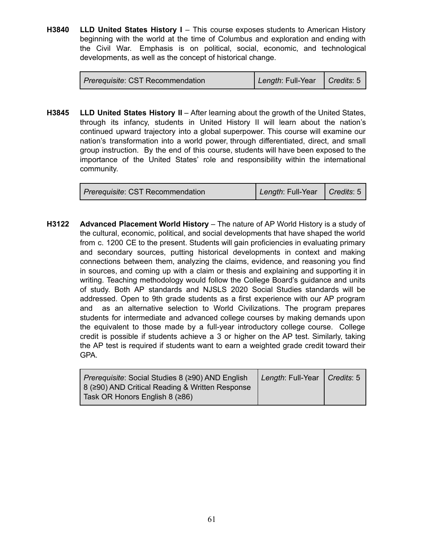**H3840 LLD United States History I** – This course exposes students to American History beginning with the world at the time of Columbus and exploration and ending with the Civil War. Emphasis is on political, social, economic, and technological developments, as well as the concept of historical change.

| <i>Prerequisite: CST Recommendation</i> | Length: Full-Year   Credits: 5 |  |
|-----------------------------------------|--------------------------------|--|
|-----------------------------------------|--------------------------------|--|

**H3845 LLD United States History II** – After learning about the growth of the United States, through its infancy, students in United History II will learn about the nation's continued upward trajectory into a global superpower. This course will examine our nation's transformation into a world power, through differentiated, direct, and small group instruction. By the end of this course, students will have been exposed to the importance of the United States' role and responsibility within the international community.

| <i>Prerequisite: CST Recommendation</i> | Length: Full-Year   Credits: 5 |  |
|-----------------------------------------|--------------------------------|--|
|-----------------------------------------|--------------------------------|--|

**H3122 Advanced Placement World History** – The nature of AP World History is a study of the cultural, economic, political, and social developments that have shaped the world from c. 1200 CE to the present. Students will gain proficiencies in evaluating primary and secondary sources, putting historical developments in context and making connections between them, analyzing the claims, evidence, and reasoning you find in sources, and coming up with a claim or thesis and explaining and supporting it in writing. Teaching methodology would follow the College Board's guidance and units of study. Both AP standards and NJSLS 2020 Social Studies standards will be addressed. Open to 9th grade students as a first experience with our AP program and as an alternative selection to World Civilizations. The program prepares students for intermediate and advanced college courses by making demands upon the equivalent to those made by a full-year introductory college course. College credit is possible if students achieve a 3 or higher on the AP test. Similarly, taking the AP test is required if students want to earn a weighted grade credit toward their GPA.

| Prerequisite: Social Studies 8 (≥90) AND English | Length: Full-Year   Credits: 5 |  |
|--------------------------------------------------|--------------------------------|--|
| 8 (≥90) AND Critical Reading & Written Response  |                                |  |
| Task OR Honors English 8 (≥86)                   |                                |  |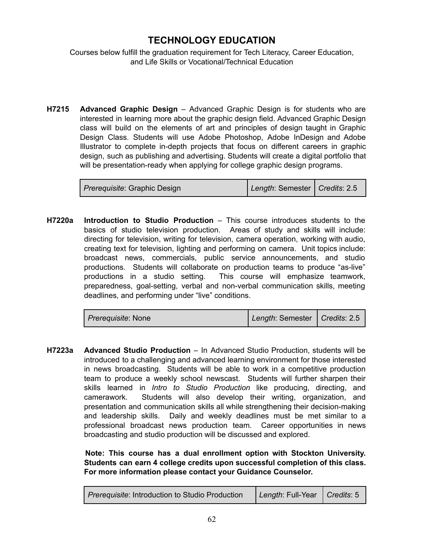### **TECHNOLOGY EDUCATION**

Courses below fulfill the graduation requirement for Tech Literacy, Career Education, and Life Skills or Vocational/Technical Education

**H7215 Advanced Graphic Design** – Advanced Graphic Design is for students who are interested in learning more about the graphic design field. Advanced Graphic Design class will build on the elements of art and principles of design taught in Graphic Design Class. Students will use Adobe Photoshop, Adobe InDesign and Adobe Illustrator to complete in-depth projects that focus on different careers in graphic design, such as publishing and advertising. Students will create a digital portfolio that will be presentation-ready when applying for college graphic design programs.

| Length: Semester   Credits: 2.5<br><i>Prerequisite: Graphic Design</i> |
|------------------------------------------------------------------------|
|------------------------------------------------------------------------|

**H7220a Introduction to Studio Production** – This course introduces students to the basics of studio television production. Areas of study and skills will include: directing for television, writing for television, camera operation, working with audio, creating text for television, lighting and performing on camera. Unit topics include: broadcast news, commercials, public service announcements, and studio productions. Students will collaborate on production teams to produce "as-live" productions in a studio setting. This course will emphasize teamwork, preparedness, goal-setting, verbal and non-verbal communication skills, meeting deadlines, and performing under "live" conditions.

| <i>Prerequisite:</i> None | Length: Semester   Credits: 2.5 |  |
|---------------------------|---------------------------------|--|
|---------------------------|---------------------------------|--|

**H7223a Advanced Studio Production** – In Advanced Studio Production, students will be introduced to a challenging and advanced learning environment for those interested in news broadcasting. Students will be able to work in a competitive production team to produce a weekly school newscast. Students will further sharpen their skills learned in *Intro to Studio Production* like producing, directing, and camerawork. Students will also develop their writing, organization, and presentation and communication skills all while strengthening their decision-making and leadership skills. Daily and weekly deadlines must be met similar to a professional broadcast news production team. Career opportunities in news broadcasting and studio production will be discussed and explored.

> **Note: This course has a dual enrollment option with Stockton University. Students can earn 4 college credits upon successful completion of this class. For more information please contact your Guidance Counselor.**

| <i>Prerequisite:</i> Introduction to Studio Production | Length: Full-Year   Credits: 5 |  |
|--------------------------------------------------------|--------------------------------|--|
|--------------------------------------------------------|--------------------------------|--|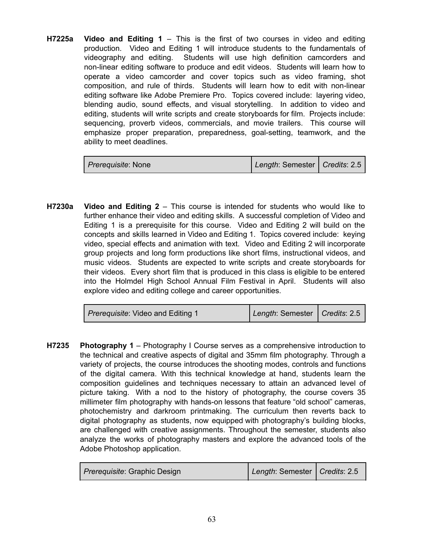**H7225a Video and Editing 1** – This is the first of two courses in video and editing production. Video and Editing 1 will introduce students to the fundamentals of videography and editing. Students will use high definition camcorders and non-linear editing software to produce and edit videos. Students will learn how to operate a video camcorder and cover topics such as video framing, shot composition, and rule of thirds. Students will learn how to edit with non-linear editing software like Adobe Premiere Pro. Topics covered include: layering video, blending audio, sound effects, and visual storytelling. In addition to video and editing, students will write scripts and create storyboards for film. Projects include: sequencing, proverb videos, commercials, and movie trailers. This course will emphasize proper preparation, preparedness, goal-setting, teamwork, and the ability to meet deadlines.

| <i>Prerequisite: None</i> | Length: Semester   Credits: 2.5 |  |
|---------------------------|---------------------------------|--|
|---------------------------|---------------------------------|--|

**H7230a Video and Editing 2** – This course is intended for students who would like to further enhance their video and editing skills. A successful completion of Video and Editing 1 is a prerequisite for this course. Video and Editing 2 will build on the concepts and skills learned in Video and Editing 1. Topics covered include: keying video, special effects and animation with text. Video and Editing 2 will incorporate group projects and long form productions like short films, instructional videos, and music videos. Students are expected to write scripts and create storyboards for their videos. Every short film that is produced in this class is eligible to be entered into the Holmdel High School Annual Film Festival in April. Students will also explore video and editing college and career opportunities.

| <i>Prerequisite:</i> Video and Editing 1 | Length: Semester   Credits: 2.5 |  |
|------------------------------------------|---------------------------------|--|
|------------------------------------------|---------------------------------|--|

**H7235 Photography 1** – Photography I Course serves as a comprehensive introduction to the technical and creative aspects of digital and 35mm film photography. Through a variety of projects, the course introduces the shooting modes, controls and functions of the digital camera. With this technical knowledge at hand, students learn the composition guidelines and techniques necessary to attain an advanced level of picture taking. With a nod to the history of photography, the course covers 35 millimeter film photography with hands-on lessons that feature "old school" cameras, photochemistry and darkroom printmaking. The curriculum then reverts back to digital photography as students, now equipped with photography's building blocks, are challenged with creative assignments. Throughout the semester, students also analyze the works of photography masters and explore the advanced tools of the Adobe Photoshop application.

| <i>Prerequisite: Graphic Design</i> | Length: Semester   Credits: 2.5 |  |
|-------------------------------------|---------------------------------|--|
|-------------------------------------|---------------------------------|--|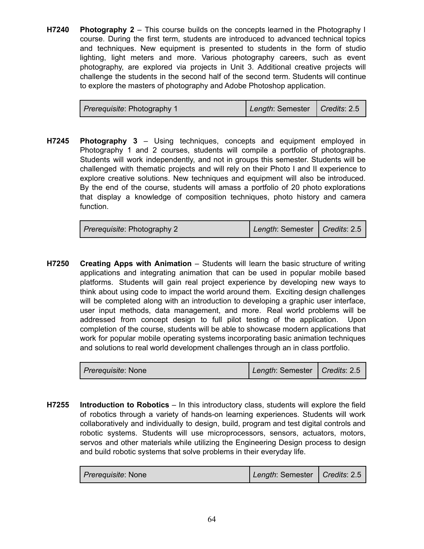**H7240 Photography 2** – This course builds on the concepts learned in the Photography I course. During the first term, students are introduced to advanced technical topics and techniques. New equipment is presented to students in the form of studio lighting, light meters and more. Various photography careers, such as event photography, are explored via projects in Unit 3. Additional creative projects will challenge the students in the second half of the second term. Students will continue to explore the masters of photography and Adobe Photoshop application.

| Prerequisite: Photography 1 | Length: Semester   Credits: 2.5 |  |
|-----------------------------|---------------------------------|--|
|-----------------------------|---------------------------------|--|

**H7245 Photography 3** – Using techniques, concepts and equipment employed in Photography 1 and 2 courses, students will compile a portfolio of photographs. Students will work independently, and not in groups this semester. Students will be challenged with thematic projects and will rely on their Photo I and II experience to explore creative solutions. New techniques and equipment will also be introduced. By the end of the course, students will amass a portfolio of 20 photo explorations that display a knowledge of composition techniques, photo history and camera function.

**H7250 Creating Apps with Animation** – Students will learn the basic structure of writing applications and integrating animation that can be used in popular mobile based platforms. Students will gain real project experience by developing new ways to think about using code to impact the world around them. Exciting design challenges will be completed along with an introduction to developing a graphic user interface, user input methods, data management, and more. Real world problems will be addressed from concept design to full pilot testing of the application. Upon completion of the course, students will be able to showcase modern applications that work for popular mobile operating systems incorporating basic animation techniques and solutions to real world development challenges through an in class portfolio.

**H7255 Introduction to Robotics** – In this introductory class, students will explore the field of robotics through a variety of hands-on learning experiences. Students will work collaboratively and individually to design, build, program and test digital controls and robotic systems. Students will use microprocessors, sensors, actuators, motors, servos and other materials while utilizing the Engineering Design process to design and build robotic systems that solve problems in their everyday life.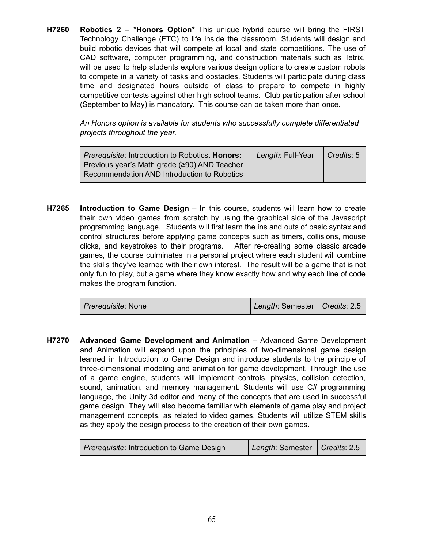**H7260 Robotics 2** – **\*Honors Option\*** This unique hybrid course will bring the FIRST Technology Challenge (FTC) to life inside the classroom. Students will design and build robotic devices that will compete at local and state competitions. The use of CAD software, computer programming, and construction materials such as Tetrix, will be used to help students explore various design options to create custom robots to compete in a variety of tasks and obstacles. Students will participate during class time and designated hours outside of class to prepare to compete in highly competitive contests against other high school teams. Club participation after school (September to May) is mandatory. This course can be taken more than once.

> *An Honors option is available for students who successfully complete differentiated projects throughout the year.*

| Prerequisite: Introduction to Robotics. Honors:<br>Previous year's Math grade (≥90) AND Teacher | Length: Full-Year   Credits: 5 |  |
|-------------------------------------------------------------------------------------------------|--------------------------------|--|
| Recommendation AND Introduction to Robotics                                                     |                                |  |

**H7265 Introduction to Game Design** – In this course, students will learn how to create their own video games from scratch by using the graphical side of the Javascript programming language. Students will first learn the ins and outs of basic syntax and control structures before applying game concepts such as timers, collisions, mouse clicks, and keystrokes to their programs. After re-creating some classic arcade games, the course culminates in a personal project where each student will combine the skills they've learned with their own interest. The result will be a game that is not only fun to play, but a game where they know exactly how and why each line of code makes the program function.

| <i>Prerequisite: None</i> | Length: Semester   Credits: 2.5 |  |
|---------------------------|---------------------------------|--|
|                           |                                 |  |

**H7270 Advanced Game Development and Animation** – Advanced Game Development and Animation will expand upon the principles of two-dimensional game design learned in Introduction to Game Design and introduce students to the principle of three-dimensional modeling and animation for game development. Through the use of a game engine, students will implement controls, physics, collision detection, sound, animation, and memory management. Students will use C# programming language, the Unity 3d editor and many of the concepts that are used in successful game design. They will also become familiar with elements of game play and project management concepts, as related to video games. Students will utilize STEM skills as they apply the design process to the creation of their own games.

| <i>Prerequisite:</i> Introduction to Game Design | Length: Semester   Credits: 2.5 |  |
|--------------------------------------------------|---------------------------------|--|
|--------------------------------------------------|---------------------------------|--|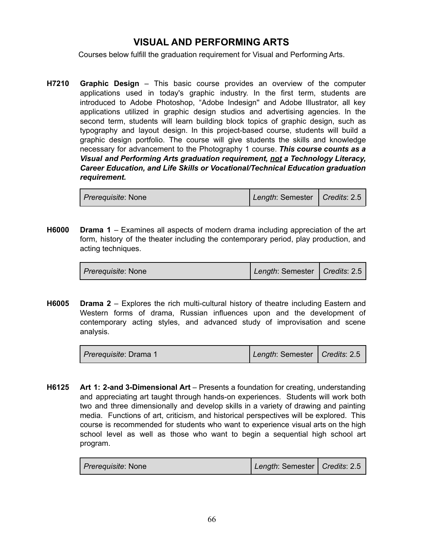### **VISUAL AND PERFORMING ARTS**

Courses below fulfill the graduation requirement for Visual and Performing Arts.

**H7210 Graphic Design** – This basic course provides an overview of the computer applications used in today's graphic industry. In the first term, students are introduced to Adobe Photoshop, "Adobe Indesign'' and Adobe Illustrator, all key applications utilized in graphic design studios and advertising agencies. In the second term, students will learn building block topics of graphic design, such as typography and layout design. In this project-based course, students will build a graphic design portfolio. The course will give students the skills and knowledge necessary for advancement to the Photography 1 course. *This course counts as a Visual and Performing Arts graduation requirement, not a Technology Literacy, Career Education, and Life Skills or Vocational/Technical Education graduation requirement.*

| <i>Prerequisite:</i> None | Length: Semester   Credits: 2.5 |  |
|---------------------------|---------------------------------|--|
|                           |                                 |  |

**H6000 Drama 1** – Examines all aspects of modern drama including appreciation of the art form, history of the theater including the contemporary period, play production, and acting techniques.

| <i>Prerequisite:</i> None | Length: Semester   Credits: 2.5 |  |
|---------------------------|---------------------------------|--|
|---------------------------|---------------------------------|--|

**H6005 Drama 2** – Explores the rich multi-cultural history of theatre including Eastern and Western forms of drama, Russian influences upon and the development of contemporary acting styles, and advanced study of improvisation and scene analysis.

| <i>Prerequisite: Drama 1</i> | Length: Semester   Credits: 2.5 |  |
|------------------------------|---------------------------------|--|
|------------------------------|---------------------------------|--|

**H6125 Art 1: 2-and 3-Dimensional Art** – Presents a foundation for creating, understanding and appreciating art taught through hands-on experiences. Students will work both two and three dimensionally and develop skills in a variety of drawing and painting media. Functions of art, criticism, and historical perspectives will be explored. This course is recommended for students who want to experience visual arts on the high school level as well as those who want to begin a sequential high school art program.

| <i>Prerequisite:</i> None | Length: Semester   Credits: 2.5 |  |
|---------------------------|---------------------------------|--|
|---------------------------|---------------------------------|--|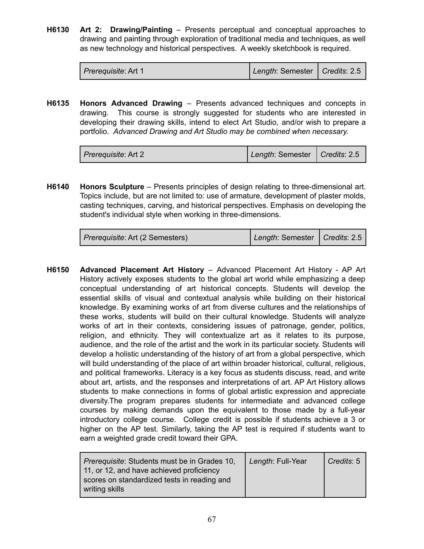**H6130 Art 2: Drawing/Painting** – Presents perceptual and conceptual approaches to drawing and painting through exploration of traditional media and techniques, as well as new technology and historical perspectives. A weekly sketchbook is required.

| <i>Prerequisite: Art 1</i> | Length: Semester   Credits: 2.5 |  |
|----------------------------|---------------------------------|--|
|----------------------------|---------------------------------|--|

**H6135 Honors Advanced Drawing** – Presents advanced techniques and concepts in drawing. This course is strongly suggested for students who are interested in developing their drawing skills, intend to elect Art Studio, and/or wish to prepare a portfolio. *Advanced Drawing and Art Studio may be combined when necessary.*

| <i>Prerequisite: Art 2</i> | Length: Semester   Credits: 2.5 |  |
|----------------------------|---------------------------------|--|
|----------------------------|---------------------------------|--|

**H6140 Honors Sculpture** – Presents principles of design relating to three-dimensional art. Topics include, but are not limited to: use of armature, development of plaster molds, casting techniques, carving, and historical perspectives. Emphasis on developing the student's individual style when working in three-dimensions.

| <i>Prerequisite: Art (2 Semesters)</i> | Length: Semester   Credits: 2.5 |  |
|----------------------------------------|---------------------------------|--|
|----------------------------------------|---------------------------------|--|

**H6150 Advanced Placement Art History** – Advanced Placement Art History - AP Art History actively exposes students to the global art world while emphasizing a deep conceptual understanding of art historical concepts. Students will develop the essential skills of visual and contextual analysis while building on their historical knowledge. By examining works of art from diverse cultures and the relationships of these works, students will build on their cultural knowledge. Students will analyze works of art in their contexts, considering issues of patronage, gender, politics, religion, and ethnicity. They will contextualize art as it relates to its purpose, audience, and the role of the artist and the work in its particular society. Students will develop a holistic understanding of the history of art from a global perspective, which will build understanding of the place of art within broader historical, cultural, religious, and political frameworks. Literacy is a key focus as students discuss, read, and write about art, artists, and the responses and interpretations of art. AP Art History allows students to make connections in forms of global artistic expression and appreciate diversity.The program prepares students for intermediate and advanced college courses by making demands upon the equivalent to those made by a full-year introductory college course. College credit is possible if students achieve a 3 or higher on the AP test. Similarly, taking the AP test is required if students want to earn a weighted grade credit toward their GPA.

| <i>Prerequisite: Students must be in Grades 10,</i>                                     | Length: Full-Year | Credits: 5 |
|-----------------------------------------------------------------------------------------|-------------------|------------|
| 11, or 12, and have achieved proficiency<br>scores on standardized tests in reading and |                   |            |
| writing skills                                                                          |                   |            |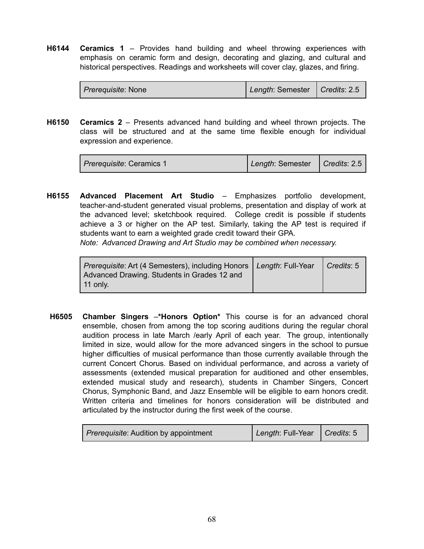**H6144 Ceramics 1** – Provides hand building and wheel throwing experiences with emphasis on ceramic form and design, decorating and glazing, and cultural and historical perspectives. Readings and worksheets will cover clay, glazes, and firing.

| <i>Prerequisite: None</i> | Length: Semester   Credits: 2.5 |  |
|---------------------------|---------------------------------|--|
|---------------------------|---------------------------------|--|

**H6150 Ceramics 2** – Presents advanced hand building and wheel thrown projects. The class will be structured and at the same time flexible enough for individual expression and experience.

| <i>Prerequisite: Ceramics 1</i> | Length: Semester   Credits: 2.5 |  |
|---------------------------------|---------------------------------|--|
|---------------------------------|---------------------------------|--|

**H6155 Advanced Placement Art Studio** – Emphasizes portfolio development, teacher-and-student generated visual problems, presentation and display of work at the advanced level; sketchbook required. College credit is possible if students achieve a 3 or higher on the AP test. Similarly, taking the AP test is required if students want to earn a weighted grade credit toward their GPA.

*Note: Advanced Drawing and Art Studio may be combined when necessary.*

| Prerequisite: Art (4 Semesters), including Honors   Length: Full-Year   Credits: 5<br>Advanced Drawing. Students in Grades 12 and |  |
|-----------------------------------------------------------------------------------------------------------------------------------|--|
| 11 only.                                                                                                                          |  |

**H6505 Chamber Singers** –**\*Honors Option\*** This course is for an advanced choral ensemble, chosen from among the top scoring auditions during the regular choral audition process in late March /early April of each year. The group, intentionally limited in size, would allow for the more advanced singers in the school to pursue higher difficulties of musical performance than those currently available through the current Concert Chorus. Based on individual performance, and across a variety of assessments (extended musical preparation for auditioned and other ensembles, extended musical study and research), students in Chamber Singers, Concert Chorus, Symphonic Band, and Jazz Ensemble will be eligible to earn honors credit. Written criteria and timelines for honors consideration will be distributed and articulated by the instructor during the first week of the course.

| Prerequisite: Audition by appointment | Length: Full-Year   Credits: 5 |  |
|---------------------------------------|--------------------------------|--|
|---------------------------------------|--------------------------------|--|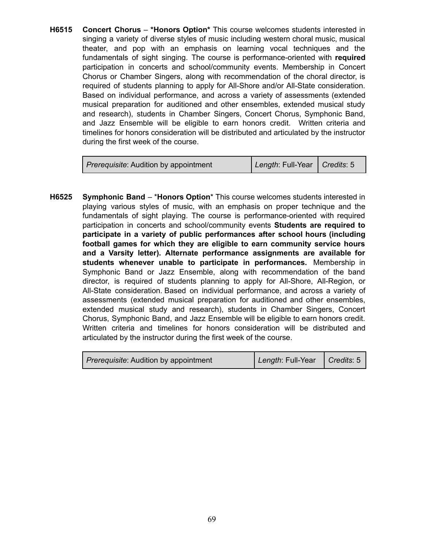**H6515 Concert Chorus** – **\*Honors Option\*** This course welcomes students interested in singing a variety of diverse styles of music including western choral music, musical theater, and pop with an emphasis on learning vocal techniques and the fundamentals of sight singing. The course is performance-oriented with **required** participation in concerts and school/community events. Membership in Concert Chorus or Chamber Singers, along with recommendation of the choral director, is required of students planning to apply for All-Shore and/or All-State consideration. Based on individual performance, and across a variety of assessments (extended musical preparation for auditioned and other ensembles, extended musical study and research), students in Chamber Singers, Concert Chorus, Symphonic Band, and Jazz Ensemble will be eligible to earn honors credit. Written criteria and timelines for honors consideration will be distributed and articulated by the instructor during the first week of the course.

| <i>Prerequisite:</i> Audition by appointment | Length: Full-Year   Credits: 5 |  |
|----------------------------------------------|--------------------------------|--|
|                                              |                                |  |

**H6525 Symphonic Band** – \***Honors Option**\* This course welcomes students interested in playing various styles of music, with an emphasis on proper technique and the fundamentals of sight playing. The course is performance-oriented with required participation in concerts and school/community events **Students are required to participate in a variety of public performances after school hours (including football games for which they are eligible to earn community service hours and a Varsity letter). Alternate performance assignments are available for students whenever unable to participate in performances.** Membership in Symphonic Band or Jazz Ensemble, along with recommendation of the band director, is required of students planning to apply for All-Shore, All-Region, or All-State consideration. Based on individual performance, and across a variety of assessments (extended musical preparation for auditioned and other ensembles, extended musical study and research), students in Chamber Singers, Concert Chorus, Symphonic Band, and Jazz Ensemble will be eligible to earn honors credit. Written criteria and timelines for honors consideration will be distributed and articulated by the instructor during the first week of the course.

| <i>Prerequisite:</i> Audition by appointment | Length: Full-Year   Credits: 5 |  |
|----------------------------------------------|--------------------------------|--|
|----------------------------------------------|--------------------------------|--|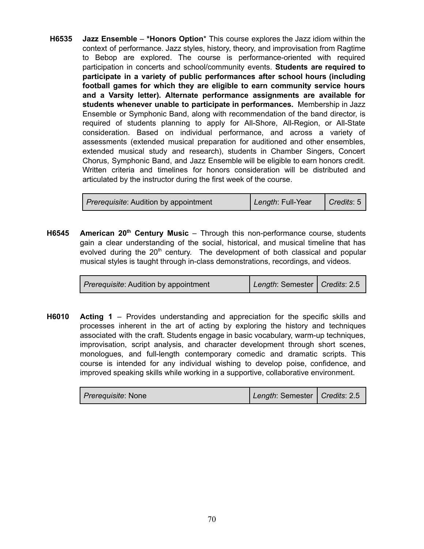**H6535 Jazz Ensemble** – **\*Honors Option**\* This course explores the Jazz idiom within the context of performance. Jazz styles, history, theory, and improvisation from Ragtime to Bebop are explored. The course is performance-oriented with required participation in concerts and school/community events. **Students are required to participate in a variety of public performances after school hours (including football games for which they are eligible to earn community service hours and a Varsity letter). Alternate performance assignments are available for students whenever unable to participate in performances.** Membership in Jazz Ensemble or Symphonic Band, along with recommendation of the band director, is required of students planning to apply for All-Shore, All-Region, or All-State consideration. Based on individual performance, and across a variety of assessments (extended musical preparation for auditioned and other ensembles, extended musical study and research), students in Chamber Singers, Concert Chorus, Symphonic Band, and Jazz Ensemble will be eligible to earn honors credit. Written criteria and timelines for honors consideration will be distributed and articulated by the instructor during the first week of the course.

| <i>Prerequisite:</i> Audition by appointment | Length: Full-Year | $\vert$ Credits: 5 $\vert$ |
|----------------------------------------------|-------------------|----------------------------|
|----------------------------------------------|-------------------|----------------------------|

**H6545** American 20<sup>th</sup> Century Music – Through this non-performance course, students gain a clear understanding of the social, historical, and musical timeline that has evolved during the 20<sup>th</sup> century. The development of both classical and popular musical styles is taught through in-class demonstrations, recordings, and videos.

| Prerequisite: Audition by appointment | Length: Semester   Credits: 2.5 |
|---------------------------------------|---------------------------------|
|---------------------------------------|---------------------------------|

**H6010 Acting 1** – Provides understanding and appreciation for the specific skills and processes inherent in the art of acting by exploring the history and techniques associated with the craft. Students engage in basic vocabulary, warm-up techniques, improvisation, script analysis, and character development through short scenes, monologues, and full-length contemporary comedic and dramatic scripts. This course is intended for any individual wishing to develop poise, confidence, and improved speaking skills while working in a supportive, collaborative environment.

| <i>Prerequisite:</i> None | Length: Semester   Credits: 2.5 |  |
|---------------------------|---------------------------------|--|
|---------------------------|---------------------------------|--|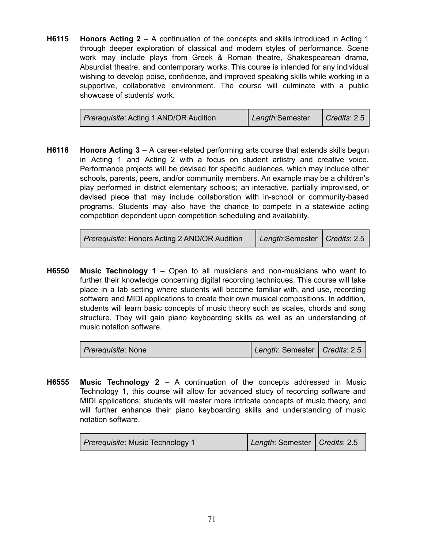**H6115 Honors Acting 2** – A continuation of the concepts and skills introduced in Acting 1 through deeper exploration of classical and modern styles of performance. Scene work may include plays from Greek & Roman theatre, Shakespearean drama, Absurdist theatre, and contemporary works. This course is intended for any individual wishing to develop poise, confidence, and improved speaking skills while working in a supportive, collaborative environment. The course will culminate with a public showcase of students' work.

| <i>Prerequisite:</i> Acting 1 AND/OR Audition | Length:Semester | $\vert$ Credits: 2.5 |
|-----------------------------------------------|-----------------|----------------------|
|-----------------------------------------------|-----------------|----------------------|

**H6116 Honors Acting 3** – A career-related performing arts course that extends skills begun in Acting 1 and Acting 2 with a focus on student artistry and creative voice. Performance projects will be devised for specific audiences, which may include other schools, parents, peers, and/or community members. An example may be a children's play performed in district elementary schools; an interactive, partially improvised, or devised piece that may include collaboration with in-school or community-based programs. Students may also have the chance to compete in a statewide acting competition dependent upon competition scheduling and availability.

| <b>Prerequisite: Honors Acting 2 AND/OR Audition</b> | Length:Semester   Credits: 2.5 |  |
|------------------------------------------------------|--------------------------------|--|
|                                                      |                                |  |

**H6550 Music Technology 1** – Open to all musicians and non-musicians who want to further their knowledge concerning digital recording techniques. This course will take place in a lab setting where students will become familiar with, and use, recording software and MIDI applications to create their own musical compositions. In addition, students will learn basic concepts of music theory such as scales, chords and song structure. They will gain piano keyboarding skills as well as an understanding of music notation software.

| <i>Prerequisite:</i> None | Length: Semester   Credits: 2.5 |  |
|---------------------------|---------------------------------|--|
|---------------------------|---------------------------------|--|

**H6555 Music Technology 2** – A continuation of the concepts addressed in Music Technology 1, this course will allow for advanced study of recording software and MIDI applications; students will master more intricate concepts of music theory, and will further enhance their piano keyboarding skills and understanding of music notation software.

| Prerequisite: Music Technology 1 | Length: Semester   Credits: 2.5 |  |
|----------------------------------|---------------------------------|--|
|----------------------------------|---------------------------------|--|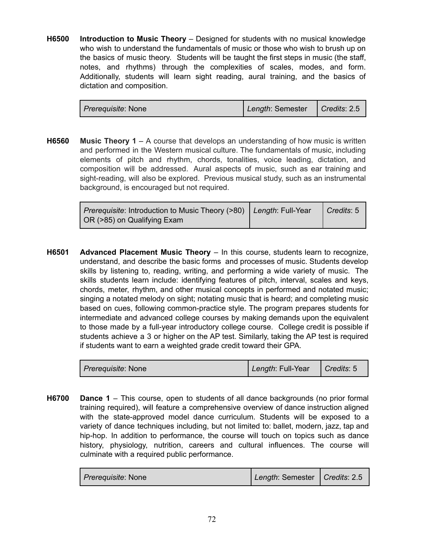**H6500 Introduction to Music Theory** – Designed for students with no musical knowledge who wish to understand the fundamentals of music or those who wish to brush up on the basics of music theory. Students will be taught the first steps in music (the staff, notes, and rhythms) through the complexities of scales, modes, and form. Additionally, students will learn sight reading, aural training, and the basics of dictation and composition.

| <i>Prerequisite:</i> None | Length: Semester   Credits: 2.5 |  |
|---------------------------|---------------------------------|--|
|---------------------------|---------------------------------|--|

**H6560 Music Theory 1** – A course that develops an understanding of how music is written and performed in the Western musical culture. The fundamentals of music, including elements of pitch and rhythm, chords, tonalities, voice leading, dictation, and composition will be addressed. Aural aspects of music, such as ear training and sight-reading, will also be explored. Previous musical study, such as an instrumental background, is encouraged but not required.

| Prerequisite: Introduction to Music Theory (>80) Length: Full-Year Credits: 5 |  |
|-------------------------------------------------------------------------------|--|
| OR (>85) on Qualifying Exam                                                   |  |

**H6501 Advanced Placement Music Theory** – In this course, students learn to recognize, understand, and describe the basic forms and processes of music. Students develop skills by listening to, reading, writing, and performing a wide variety of music. The skills students learn include: identifying features of pitch, interval, scales and keys, chords, meter, rhythm, and other musical concepts in performed and notated music; singing a notated melody on sight; notating music that is heard; and completing music based on cues, following common-practice style. The program prepares students for intermediate and advanced college courses by making demands upon the equivalent to those made by a full-year introductory college course. College credit is possible if students achieve a 3 or higher on the AP test. Similarly, taking the AP test is required if students want to earn a weighted grade credit toward their GPA.

| <i>Prerequisite: None</i> | Length: Full-Year | $\vert$ Credits: 5 |
|---------------------------|-------------------|--------------------|
|---------------------------|-------------------|--------------------|

**H6700 Dance 1** – This course, open to students of all dance backgrounds (no prior formal training required), will feature a comprehensive overview of dance instruction aligned with the state-approved model dance curriculum. Students will be exposed to a variety of dance techniques including, but not limited to: ballet, modern, jazz, tap and hip-hop. In addition to performance, the course will touch on topics such as dance history, physiology, nutrition, careers and cultural influences. The course will culminate with a required public performance.

| <i>Prerequisite:</i> None | Length: Semester   Credits: 2.5 |  |
|---------------------------|---------------------------------|--|
|---------------------------|---------------------------------|--|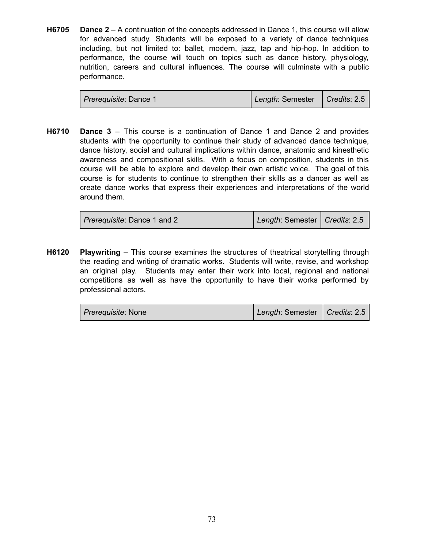**H6705 Dance 2** – A continuation of the concepts addressed in Dance 1, this course will allow for advanced study. Students will be exposed to a variety of dance techniques including, but not limited to: ballet, modern, jazz, tap and hip-hop. In addition to performance, the course will touch on topics such as dance history, physiology, nutrition, careers and cultural influences. The course will culminate with a public performance.

**H6710 Dance 3** – This course is a continuation of Dance 1 and Dance 2 and provides students with the opportunity to continue their study of advanced dance technique, dance history, social and cultural implications within dance, anatomic and kinesthetic awareness and compositional skills. With a focus on composition, students in this course will be able to explore and develop their own artistic voice. The goal of this course is for students to continue to strengthen their skills as a dancer as well as create dance works that express their experiences and interpretations of the world around them.

| <i>Prerequisite: Dance 1 and 2</i> | Length: Semester   Credits: 2.5 |  |
|------------------------------------|---------------------------------|--|
|------------------------------------|---------------------------------|--|

**H6120 Playwriting** – This course examines the structures of theatrical storytelling through the reading and writing of dramatic works. Students will write, revise, and workshop an original play. Students may enter their work into local, regional and national competitions as well as have the opportunity to have their works performed by professional actors.

| <i>Prerequisite:</i> None | Length: Semester   Credits: 2.5 |  |
|---------------------------|---------------------------------|--|
|---------------------------|---------------------------------|--|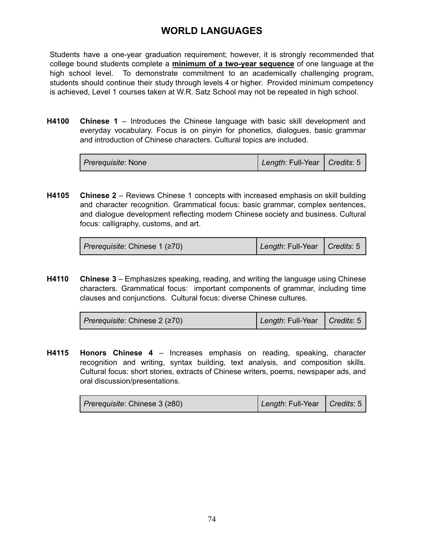## **WORLD LANGUAGES**

Students have a one-year graduation requirement; however, it is strongly recommended that college bound students complete a **minimum of a two-year sequence** of one language at the high school level. To demonstrate commitment to an academically challenging program, students should continue their study through levels 4 or higher. Provided minimum competency is achieved, Level 1 courses taken at W.R. Satz School may not be repeated in high school.

**H4100 Chinese 1** – Introduces the Chinese language with basic skill development and everyday vocabulary. Focus is on pinyin for phonetics, dialogues, basic grammar and introduction of Chinese characters. Cultural topics are included.

| <i>Prerequisite: None</i> | Length: Full-Year   Credits: 5 |  |
|---------------------------|--------------------------------|--|
|---------------------------|--------------------------------|--|

**H4105 Chinese 2** – Reviews Chinese 1 concepts with increased emphasis on skill building and character recognition. Grammatical focus: basic grammar, complex sentences, and dialogue development reflecting modern Chinese society and business. Cultural focus: calligraphy, customs, and art.

| Prerequisite: Chinese 1 (≥70) | Length: Full-Year   Credits: 5 |  |
|-------------------------------|--------------------------------|--|
|-------------------------------|--------------------------------|--|

**H4110 Chinese 3** – Emphasizes speaking, reading, and writing the language using Chinese characters. Grammatical focus: important components of grammar, including time clauses and conjunctions. Cultural focus: diverse Chinese cultures.

| Prerequisite: Chinese 2 (≥70) | Length: Full-Year   Credits: 5 |  |
|-------------------------------|--------------------------------|--|
|-------------------------------|--------------------------------|--|

**H4115 Honors Chinese 4** – Increases emphasis on reading, speaking, character recognition and writing, syntax building, text analysis, and composition skills. Cultural focus: short stories, extracts of Chinese writers, poems, newspaper ads, and oral discussion/presentations.

| Prerequisite: Chinese 3 (≥80) | Length: Full-Year   Credits: 5 |  |
|-------------------------------|--------------------------------|--|
|-------------------------------|--------------------------------|--|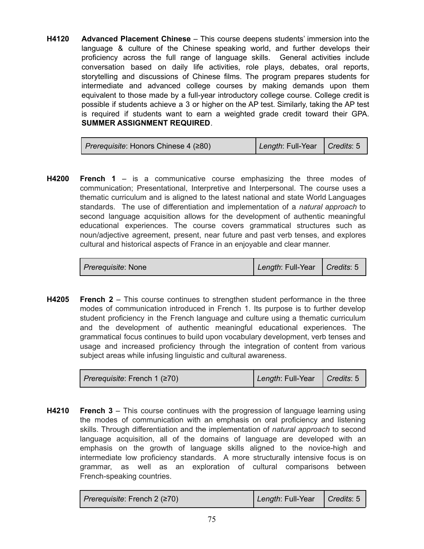**H4120 Advanced Placement Chinese** – This course deepens students' immersion into the language & culture of the Chinese speaking world, and further develops their proficiency across the full range of language skills. General activities include conversation based on daily life activities, role plays, debates, oral reports, storytelling and discussions of Chinese films. The program prepares students for intermediate and advanced college courses by making demands upon them equivalent to those made by a full-year introductory college course. College credit is possible if students achieve a 3 or higher on the AP test. Similarly, taking the AP test is required if students want to earn a weighted grade credit toward their GPA. **SUMMER ASSIGNMENT REQUIRED**.

| <i>Prerequisite:</i> Honors Chinese 4 (≥80) | Length: Full-Year   Credits: 5 |  |
|---------------------------------------------|--------------------------------|--|
|---------------------------------------------|--------------------------------|--|

**H4200 French 1** – is a communicative course emphasizing the three modes of communication; Presentational, Interpretive and Interpersonal. The course uses a thematic curriculum and is aligned to the latest national and state World Languages standards. The use of differentiation and implementation of a *natural approach* to second language acquisition allows for the development of authentic meaningful educational experiences. The course covers grammatical structures such as noun/adjective agreement, present, near future and past verb tenses, and explores cultural and historical aspects of France in an enjoyable and clear manner.

| <i>Prerequisite: None</i> | Length: Full-Year   Credits: 5 |  |
|---------------------------|--------------------------------|--|
|---------------------------|--------------------------------|--|

**H4205 French 2** – This course continues to strengthen student performance in the three modes of communication introduced in French 1. Its purpose is to further develop student proficiency in the French language and culture using a thematic curriculum and the development of authentic meaningful educational experiences. The grammatical focus continues to build upon vocabulary development, verb tenses and usage and increased proficiency through the integration of content from various subject areas while infusing linguistic and cultural awareness.

| <i>Prerequisite:</i> French 1 ( $\geq$ 70) | Length: Full-Year   Credits: 5 |  |
|--------------------------------------------|--------------------------------|--|
|--------------------------------------------|--------------------------------|--|

**H4210 French 3** – This course continues with the progression of language learning using the modes of communication with an emphasis on oral proficiency and listening skills. Through differentiation and the implementation of *natural approach* to second language acquisition, all of the domains of language are developed with an emphasis on the growth of language skills aligned to the novice-high and intermediate low proficiency standards. A more structurally intensive focus is on grammar, as well as an exploration of cultural comparisons between French-speaking countries.

| Prerequisite: French 2 (≥70) | Length: Full-Year   Credits: 5 |  |
|------------------------------|--------------------------------|--|
|------------------------------|--------------------------------|--|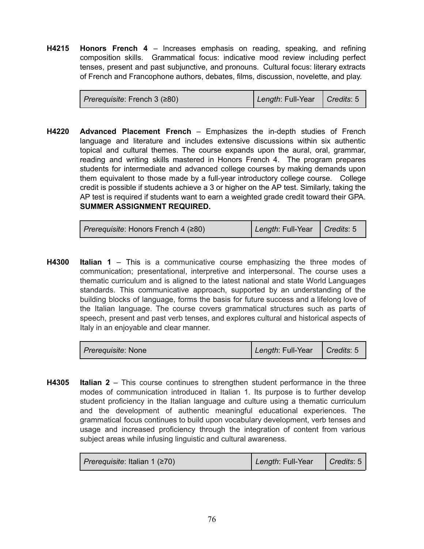**H4215 Honors French 4** – Increases emphasis on reading, speaking, and refining composition skills. Grammatical focus: indicative mood review including perfect tenses, present and past subjunctive, and pronouns. Cultural focus: literary extracts of French and Francophone authors, debates, films, discussion, novelette, and play.

| Prerequisite: French 3 (≥80) | Length: Full-Year   Credits: 5 |  |
|------------------------------|--------------------------------|--|
|------------------------------|--------------------------------|--|

**H4220 Advanced Placement French** – Emphasizes the in-depth studies of French language and literature and includes extensive discussions within six authentic topical and cultural themes. The course expands upon the aural, oral, grammar, reading and writing skills mastered in Honors French 4. The program prepares students for intermediate and advanced college courses by making demands upon them equivalent to those made by a full-year introductory college course. College credit is possible if students achieve a 3 or higher on the AP test. Similarly, taking the AP test is required if students want to earn a weighted grade credit toward their GPA. **SUMMER ASSIGNMENT REQUIRED.**

| Prerequisite: Honors French 4 (≥80) | Length: Full-Year   Credits: 5 |  |
|-------------------------------------|--------------------------------|--|
|                                     |                                |  |

**H4300 Italian 1** – This is a communicative course emphasizing the three modes of communication; presentational, interpretive and interpersonal. The course uses a thematic curriculum and is aligned to the latest national and state World Languages standards. This communicative approach, supported by an understanding of the building blocks of language, forms the basis for future success and a lifelong love of the Italian language. The course covers grammatical structures such as parts of speech, present and past verb tenses, and explores cultural and historical aspects of Italy in an enjoyable and clear manner.

| <i>Prerequisite: None</i> | Length: Full-Year   Credits: 5 |  |
|---------------------------|--------------------------------|--|
|                           |                                |  |

**H4305 Italian 2** – This course continues to strengthen student performance in the three modes of communication introduced in Italian 1. Its purpose is to further develop student proficiency in the Italian language and culture using a thematic curriculum and the development of authentic meaningful educational experiences. The grammatical focus continues to build upon vocabulary development, verb tenses and usage and increased proficiency through the integration of content from various subject areas while infusing linguistic and cultural awareness.

| Prerequisite: Italian 1 ( $\geq 70$ ) | Length: Full-Year | $\bigcap$ Credits: 5 |
|---------------------------------------|-------------------|----------------------|
|---------------------------------------|-------------------|----------------------|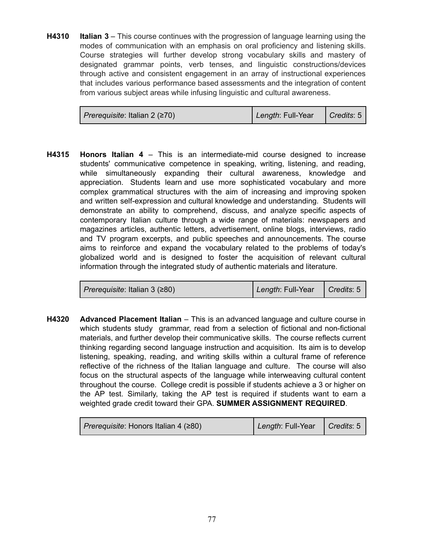**H4310 Italian 3** – This course continues with the progression of language learning using the modes of communication with an emphasis on oral proficiency and listening skills. Course strategies will further develop strong vocabulary skills and mastery of designated grammar points, verb tenses, and linguistic constructions/devices through active and consistent engagement in an array of instructional experiences that includes various performance based assessments and the integration of content from various subject areas while infusing linguistic and cultural awareness.

| Prerequisite: Italian 2 ( $\geq$ 70) | Length: Full-Year   Credits: 5 |  |
|--------------------------------------|--------------------------------|--|
|--------------------------------------|--------------------------------|--|

**H4315 Honors Italian 4** – This is an intermediate-mid course designed to increase students' communicative competence in speaking, writing, listening, and reading, while simultaneously expanding their cultural awareness, knowledge and appreciation. Students learn and use more sophisticated vocabulary and more complex grammatical structures with the aim of increasing and improving spoken and written self-expression and cultural knowledge and understanding. Students will demonstrate an ability to comprehend, discuss, and analyze specific aspects of contemporary Italian culture through a wide range of materials: newspapers and magazines articles, authentic letters, advertisement, online blogs, interviews, radio and TV program excerpts, and public speeches and announcements. The course aims to reinforce and expand the vocabulary related to the problems of today's globalized world and is designed to foster the acquisition of relevant cultural information through the integrated study of authentic materials and literature.

| <i>Prerequisite</i> : Italian 3 (≥80) | Length: Full-Year | $\vert$ Credits: 5 |
|---------------------------------------|-------------------|--------------------|
|                                       |                   |                    |

**H4320 Advanced Placement Italian** – This is an advanced language and culture course in which students study grammar, read from a selection of fictional and non-fictional materials, and further develop their communicative skills. The course reflects current thinking regarding second language instruction and acquisition. Its aim is to develop listening, speaking, reading, and writing skills within a cultural frame of reference reflective of the richness of the Italian language and culture. The course will also focus on the structural aspects of the language while interweaving cultural content throughout the course. College credit is possible if students achieve a 3 or higher on the AP test. Similarly, taking the AP test is required if students want to earn a weighted grade credit toward their GPA. **SUMMER ASSIGNMENT REQUIRED**.

| Prerequisite: Honors Italian 4 (≥80) | Length: Full-Year | $\vert$ Credits: 5 |
|--------------------------------------|-------------------|--------------------|
|--------------------------------------|-------------------|--------------------|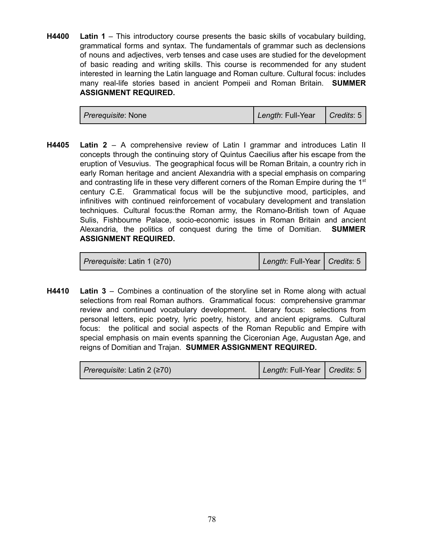**H4400 Latin 1** – This introductory course presents the basic skills of vocabulary building, grammatical forms and syntax. The fundamentals of grammar such as declensions of nouns and adjectives, verb tenses and case uses are studied for the development of basic reading and writing skills. This course is recommended for any student interested in learning the Latin language and Roman culture. Cultural focus: includes many real-life stories based in ancient Pompeii and Roman Britain. **SUMMER ASSIGNMENT REQUIRED.**

| <i>Prerequisite:</i> None | Length: Full-Year   Credits: 5 |  |
|---------------------------|--------------------------------|--|
|---------------------------|--------------------------------|--|

**H4405 Latin 2** – A comprehensive review of Latin I grammar and introduces Latin II concepts through the continuing story of Quintus Caecilius after his escape from the eruption of Vesuvius. The geographical focus will be Roman Britain, a country rich in early Roman heritage and ancient Alexandria with a special emphasis on comparing and contrasting life in these very different corners of the Roman Empire during the  $1<sup>st</sup>$ century C.E. Grammatical focus will be the subjunctive mood, participles, and infinitives with continued reinforcement of vocabulary development and translation techniques. Cultural focus:the Roman army, the Romano-British town of Aquae Sulis, Fishbourne Palace, socio-economic issues in Roman Britain and ancient Alexandria, the politics of conquest during the time of Domitian. **SUMMER ASSIGNMENT REQUIRED.**

| Prerequisite: Latin 1 (≥70) | Length: Full-Year   Credits: 5 |  |
|-----------------------------|--------------------------------|--|
|-----------------------------|--------------------------------|--|

**H4410 Latin 3** – Combines a continuation of the storyline set in Rome along with actual selections from real Roman authors. Grammatical focus: comprehensive grammar review and continued vocabulary development. Literary focus: selections from personal letters, epic poetry, lyric poetry, history, and ancient epigrams. Cultural focus: the political and social aspects of the Roman Republic and Empire with special emphasis on main events spanning the Ciceronian Age, Augustan Age, and reigns of Domitian and Trajan. **SUMMER ASSIGNMENT REQUIRED.**

| Prerequisite: Latin 2 (≥70) | Length: Full-Year   Credits: 5 |  |
|-----------------------------|--------------------------------|--|
|-----------------------------|--------------------------------|--|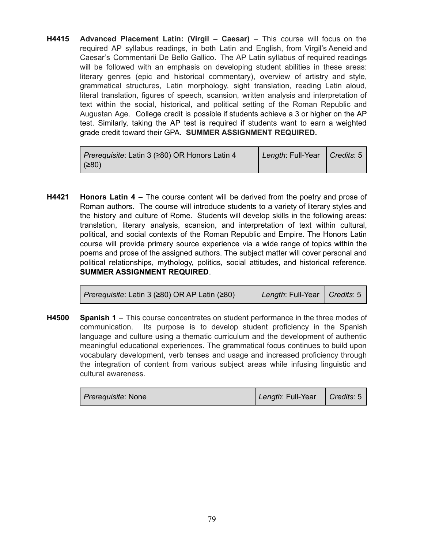**H4415 Advanced Placement Latin: (Virgil – Caesar)** – This course will focus on the required AP syllabus readings, in both Latin and English, from Virgil's Aeneid and Caesar's Commentarii De Bello Gallico. The AP Latin syllabus of required readings will be followed with an emphasis on developing student abilities in these areas: literary genres (epic and historical commentary), overview of artistry and style, grammatical structures, Latin morphology, sight translation, reading Latin aloud, literal translation, figures of speech, scansion, written analysis and interpretation of text within the social, historical, and political setting of the Roman Republic and Augustan Age. College credit is possible if students achieve a 3 or higher on the AP test. Similarly, taking the AP test is required if students want to earn a weighted grade credit toward their GPA. **SUMMER ASSIGNMENT REQUIRED.**

| <i>Prerequisite</i> : Latin 3 (≥80) OR Honors Latin 4 | Length: Full-Year   Credits: 5 |  |
|-------------------------------------------------------|--------------------------------|--|
| (≥80)                                                 |                                |  |

**H4421 Honors Latin 4** – The course content will be derived from the poetry and prose of Roman authors. The course will introduce students to a variety of literary styles and the history and culture of Rome. Students will develop skills in the following areas: translation, literary analysis, scansion, and interpretation of text within cultural, political, and social contexts of the Roman Republic and Empire. The Honors Latin course will provide primary source experience via a wide range of topics within the poems and prose of the assigned authors. The subject matter will cover personal and political relationships, mythology, politics, social attitudes, and historical reference. **SUMMER ASSIGNMENT REQUIRED**.

| <i>Prerequisite</i> : Latin 3 (≥80) OR AP Latin (≥80) | Length: Full-Year   Credits: 5 |  |
|-------------------------------------------------------|--------------------------------|--|
|-------------------------------------------------------|--------------------------------|--|

**H4500 Spanish 1** – This course concentrates on student performance in the three modes of communication. Its purpose is to develop student proficiency in the Spanish language and culture using a thematic curriculum and the development of authentic meaningful educational experiences. The grammatical focus continues to build upon vocabulary development, verb tenses and usage and increased proficiency through the integration of content from various subject areas while infusing linguistic and cultural awareness.

| <i>Prerequisite</i> : None | Length: Full-Year   Credits: 5 |  |
|----------------------------|--------------------------------|--|
|----------------------------|--------------------------------|--|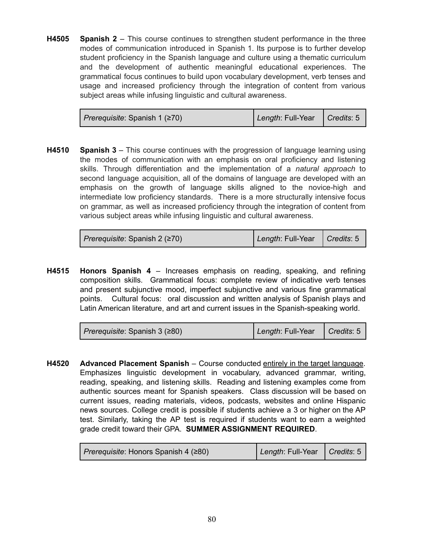**H4505 Spanish 2** – This course continues to strengthen student performance in the three modes of communication introduced in Spanish 1. Its purpose is to further develop student proficiency in the Spanish language and culture using a thematic curriculum and the development of authentic meaningful educational experiences. The grammatical focus continues to build upon vocabulary development, verb tenses and usage and increased proficiency through the integration of content from various subject areas while infusing linguistic and cultural awareness.

| Prerequisite: Spanish 1 (≥70) | Length: Full-Year   Credits: 5 |  |
|-------------------------------|--------------------------------|--|
|-------------------------------|--------------------------------|--|

**H4510 Spanish 3** – This course continues with the progression of language learning using the modes of communication with an emphasis on oral proficiency and listening skills. Through differentiation and the implementation of a *natural approach* to second language acquisition, all of the domains of language are developed with an emphasis on the growth of language skills aligned to the novice-high and intermediate low proficiency standards. There is a more structurally intensive focus on grammar, as well as increased proficiency through the integration of content from various subject areas while infusing linguistic and cultural awareness.

| Prerequisite: Spanish 2 (≥70) | Length: Full-Year   Credits: 5 |  |
|-------------------------------|--------------------------------|--|
|                               |                                |  |

**H4515 Honors Spanish 4** – Increases emphasis on reading, speaking, and refining composition skills. Grammatical focus: complete review of indicative verb tenses and present subjunctive mood, imperfect subjunctive and various fine grammatical points. Cultural focus: oral discussion and written analysis of Spanish plays and Latin American literature, and art and current issues in the Spanish-speaking world.

| Prerequisite: Spanish 3 ( $\geq$ 80) | Length: Full-Year   Credits: 5 |  |
|--------------------------------------|--------------------------------|--|
|--------------------------------------|--------------------------------|--|

**H4520 Advanced Placement Spanish** – Course conducted entirely in the target language. Emphasizes linguistic development in vocabulary, advanced grammar, writing, reading, speaking, and listening skills. Reading and listening examples come from authentic sources meant for Spanish speakers. Class discussion will be based on current issues, reading materials, videos, podcasts, websites and online Hispanic news sources. College credit is possible if students achieve a 3 or higher on the AP test. Similarly, taking the AP test is required if students want to earn a weighted grade credit toward their GPA. **SUMMER ASSIGNMENT REQUIRED**.

| <i>Prerequisite</i> : Honors Spanish 4 (≥80) | Length: Full-Year   Credits: 5 |  |
|----------------------------------------------|--------------------------------|--|
|----------------------------------------------|--------------------------------|--|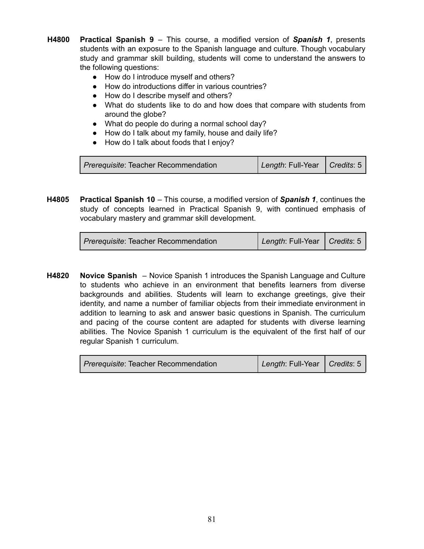- **H4800 Practical Spanish 9** This course, a modified version of *Spanish 1*, presents students with an exposure to the Spanish language and culture. Though vocabulary study and grammar skill building, students will come to understand the answers to the following questions:
	- How do I introduce myself and others?
	- How do introductions differ in various countries?
	- How do I describe myself and others?
	- What do students like to do and how does that compare with students from around the globe?
	- What do people do during a normal school day?
	- How do I talk about my family, house and daily life?
	- How do I talk about foods that I enjoy?

| Prerequisite: Teacher Recommendation | Length: Full-Year   Credits: 5 |  |
|--------------------------------------|--------------------------------|--|
|--------------------------------------|--------------------------------|--|

**H4805 Practical Spanish 10** – This course, a modified version of *Spanish 1*, continues the study of concepts learned in Practical Spanish 9, with continued emphasis of vocabulary mastery and grammar skill development.

| <i>Prerequisite:</i> Teacher Recommendation | Length: Full-Year   Credits: 5 |  |
|---------------------------------------------|--------------------------------|--|
|---------------------------------------------|--------------------------------|--|

**H4820 Novice Spanish** – Novice Spanish 1 introduces the Spanish Language and Culture to students who achieve in an environment that benefits learners from diverse backgrounds and abilities. Students will learn to exchange greetings, give their identity, and name a number of familiar objects from their immediate environment in addition to learning to ask and answer basic questions in Spanish. The curriculum and pacing of the course content are adapted for students with diverse learning abilities. The Novice Spanish 1 curriculum is the equivalent of the first half of our regular Spanish 1 curriculum.

| <i>Prerequisite:</i> Teacher Recommendation | Length: Full-Year   Credits: 5 |  |
|---------------------------------------------|--------------------------------|--|
|---------------------------------------------|--------------------------------|--|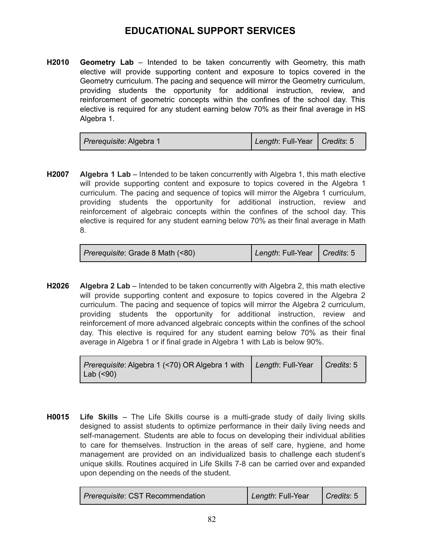## **EDUCATIONAL SUPPORT SERVICES**

**H2010 Geometry Lab** – Intended to be taken concurrently with Geometry, this math elective will provide supporting content and exposure to topics covered in the Geometry curriculum. The pacing and sequence will mirror the Geometry curriculum, providing students the opportunity for additional instruction, review, and reinforcement of geometric concepts within the confines of the school day. This elective is required for any student earning below 70% as their final average in HS Algebra 1.

| <i>Prerequisite: Algebra 1</i> | Length: Full-Year   Credits: 5 |  |
|--------------------------------|--------------------------------|--|
|--------------------------------|--------------------------------|--|

**H2007 Algebra 1 Lab** – Intended to be taken concurrently with Algebra 1, this math elective will provide supporting content and exposure to topics covered in the Algebra 1 curriculum. The pacing and sequence of topics will mirror the Algebra 1 curriculum, providing students the opportunity for additional instruction, review and reinforcement of algebraic concepts within the confines of the school day. This elective is required for any student earning below 70% as their final average in Math 8.

| <i>Prerequisite: Grade 8 Math (&lt;80)</i> | Length: Full-Year   Credits: 5 |  |
|--------------------------------------------|--------------------------------|--|
|                                            |                                |  |

**H2026 Algebra 2 Lab** – Intended to be taken concurrently with Algebra 2, this math elective will provide supporting content and exposure to topics covered in the Algebra 2 curriculum. The pacing and sequence of topics will mirror the Algebra 2 curriculum, providing students the opportunity for additional instruction, review and reinforcement of more advanced algebraic concepts within the confines of the school day. This elective is required for any student earning below 70% as their final average in Algebra 1 or if final grade in Algebra 1 with Lab is below 90%.

| Prerequisite: Algebra 1 (<70) OR Algebra 1 with Length: Full-Year Credits: 5 |  |
|------------------------------------------------------------------------------|--|
| Lab $(< 90)$                                                                 |  |

**H0015 Life Skills** – The Life Skills course is a multi-grade study of daily living skills designed to assist students to optimize performance in their daily living needs and self-management. Students are able to focus on developing their individual abilities to care for themselves. Instruction in the areas of self care, hygiene, and home management are provided on an individualized basis to challenge each student's unique skills. Routines acquired in Life Skills 7-8 can be carried over and expanded upon depending on the needs of the student.

| <i>Prerequisite: CST Recommendation</i> | Length: Full-Year | $\vert$ Credits: 5 |
|-----------------------------------------|-------------------|--------------------|
|-----------------------------------------|-------------------|--------------------|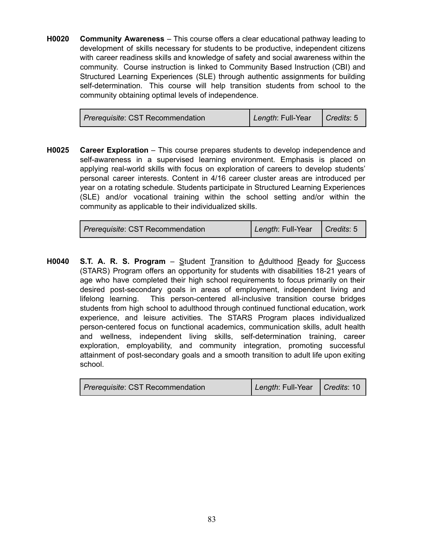**H0020 Community Awareness** – This course offers a clear educational pathway leading to development of skills necessary for students to be productive, independent citizens with career readiness skills and knowledge of safety and social awareness within the community. Course instruction is linked to Community Based Instruction (CBI) and Structured Learning Experiences (SLE) through authentic assignments for building self-determination. This course will help transition students from school to the community obtaining optimal levels of independence.

**H0025 Career Exploration** – This course prepares students to develop independence and self-awareness in a supervised learning environment. Emphasis is placed on applying real-world skills with focus on exploration of careers to develop students' personal career interests. Content in 4/16 career cluster areas are introduced per year on a rotating schedule. Students participate in Structured Learning Experiences (SLE) and/or vocational training within the school setting and/or within the community as applicable to their individualized skills.

| <i>Prerequisite: CST Recommendation</i> | Length: Full-Year   Credits: 5 |  |
|-----------------------------------------|--------------------------------|--|
|-----------------------------------------|--------------------------------|--|

**H0040 S.T. A. R. S. Program** – Student Transition to Adulthood Ready for Success (STARS) Program offers an opportunity for students with disabilities 18-21 years of age who have completed their high school requirements to focus primarily on their desired post-secondary goals in areas of employment, independent living and lifelong learning. This person-centered all-inclusive transition course bridges students from high school to adulthood through continued functional education, work experience, and leisure activities. The STARS Program places individualized person-centered focus on functional academics, communication skills, adult health and wellness, independent living skills, self-determination training, career exploration, employability, and community integration, promoting successful attainment of post-secondary goals and a smooth transition to adult life upon exiting school.

| <i>Prerequisite: CST Recommendation</i> | Length: Full-Year   Credits: 10 |  |
|-----------------------------------------|---------------------------------|--|
|-----------------------------------------|---------------------------------|--|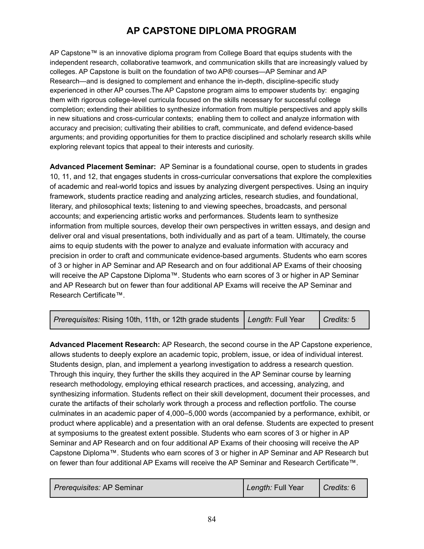# **AP CAPSTONE DIPLOMA PROGRAM**

AP Capstone™ is an innovative diploma program from College Board that equips students with the independent research, collaborative teamwork, and communication skills that are increasingly valued by colleges. AP Capstone is built on the foundation of two AP® courses—AP Seminar and AP Research—and is designed to complement and enhance the in-depth, discipline-specific study experienced in other AP courses.The AP Capstone program aims to empower students by: engaging them with rigorous college-level curricula focused on the skills necessary for successful college completion; extending their abilities to synthesize information from multiple perspectives and apply skills in new situations and cross-curricular contexts; enabling them to collect and analyze information with accuracy and precision; cultivating their abilities to craft, communicate, and defend evidence-based arguments; and providing opportunities for them to practice disciplined and scholarly research skills while exploring relevant topics that appeal to their interests and curiosity.

**Advanced Placement Seminar:** AP Seminar is a foundational course, open to students in grades 10, 11, and 12, that engages students in cross-curricular conversations that explore the complexities of academic and real-world topics and issues by analyzing divergent perspectives. Using an inquiry framework, students practice reading and analyzing articles, research studies, and foundational, literary, and philosophical texts; listening to and viewing speeches, broadcasts, and personal accounts; and experiencing artistic works and performances. Students learn to synthesize information from multiple sources, develop their own perspectives in written essays, and design and deliver oral and visual presentations, both individually and as part of a team. Ultimately, the course aims to equip students with the power to analyze and evaluate information with accuracy and precision in order to craft and communicate evidence-based arguments. Students who earn scores of 3 or higher in AP Seminar and AP Research and on four additional AP Exams of their choosing will receive the AP Capstone Diploma™. Students who earn scores of 3 or higher in AP Seminar and AP Research but on fewer than four additional AP Exams will receive the AP Seminar and Research Certificate™.

| Prerequisites: Rising 10th, 11th, or 12th grade students Length: Full Year   Credits: 5 |  |  |
|-----------------------------------------------------------------------------------------|--|--|
|-----------------------------------------------------------------------------------------|--|--|

**Advanced Placement Research:** AP Research, the second course in the AP Capstone experience, allows students to deeply explore an academic topic, problem, issue, or idea of individual interest. Students design, plan, and implement a yearlong investigation to address a research question. Through this inquiry, they further the skills they acquired in the AP Seminar course by learning research methodology, employing ethical research practices, and accessing, analyzing, and synthesizing information. Students reflect on their skill development, document their processes, and curate the artifacts of their scholarly work through a process and reflection portfolio. The course culminates in an academic paper of 4,000–5,000 words (accompanied by a performance, exhibit, or product where applicable) and a presentation with an oral defense. Students are expected to present at symposiums to the greatest extent possible. Students who earn scores of 3 or higher in AP Seminar and AP Research and on four additional AP Exams of their choosing will receive the AP Capstone Diploma™. Students who earn scores of 3 or higher in AP Seminar and AP Research but on fewer than four additional AP Exams will receive the AP Seminar and Research Certificate™.

| <i>Prerequisites:</i> AP Seminar | Length: Full Year | Credits: 6 |
|----------------------------------|-------------------|------------|
|----------------------------------|-------------------|------------|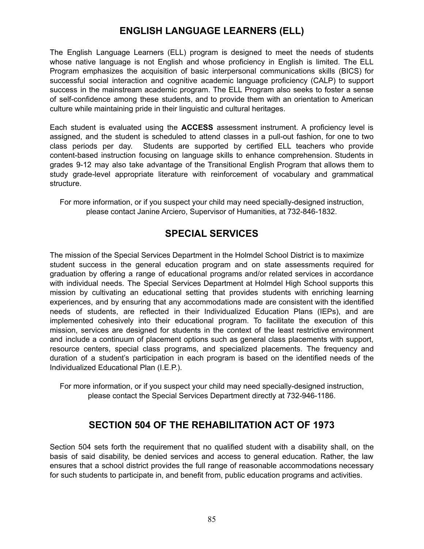## **ENGLISH LANGUAGE LEARNERS (ELL)**

The English Language Learners (ELL) program is designed to meet the needs of students whose native language is not English and whose proficiency in English is limited. The ELL Program emphasizes the acquisition of basic interpersonal communications skills (BICS) for successful social interaction and cognitive academic language proficiency (CALP) to support success in the mainstream academic program. The ELL Program also seeks to foster a sense of self-confidence among these students, and to provide them with an orientation to American culture while maintaining pride in their linguistic and cultural heritages.

Each student is evaluated using the **ACCESS** assessment instrument. A proficiency level is assigned, and the student is scheduled to attend classes in a pull-out fashion, for one to two class periods per day. Students are supported by certified ELL teachers who provide content-based instruction focusing on language skills to enhance comprehension. Students in grades 9-12 may also take advantage of the Transitional English Program that allows them to study grade-level appropriate literature with reinforcement of vocabulary and grammatical structure.

For more information, or if you suspect your child may need specially-designed instruction, please contact Janine Arciero, Supervisor of Humanities, at 732-846-1832.

### **SPECIAL SERVICES**

The mission of the Special Services Department in the Holmdel School District is to maximize student success in the general education program and on state assessments required for graduation by offering a range of educational programs and/or related services in accordance with individual needs. The Special Services Department at Holmdel High School supports this mission by cultivating an educational setting that provides students with enriching learning experiences, and by ensuring that any accommodations made are consistent with the identified needs of students, are reflected in their Individualized Education Plans (IEPs), and are implemented cohesively into their educational program. To facilitate the execution of this mission, services are designed for students in the context of the least restrictive environment and include a continuum of placement options such as general class placements with support, resource centers, special class programs, and specialized placements. The frequency and duration of a student's participation in each program is based on the identified needs of the Individualized Educational Plan (I.E.P.).

For more information, or if you suspect your child may need specially-designed instruction, please contact the Special Services Department directly at 732-946-1186.

### **SECTION 504 OF THE REHABILITATION ACT OF 1973**

Section 504 sets forth the requirement that no qualified student with a disability shall, on the basis of said disability, be denied services and access to general education. Rather, the law ensures that a school district provides the full range of reasonable accommodations necessary for such students to participate in, and benefit from, public education programs and activities.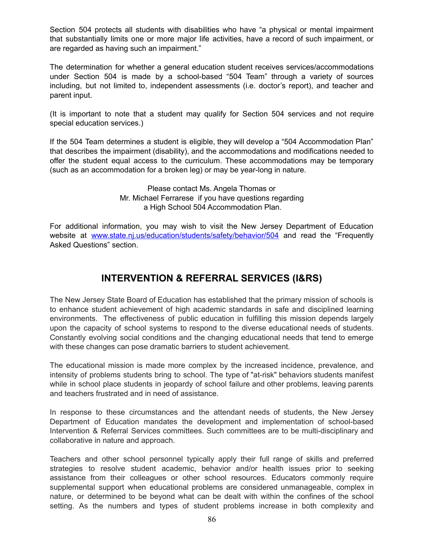Section 504 protects all students with disabilities who have "a physical or mental impairment that substantially limits one or more major life activities, have a record of such impairment, or are regarded as having such an impairment."

The determination for whether a general education student receives services/accommodations under Section 504 is made by a school-based "504 Team" through a variety of sources including, but not limited to, independent assessments (i.e. doctor's report), and teacher and parent input.

(It is important to note that a student may qualify for Section 504 services and not require special education services.)

If the 504 Team determines a student is eligible, they will develop a "504 Accommodation Plan" that describes the impairment (disability), and the accommodations and modifications needed to offer the student equal access to the curriculum. These accommodations may be temporary (such as an accommodation for a broken leg) or may be year-long in nature.

> Please contact Ms. Angela Thomas or Mr. Michael Ferrarese if you have questions regarding a High School 504 Accommodation Plan.

For additional information, you may wish to visit the New Jersey Department of Education website at [www.state.nj.us/education/students/safety/behavior/504](http://www.state.nj.us/education/students/safety/behavior/504) and read the "Frequently Asked Questions" section.

## **INTERVENTION & REFERRAL SERVICES (I&RS)**

The New Jersey State Board of Education has established that the primary mission of schools is to enhance student achievement of high academic standards in safe and disciplined learning environments. The effectiveness of public education in fulfilling this mission depends largely upon the capacity of school systems to respond to the diverse educational needs of students. Constantly evolving social conditions and the changing educational needs that tend to emerge with these changes can pose dramatic barriers to student achievement.

The educational mission is made more complex by the increased incidence, prevalence, and intensity of problems students bring to school. The type of "at-risk" behaviors students manifest while in school place students in jeopardy of school failure and other problems, leaving parents and teachers frustrated and in need of assistance.

In response to these circumstances and the attendant needs of students, the New Jersey Department of Education mandates the development and implementation of school-based Intervention & Referral Services committees. Such committees are to be multi-disciplinary and collaborative in nature and approach.

Teachers and other school personnel typically apply their full range of skills and preferred strategies to resolve student academic, behavior and/or health issues prior to seeking assistance from their colleagues or other school resources. Educators commonly require supplemental support when educational problems are considered unmanageable, complex in nature, or determined to be beyond what can be dealt with within the confines of the school setting. As the numbers and types of student problems increase in both complexity and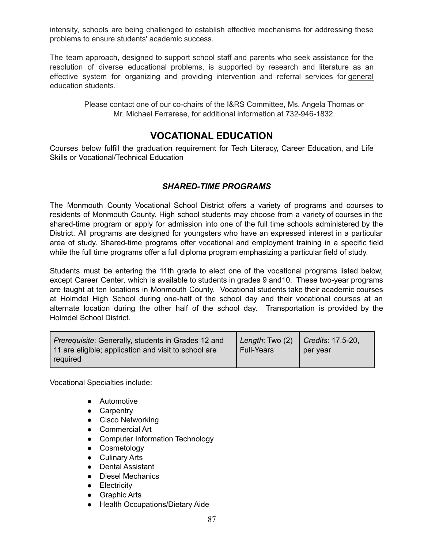intensity, schools are being challenged to establish effective mechanisms for addressing these problems to ensure students' academic success.

The team approach, designed to support school staff and parents who seek assistance for the resolution of diverse educational problems, is supported by research and literature as an effective system for organizing and providing intervention and referral services for general education students.

> Please contact one of our co-chairs of the I&RS Committee, Ms. Angela Thomas or Mr. Michael Ferrarese, for additional information at 732-946-1832.

#### **VOCATIONAL EDUCATION**

Courses below fulfill the graduation requirement for Tech Literacy, Career Education, and Life Skills or Vocational/Technical Education

#### *SHARED-TIME PROGRAMS*

The Monmouth County Vocational School District offers a variety of programs and courses to residents of Monmouth County. High school students may choose from a variety of courses in the shared-time program or apply for admission into one of the full time schools administered by the District. All programs are designed for youngsters who have an expressed interest in a particular area of study. Shared-time programs offer vocational and employment training in a specific field while the full time programs offer a full diploma program emphasizing a particular field of study.

Students must be entering the 11th grade to elect one of the vocational programs listed below, except Career Center, which is available to students in grades 9 and10. These two-year programs are taught at ten locations in Monmouth County. Vocational students take their academic courses at Holmdel High School during one-half of the school day and their vocational courses at an alternate location during the other half of the school day. Transportation is provided by the Holmdel School District.

| <i>Prerequisite:</i> Generally, students in Grades 12 and<br>11 are eligible; application and visit to school are | Length: Two $(2)$ Credits: 17.5-20,<br><b>Full-Years</b> | per year |
|-------------------------------------------------------------------------------------------------------------------|----------------------------------------------------------|----------|
| required                                                                                                          |                                                          |          |

Vocational Specialties include:

- Automotive
- Carpentry
- Cisco Networking
- Commercial Art
- Computer Information Technology
- Cosmetology
- Culinary Arts
- Dental Assistant
- Diesel Mechanics
- **•** Electricity
- Graphic Arts
- Health Occupations/Dietary Aide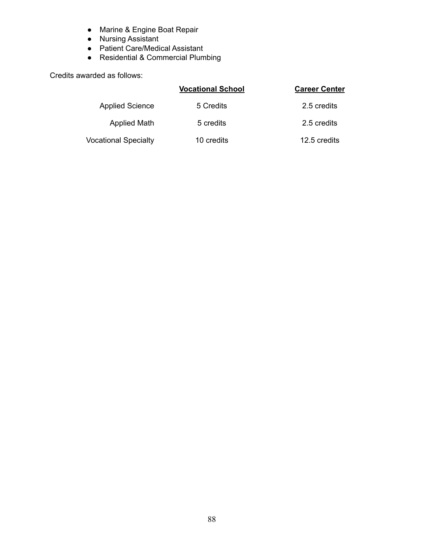- Marine & Engine Boat Repair
- Nursing Assistant
- Patient Care/Medical Assistant
- Residential & Commercial Plumbing

Credits awarded as follows:

|                             | <b>Vocational School</b> | <b>Career Center</b> |
|-----------------------------|--------------------------|----------------------|
| <b>Applied Science</b>      | 5 Credits                | 2.5 credits          |
| <b>Applied Math</b>         | 5 credits                | 2.5 credits          |
| <b>Vocational Specialty</b> | 10 credits               | 12.5 credits         |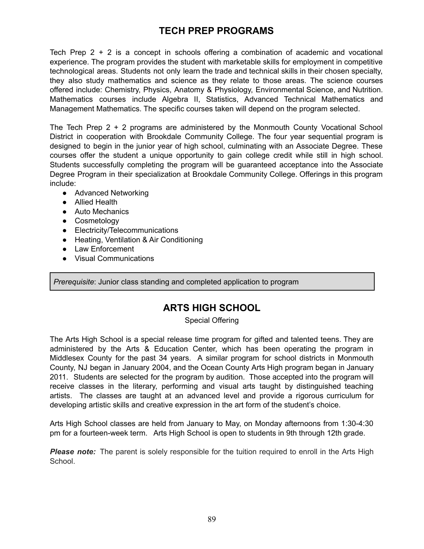# **TECH PREP PROGRAMS**

Tech Prep 2 + 2 is a concept in schools offering a combination of academic and vocational experience. The program provides the student with marketable skills for employment in competitive technological areas. Students not only learn the trade and technical skills in their chosen specialty, they also study mathematics and science as they relate to those areas. The science courses offered include: Chemistry, Physics, Anatomy & Physiology, Environmental Science, and Nutrition. Mathematics courses include Algebra II, Statistics, Advanced Technical Mathematics and Management Mathematics. The specific courses taken will depend on the program selected.

The Tech Prep 2 + 2 programs are administered by the Monmouth County Vocational School District in cooperation with Brookdale Community College. The four year sequential program is designed to begin in the junior year of high school, culminating with an Associate Degree. These courses offer the student a unique opportunity to gain college credit while still in high school. Students successfully completing the program will be guaranteed acceptance into the Associate Degree Program in their specialization at Brookdale Community College. Offerings in this program include:

- Advanced Networking
- Allied Health
- Auto Mechanics
- Cosmetology
- Electricity/Telecommunications
- Heating, Ventilation & Air Conditioning
- Law Enforcement
- Visual Communications

*Prerequisite*: Junior class standing and completed application to program

### **ARTS HIGH SCHOOL**

Special Offering

The Arts High School is a special release time program for gifted and talented teens. They are administered by the Arts & Education Center, which has been operating the program in Middlesex County for the past 34 years. A similar program for school districts in Monmouth County, NJ began in January 2004, and the Ocean County Arts High program began in January 2011. Students are selected for the program by audition. Those accepted into the program will receive classes in the literary, performing and visual arts taught by distinguished teaching artists. The classes are taught at an advanced level and provide a rigorous curriculum for developing artistic skills and creative expression in the art form of the student's choice.

Arts High School classes are held from January to May, on Monday afternoons from 1:30-4:30 pm for a fourteen-week term. Arts High School is open to students in 9th through 12th grade.

*Please note:* The parent is solely responsible for the tuition required to enroll in the Arts High School.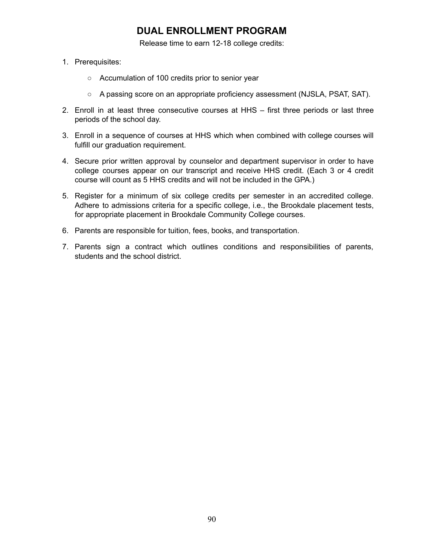# **DUAL ENROLLMENT PROGRAM**

Release time to earn 12-18 college credits:

- 1. Prerequisites:
	- Accumulation of 100 credits prior to senior year
	- A passing score on an appropriate proficiency assessment (NJSLA, PSAT, SAT).
- 2. Enroll in at least three consecutive courses at HHS first three periods or last three periods of the school day.
- 3. Enroll in a sequence of courses at HHS which when combined with college courses will fulfill our graduation requirement.
- 4. Secure prior written approval by counselor and department supervisor in order to have college courses appear on our transcript and receive HHS credit. (Each 3 or 4 credit course will count as 5 HHS credits and will not be included in the GPA.)
- 5. Register for a minimum of six college credits per semester in an accredited college. Adhere to admissions criteria for a specific college, i.e., the Brookdale placement tests, for appropriate placement in Brookdale Community College courses.
- 6. Parents are responsible for tuition, fees, books, and transportation.
- 7. Parents sign a contract which outlines conditions and responsibilities of parents, students and the school district.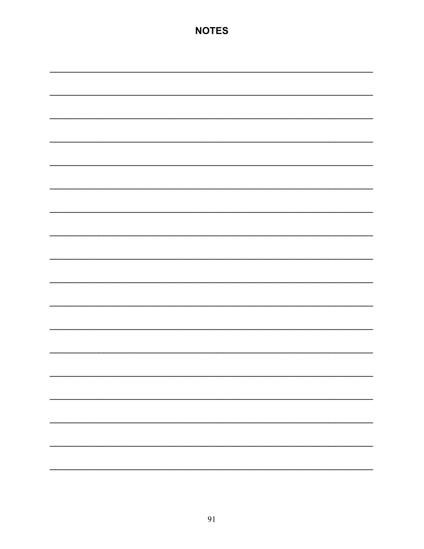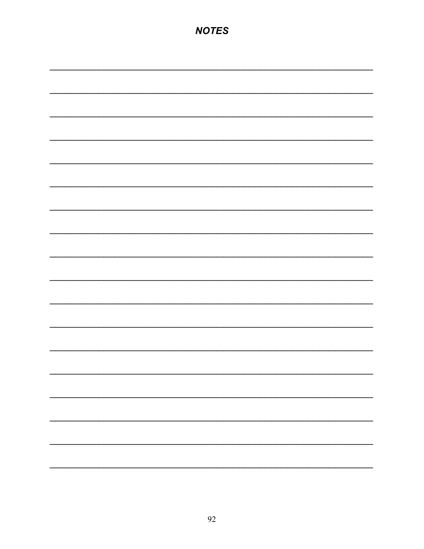